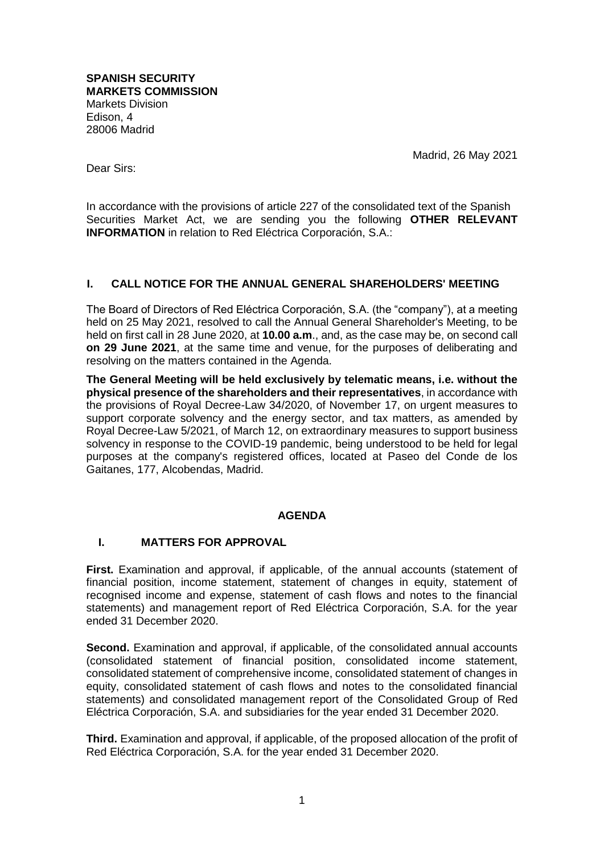**SPANISH SECURITY MARKETS COMMISSION** Markets Division Edison, 4 28006 Madrid

Madrid, 26 May 2021

Dear Sirs:

In accordance with the provisions of article 227 of the consolidated text of the Spanish Securities Market Act, we are sending you the following **OTHER RELEVANT INFORMATION** in relation to Red Eléctrica Corporación, S.A.:

# **I. CALL NOTICE FOR THE ANNUAL GENERAL SHAREHOLDERS' MEETING**

The Board of Directors of Red Eléctrica Corporación, S.A. (the "company"), at a meeting held on 25 May 2021, resolved to call the Annual General Shareholder's Meeting, to be held on first call in 28 June 2020, at **10.00 a.m**., and, as the case may be, on second call **on 29 June 2021**, at the same time and venue, for the purposes of deliberating and resolving on the matters contained in the Agenda.

**The General Meeting will be held exclusively by telematic means, i.e. without the physical presence of the shareholders and their representatives**, in accordance with the provisions of Royal Decree-Law 34/2020, of November 17, on urgent measures to support corporate solvency and the energy sector, and tax matters, as amended by Royal Decree-Law 5/2021, of March 12, on extraordinary measures to support business solvency in response to the COVID-19 pandemic, being understood to be held for legal purposes at the company's registered offices, located at Paseo del Conde de los Gaitanes, 177, Alcobendas, Madrid.

# **AGENDA**

# **I. MATTERS FOR APPROVAL**

**First.** Examination and approval, if applicable, of the annual accounts (statement of financial position, income statement, statement of changes in equity, statement of recognised income and expense, statement of cash flows and notes to the financial statements) and management report of Red Eléctrica Corporación, S.A. for the year ended 31 December 2020.

Second. Examination and approval, if applicable, of the consolidated annual accounts (consolidated statement of financial position, consolidated income statement, consolidated statement of comprehensive income, consolidated statement of changes in equity, consolidated statement of cash flows and notes to the consolidated financial statements) and consolidated management report of the Consolidated Group of Red Eléctrica Corporación, S.A. and subsidiaries for the year ended 31 December 2020.

**Third.** Examination and approval, if applicable, of the proposed allocation of the profit of Red Eléctrica Corporación, S.A. for the year ended 31 December 2020.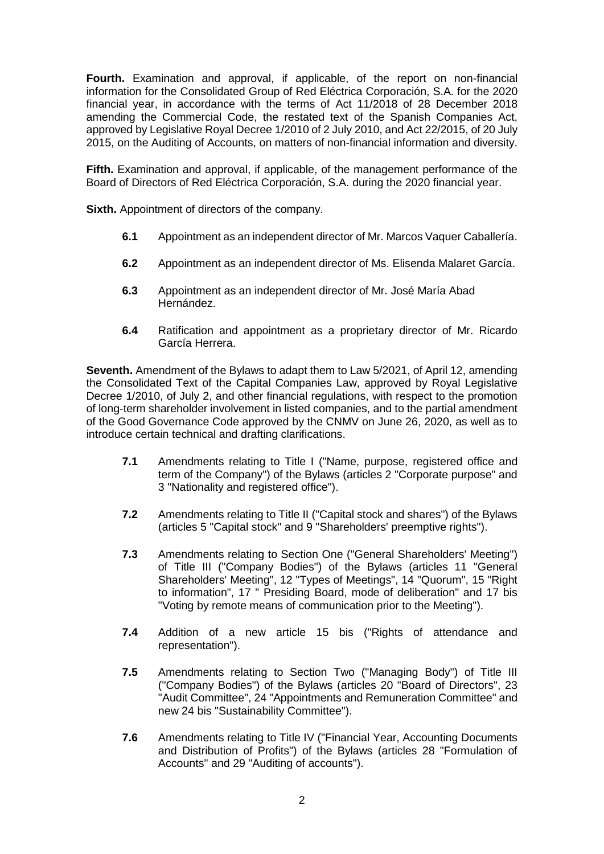**Fourth.** Examination and approval, if applicable, of the report on non-financial information for the Consolidated Group of Red Eléctrica Corporación, S.A. for the 2020 financial year, in accordance with the terms of Act 11/2018 of 28 December 2018 amending the Commercial Code, the restated text of the Spanish Companies Act, approved by Legislative Royal Decree 1/2010 of 2 July 2010, and Act 22/2015, of 20 July 2015, on the Auditing of Accounts, on matters of non-financial information and diversity.

**Fifth.** Examination and approval, if applicable, of the management performance of the Board of Directors of Red Eléctrica Corporación, S.A. during the 2020 financial year.

**Sixth.** Appointment of directors of the company.

- **6.1** Appointment as an independent director of Mr. Marcos Vaquer Caballería.
- **6.2** Appointment as an independent director of Ms. Elisenda Malaret García.
- **6.3** Appointment as an independent director of Mr. José María Abad Hernández.
- **6.4** Ratification and appointment as a proprietary director of Mr. Ricardo García Herrera.

**Seventh.** Amendment of the Bylaws to adapt them to Law 5/2021, of April 12, amending the Consolidated Text of the Capital Companies Law, approved by Royal Legislative Decree 1/2010, of July 2, and other financial regulations, with respect to the promotion of long-term shareholder involvement in listed companies, and to the partial amendment of the Good Governance Code approved by the CNMV on June 26, 2020, as well as to introduce certain technical and drafting clarifications.

- **7.1** Amendments relating to Title I ("Name, purpose, registered office and term of the Company") of the Bylaws (articles 2 "Corporate purpose" and 3 "Nationality and registered office").
- **7.2** Amendments relating to Title II ("Capital stock and shares") of the Bylaws (articles 5 "Capital stock" and 9 "Shareholders' preemptive rights").
- **7.3** Amendments relating to Section One ("General Shareholders' Meeting") of Title III ("Company Bodies") of the Bylaws (articles 11 "General Shareholders' Meeting", 12 "Types of Meetings", 14 "Quorum", 15 "Right to information", 17 " Presiding Board, mode of deliberation" and 17 bis "Voting by remote means of communication prior to the Meeting").
- **7.4** Addition of a new article 15 bis ("Rights of attendance and representation").
- **7.5** Amendments relating to Section Two ("Managing Body") of Title III ("Company Bodies") of the Bylaws (articles 20 "Board of Directors", 23 "Audit Committee", 24 "Appointments and Remuneration Committee" and new 24 bis "Sustainability Committee").
- **7.6** Amendments relating to Title IV ("Financial Year, Accounting Documents and Distribution of Profits") of the Bylaws (articles 28 "Formulation of Accounts" and 29 "Auditing of accounts").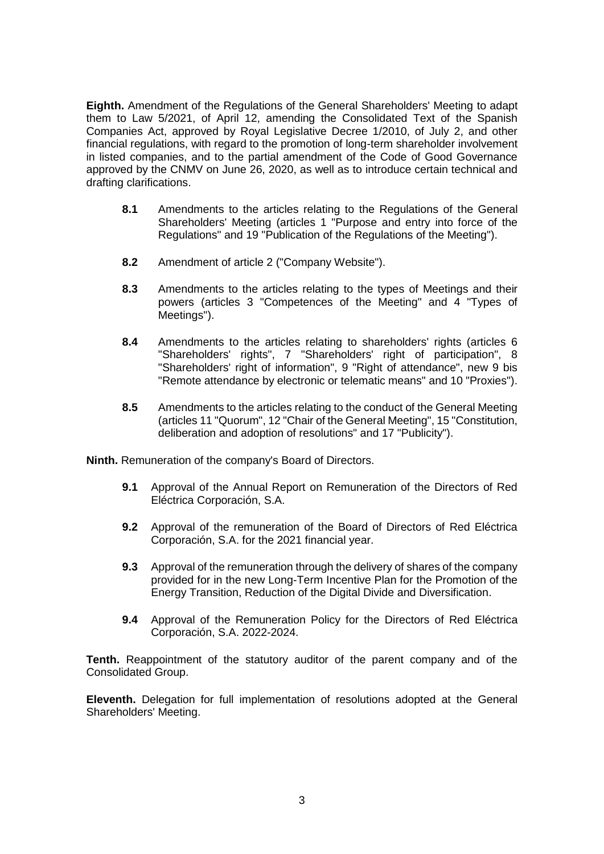**Eighth.** Amendment of the Regulations of the General Shareholders' Meeting to adapt them to Law 5/2021, of April 12, amending the Consolidated Text of the Spanish Companies Act, approved by Royal Legislative Decree 1/2010, of July 2, and other financial regulations, with regard to the promotion of long-term shareholder involvement in listed companies, and to the partial amendment of the Code of Good Governance approved by the CNMV on June 26, 2020, as well as to introduce certain technical and drafting clarifications.

- **8.1** Amendments to the articles relating to the Regulations of the General Shareholders' Meeting (articles 1 "Purpose and entry into force of the Regulations" and 19 "Publication of the Regulations of the Meeting").
- **8.2** Amendment of article 2 ("Company Website").
- **8.3** Amendments to the articles relating to the types of Meetings and their powers (articles 3 "Competences of the Meeting" and 4 "Types of Meetings").
- **8.4** Amendments to the articles relating to shareholders' rights (articles 6 "Shareholders' rights", 7 "Shareholders' right of participation", 8 "Shareholders' right of information", 9 "Right of attendance", new 9 bis "Remote attendance by electronic or telematic means" and 10 "Proxies").
- **8.5** Amendments to the articles relating to the conduct of the General Meeting (articles 11 "Quorum", 12 "Chair of the General Meeting", 15 "Constitution, deliberation and adoption of resolutions" and 17 "Publicity").

**Ninth.** Remuneration of the company's Board of Directors.

- **9.1** Approval of the Annual Report on Remuneration of the Directors of Red Eléctrica Corporación, S.A.
- **9.2** Approval of the remuneration of the Board of Directors of Red Eléctrica Corporación, S.A. for the 2021 financial year.
- **9.3** Approval of the remuneration through the delivery of shares of the company provided for in the new Long-Term Incentive Plan for the Promotion of the Energy Transition, Reduction of the Digital Divide and Diversification.
- **9.4** Approval of the Remuneration Policy for the Directors of Red Eléctrica Corporación, S.A. 2022-2024.

**Tenth.** Reappointment of the statutory auditor of the parent company and of the Consolidated Group.

**Eleventh.** Delegation for full implementation of resolutions adopted at the General Shareholders' Meeting.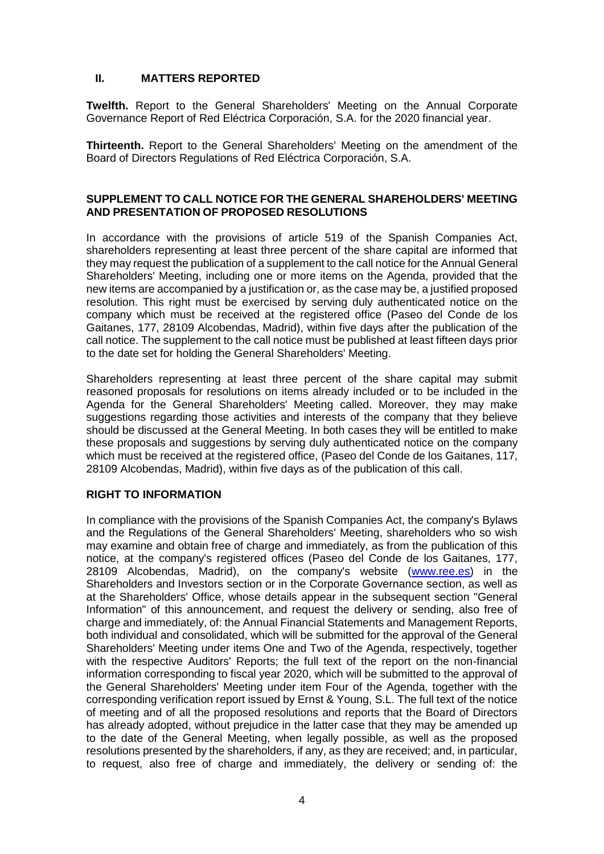# **II. MATTERS REPORTED**

**Twelfth.** Report to the General Shareholders' Meeting on the Annual Corporate Governance Report of Red Eléctrica Corporación, S.A. for the 2020 financial year.

**Thirteenth.** Report to the General Shareholders' Meeting on the amendment of the Board of Directors Regulations of Red Eléctrica Corporación, S.A.

# **SUPPLEMENT TO CALL NOTICE FOR THE GENERAL SHAREHOLDERS' MEETING AND PRESENTATION OF PROPOSED RESOLUTIONS**

In accordance with the provisions of article 519 of the Spanish Companies Act, shareholders representing at least three percent of the share capital are informed that they may request the publication of a supplement to the call notice for the Annual General Shareholders' Meeting, including one or more items on the Agenda, provided that the new items are accompanied by a justification or, as the case may be, a justified proposed resolution. This right must be exercised by serving duly authenticated notice on the company which must be received at the registered office (Paseo del Conde de los Gaitanes, 177, 28109 Alcobendas, Madrid), within five days after the publication of the call notice. The supplement to the call notice must be published at least fifteen days prior to the date set for holding the General Shareholders' Meeting.

Shareholders representing at least three percent of the share capital may submit reasoned proposals for resolutions on items already included or to be included in the Agenda for the General Shareholders' Meeting called. Moreover, they may make suggestions regarding those activities and interests of the company that they believe should be discussed at the General Meeting. In both cases they will be entitled to make these proposals and suggestions by serving duly authenticated notice on the company which must be received at the registered office, (Paseo del Conde de los Gaitanes, 117, 28109 Alcobendas, Madrid), within five days as of the publication of this call.

# **RIGHT TO INFORMATION**

In compliance with the provisions of the Spanish Companies Act, the company's Bylaws and the Regulations of the General Shareholders' Meeting, shareholders who so wish may examine and obtain free of charge and immediately, as from the publication of this notice, at the company's registered offices (Paseo del Conde de los Gaitanes, 177, 28109 Alcobendas, Madrid), on the company's website [\(www.ree.es\)](http://www.ree.es/) in the Shareholders and Investors section or in the Corporate Governance section, as well as at the Shareholders' Office, whose details appear in the subsequent section "General Information" of this announcement, and request the delivery or sending, also free of charge and immediately, of: the Annual Financial Statements and Management Reports, both individual and consolidated, which will be submitted for the approval of the General Shareholders' Meeting under items One and Two of the Agenda, respectively, together with the respective Auditors' Reports; the full text of the report on the non-financial information corresponding to fiscal year 2020, which will be submitted to the approval of the General Shareholders' Meeting under item Four of the Agenda, together with the corresponding verification report issued by Ernst & Young, S.L. The full text of the notice of meeting and of all the proposed resolutions and reports that the Board of Directors has already adopted, without prejudice in the latter case that they may be amended up to the date of the General Meeting, when legally possible, as well as the proposed resolutions presented by the shareholders, if any, as they are received; and, in particular, to request, also free of charge and immediately, the delivery or sending of: the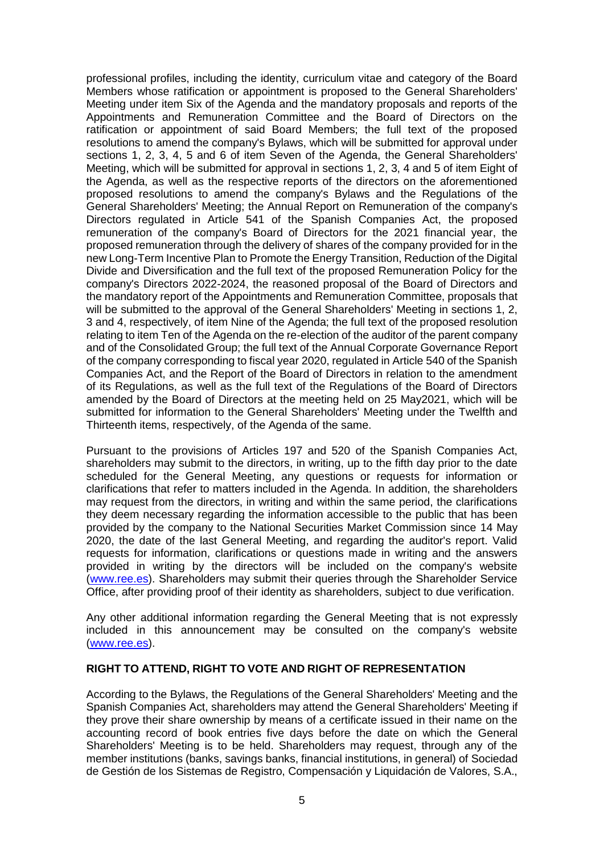professional profiles, including the identity, curriculum vitae and category of the Board Members whose ratification or appointment is proposed to the General Shareholders' Meeting under item Six of the Agenda and the mandatory proposals and reports of the Appointments and Remuneration Committee and the Board of Directors on the ratification or appointment of said Board Members; the full text of the proposed resolutions to amend the company's Bylaws, which will be submitted for approval under sections 1, 2, 3, 4, 5 and 6 of item Seven of the Agenda, the General Shareholders' Meeting, which will be submitted for approval in sections 1, 2, 3, 4 and 5 of item Eight of the Agenda, as well as the respective reports of the directors on the aforementioned proposed resolutions to amend the company's Bylaws and the Regulations of the General Shareholders' Meeting; the Annual Report on Remuneration of the company's Directors regulated in Article 541 of the Spanish Companies Act, the proposed remuneration of the company's Board of Directors for the 2021 financial year, the proposed remuneration through the delivery of shares of the company provided for in the new Long-Term Incentive Plan to Promote the Energy Transition, Reduction of the Digital Divide and Diversification and the full text of the proposed Remuneration Policy for the company's Directors 2022-2024, the reasoned proposal of the Board of Directors and the mandatory report of the Appointments and Remuneration Committee, proposals that will be submitted to the approval of the General Shareholders' Meeting in sections 1, 2, 3 and 4, respectively, of item Nine of the Agenda; the full text of the proposed resolution relating to item Ten of the Agenda on the re-election of the auditor of the parent company and of the Consolidated Group; the full text of the Annual Corporate Governance Report of the company corresponding to fiscal year 2020, regulated in Article 540 of the Spanish Companies Act, and the Report of the Board of Directors in relation to the amendment of its Regulations, as well as the full text of the Regulations of the Board of Directors amended by the Board of Directors at the meeting held on 25 May2021, which will be submitted for information to the General Shareholders' Meeting under the Twelfth and Thirteenth items, respectively, of the Agenda of the same.

Pursuant to the provisions of Articles 197 and 520 of the Spanish Companies Act, shareholders may submit to the directors, in writing, up to the fifth day prior to the date scheduled for the General Meeting, any questions or requests for information or clarifications that refer to matters included in the Agenda. In addition, the shareholders may request from the directors, in writing and within the same period, the clarifications they deem necessary regarding the information accessible to the public that has been provided by the company to the National Securities Market Commission since 14 May 2020, the date of the last General Meeting, and regarding the auditor's report. Valid requests for information, clarifications or questions made in writing and the answers provided in writing by the directors will be included on the company's website [\(www.ree.es\)](http://www.ree.es/). Shareholders may submit their queries through the Shareholder Service Office, after providing proof of their identity as shareholders, subject to due verification.

Any other additional information regarding the General Meeting that is not expressly included in this announcement may be consulted on the company's website [\(www.ree.es\)](http://www.ree.es/).

#### **RIGHT TO ATTEND, RIGHT TO VOTE AND RIGHT OF REPRESENTATION**

According to the Bylaws, the Regulations of the General Shareholders' Meeting and the Spanish Companies Act, shareholders may attend the General Shareholders' Meeting if they prove their share ownership by means of a certificate issued in their name on the accounting record of book entries five days before the date on which the General Shareholders' Meeting is to be held. Shareholders may request, through any of the member institutions (banks, savings banks, financial institutions, in general) of Sociedad de Gestión de los Sistemas de Registro, Compensación y Liquidación de Valores, S.A.,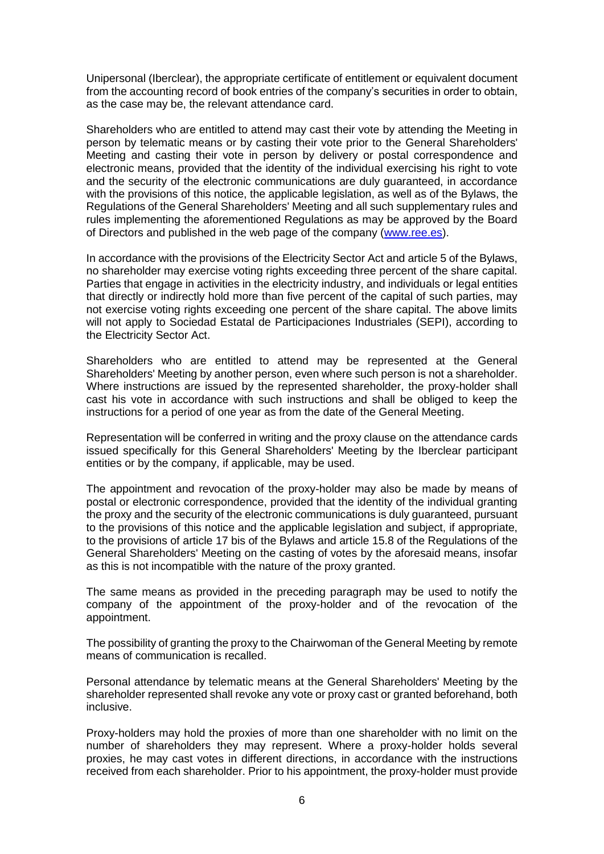Unipersonal (Iberclear), the appropriate certificate of entitlement or equivalent document from the accounting record of book entries of the company's securities in order to obtain, as the case may be, the relevant attendance card.

Shareholders who are entitled to attend may cast their vote by attending the Meeting in person by telematic means or by casting their vote prior to the General Shareholders' Meeting and casting their vote in person by delivery or postal correspondence and electronic means, provided that the identity of the individual exercising his right to vote and the security of the electronic communications are duly guaranteed, in accordance with the provisions of this notice, the applicable legislation, as well as of the Bylaws, the Regulations of the General Shareholders' Meeting and all such supplementary rules and rules implementing the aforementioned Regulations as may be approved by the Board of Directors and published in the web page of the company [\(www.ree.es\)](http://www.ree.es/).

In accordance with the provisions of the Electricity Sector Act and article 5 of the Bylaws, no shareholder may exercise voting rights exceeding three percent of the share capital. Parties that engage in activities in the electricity industry, and individuals or legal entities that directly or indirectly hold more than five percent of the capital of such parties, may not exercise voting rights exceeding one percent of the share capital. The above limits will not apply to Sociedad Estatal de Participaciones Industriales (SEPI), according to the Electricity Sector Act.

Shareholders who are entitled to attend may be represented at the General Shareholders' Meeting by another person, even where such person is not a shareholder. Where instructions are issued by the represented shareholder, the proxy-holder shall cast his vote in accordance with such instructions and shall be obliged to keep the instructions for a period of one year as from the date of the General Meeting.

Representation will be conferred in writing and the proxy clause on the attendance cards issued specifically for this General Shareholders' Meeting by the Iberclear participant entities or by the company, if applicable, may be used.

The appointment and revocation of the proxy-holder may also be made by means of postal or electronic correspondence, provided that the identity of the individual granting the proxy and the security of the electronic communications is duly guaranteed, pursuant to the provisions of this notice and the applicable legislation and subject, if appropriate, to the provisions of article 17 bis of the Bylaws and article 15.8 of the Regulations of the General Shareholders' Meeting on the casting of votes by the aforesaid means, insofar as this is not incompatible with the nature of the proxy granted.

The same means as provided in the preceding paragraph may be used to notify the company of the appointment of the proxy-holder and of the revocation of the appointment.

The possibility of granting the proxy to the Chairwoman of the General Meeting by remote means of communication is recalled.

Personal attendance by telematic means at the General Shareholders' Meeting by the shareholder represented shall revoke any vote or proxy cast or granted beforehand, both inclusive.

Proxy-holders may hold the proxies of more than one shareholder with no limit on the number of shareholders they may represent. Where a proxy-holder holds several proxies, he may cast votes in different directions, in accordance with the instructions received from each shareholder. Prior to his appointment, the proxy-holder must provide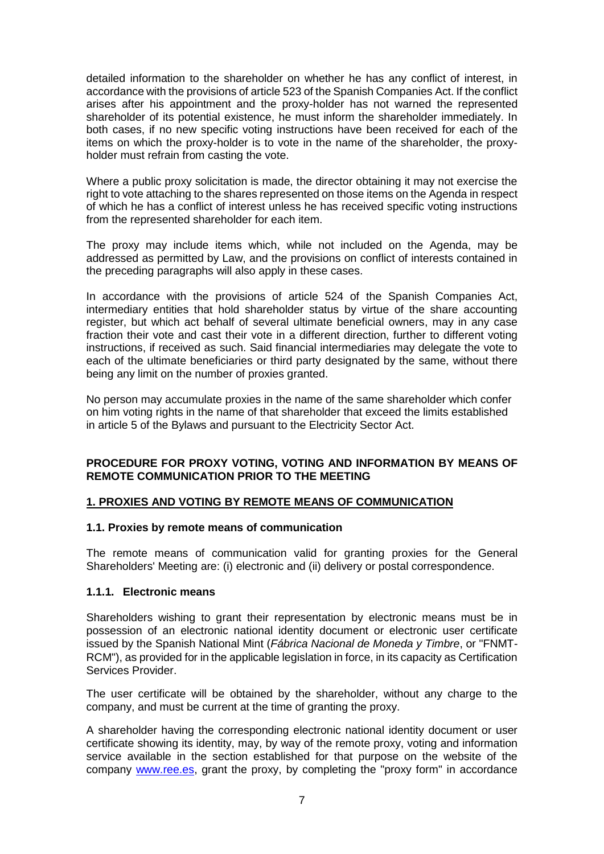detailed information to the shareholder on whether he has any conflict of interest, in accordance with the provisions of article 523 of the Spanish Companies Act. If the conflict arises after his appointment and the proxy-holder has not warned the represented shareholder of its potential existence, he must inform the shareholder immediately. In both cases, if no new specific voting instructions have been received for each of the items on which the proxy-holder is to vote in the name of the shareholder, the proxyholder must refrain from casting the vote.

Where a public proxy solicitation is made, the director obtaining it may not exercise the right to vote attaching to the shares represented on those items on the Agenda in respect of which he has a conflict of interest unless he has received specific voting instructions from the represented shareholder for each item.

The proxy may include items which, while not included on the Agenda, may be addressed as permitted by Law, and the provisions on conflict of interests contained in the preceding paragraphs will also apply in these cases.

In accordance with the provisions of article 524 of the Spanish Companies Act, intermediary entities that hold shareholder status by virtue of the share accounting register, but which act behalf of several ultimate beneficial owners, may in any case fraction their vote and cast their vote in a different direction, further to different voting instructions, if received as such. Said financial intermediaries may delegate the vote to each of the ultimate beneficiaries or third party designated by the same, without there being any limit on the number of proxies granted.

No person may accumulate proxies in the name of the same shareholder which confer on him voting rights in the name of that shareholder that exceed the limits established in article 5 of the Bylaws and pursuant to the Electricity Sector Act.

# **PROCEDURE FOR PROXY VOTING, VOTING AND INFORMATION BY MEANS OF REMOTE COMMUNICATION PRIOR TO THE MEETING**

# **1. PROXIES AND VOTING BY REMOTE MEANS OF COMMUNICATION**

# **1.1. Proxies by remote means of communication**

The remote means of communication valid for granting proxies for the General Shareholders' Meeting are: (i) electronic and (ii) delivery or postal correspondence.

# **1.1.1. Electronic means**

Shareholders wishing to grant their representation by electronic means must be in possession of an electronic national identity document or electronic user certificate issued by the Spanish National Mint (*Fábrica Nacional de Moneda y Timbre*, or "FNMT-RCM"), as provided for in the applicable legislation in force, in its capacity as Certification Services Provider.

The user certificate will be obtained by the shareholder, without any charge to the company, and must be current at the time of granting the proxy.

A shareholder having the corresponding electronic national identity document or user certificate showing its identity, may, by way of the remote proxy, voting and information service available in the section established for that purpose on the website of the company [www.ree.es,](http://www.ree.es/) grant the proxy, by completing the "proxy form" in accordance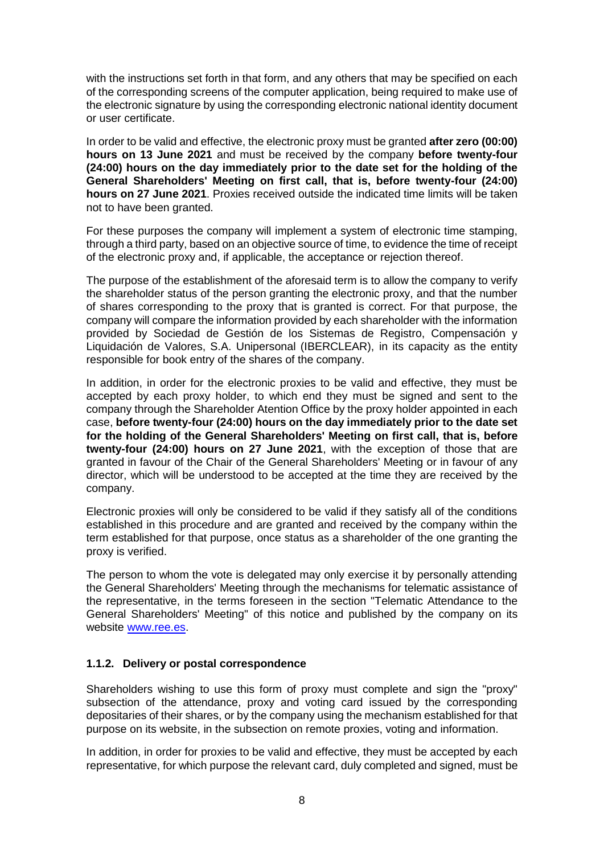with the instructions set forth in that form, and any others that may be specified on each of the corresponding screens of the computer application, being required to make use of the electronic signature by using the corresponding electronic national identity document or user certificate.

In order to be valid and effective, the electronic proxy must be granted **after zero (00:00) hours on 13 June 2021** and must be received by the company **before twenty-four (24:00) hours on the day immediately prior to the date set for the holding of the General Shareholders' Meeting on first call, that is, before twenty-four (24:00) hours on 27 June 2021**. Proxies received outside the indicated time limits will be taken not to have been granted.

For these purposes the company will implement a system of electronic time stamping, through a third party, based on an objective source of time, to evidence the time of receipt of the electronic proxy and, if applicable, the acceptance or rejection thereof.

The purpose of the establishment of the aforesaid term is to allow the company to verify the shareholder status of the person granting the electronic proxy, and that the number of shares corresponding to the proxy that is granted is correct. For that purpose, the company will compare the information provided by each shareholder with the information provided by Sociedad de Gestión de los Sistemas de Registro, Compensación y Liquidación de Valores, S.A. Unipersonal (IBERCLEAR), in its capacity as the entity responsible for book entry of the shares of the company.

In addition, in order for the electronic proxies to be valid and effective, they must be accepted by each proxy holder, to which end they must be signed and sent to the company through the Shareholder Atention Office by the proxy holder appointed in each case, **before twenty-four (24:00) hours on the day immediately prior to the date set for the holding of the General Shareholders' Meeting on first call, that is, before twenty-four (24:00) hours on 27 June 2021**, with the exception of those that are granted in favour of the Chair of the General Shareholders' Meeting or in favour of any director, which will be understood to be accepted at the time they are received by the company.

Electronic proxies will only be considered to be valid if they satisfy all of the conditions established in this procedure and are granted and received by the company within the term established for that purpose, once status as a shareholder of the one granting the proxy is verified.

The person to whom the vote is delegated may only exercise it by personally attending the General Shareholders' Meeting through the mechanisms for telematic assistance of the representative, in the terms foreseen in the section "Telematic Attendance to the General Shareholders' Meeting" of this notice and published by the company on its website [www.ree.es.](http://www.ree.es/)

# **1.1.2. Delivery or postal correspondence**

Shareholders wishing to use this form of proxy must complete and sign the "proxy" subsection of the attendance, proxy and voting card issued by the corresponding depositaries of their shares, or by the company using the mechanism established for that purpose on its website, in the subsection on remote proxies, voting and information.

In addition, in order for proxies to be valid and effective, they must be accepted by each representative, for which purpose the relevant card, duly completed and signed, must be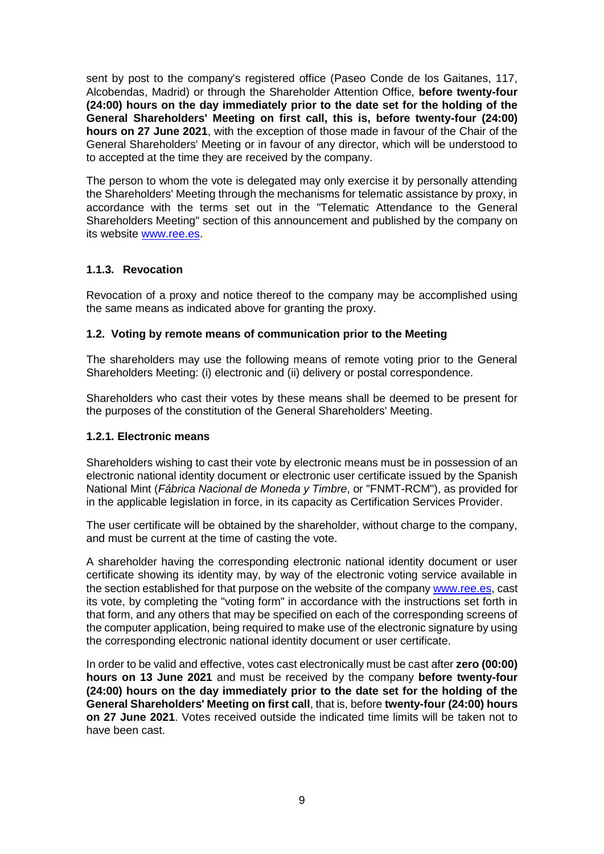sent by post to the company's registered office (Paseo Conde de los Gaitanes, 117, Alcobendas, Madrid) or through the Shareholder Attention Office, **before twenty-four (24:00) hours on the day immediately prior to the date set for the holding of the General Shareholders' Meeting on first call, this is, before twenty-four (24:00) hours on 27 June 2021**, with the exception of those made in favour of the Chair of the General Shareholders' Meeting or in favour of any director, which will be understood to to accepted at the time they are received by the company.

The person to whom the vote is delegated may only exercise it by personally attending the Shareholders' Meeting through the mechanisms for telematic assistance by proxy, in accordance with the terms set out in the "Telematic Attendance to the General Shareholders Meeting" section of this announcement and published by the company on its website [www.ree.es.](http://www.ree.es/)

# **1.1.3. Revocation**

Revocation of a proxy and notice thereof to the company may be accomplished using the same means as indicated above for granting the proxy.

# **1.2. Voting by remote means of communication prior to the Meeting**

The shareholders may use the following means of remote voting prior to the General Shareholders Meeting: (i) electronic and (ii) delivery or postal correspondence.

Shareholders who cast their votes by these means shall be deemed to be present for the purposes of the constitution of the General Shareholders' Meeting.

# **1.2.1. Electronic means**

Shareholders wishing to cast their vote by electronic means must be in possession of an electronic national identity document or electronic user certificate issued by the Spanish National Mint (*Fábrica Nacional de Moneda y Timbre*, or "FNMT-RCM"), as provided for in the applicable legislation in force, in its capacity as Certification Services Provider.

The user certificate will be obtained by the shareholder, without charge to the company, and must be current at the time of casting the vote.

A shareholder having the corresponding electronic national identity document or user certificate showing its identity may, by way of the electronic voting service available in the section established for that purpose on the website of the company [www.ree.es,](http://www.ree.es/) cast its vote, by completing the "voting form" in accordance with the instructions set forth in that form, and any others that may be specified on each of the corresponding screens of the computer application, being required to make use of the electronic signature by using the corresponding electronic national identity document or user certificate.

In order to be valid and effective, votes cast electronically must be cast after **zero (00:00) hours on 13 June 2021** and must be received by the company **before twenty-four (24:00) hours on the day immediately prior to the date set for the holding of the General Shareholders' Meeting on first call**, that is, before **twenty-four (24:00) hours on 27 June 2021**. Votes received outside the indicated time limits will be taken not to have been cast.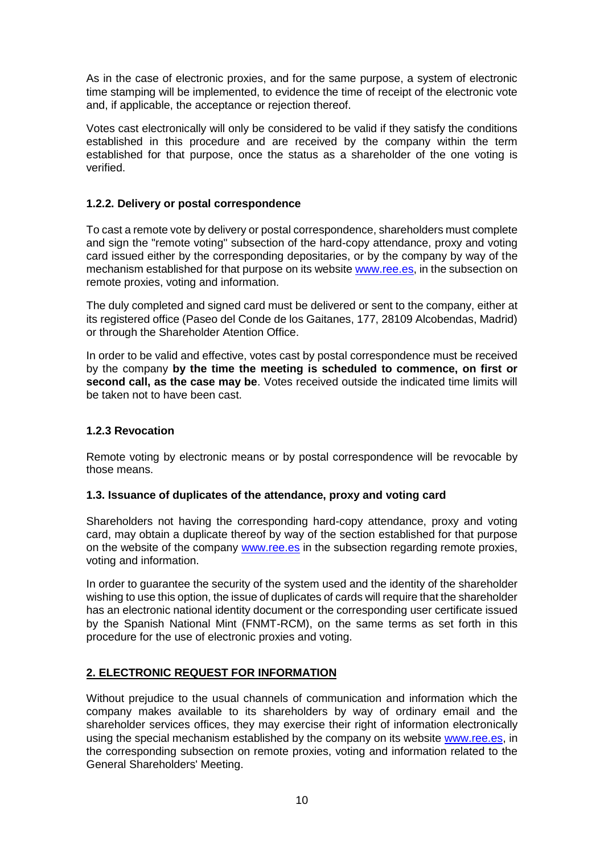As in the case of electronic proxies, and for the same purpose, a system of electronic time stamping will be implemented, to evidence the time of receipt of the electronic vote and, if applicable, the acceptance or rejection thereof.

Votes cast electronically will only be considered to be valid if they satisfy the conditions established in this procedure and are received by the company within the term established for that purpose, once the status as a shareholder of the one voting is verified.

# **1.2.2. Delivery or postal correspondence**

To cast a remote vote by delivery or postal correspondence, shareholders must complete and sign the "remote voting" subsection of the hard-copy attendance, proxy and voting card issued either by the corresponding depositaries, or by the company by way of the mechanism established for that purpose on its website **www.ree.es**, in the subsection on remote proxies, voting and information.

The duly completed and signed card must be delivered or sent to the company, either at its registered office (Paseo del Conde de los Gaitanes, 177, 28109 Alcobendas, Madrid) or through the Shareholder Atention Office.

In order to be valid and effective, votes cast by postal correspondence must be received by the company **by the time the meeting is scheduled to commence, on first or second call, as the case may be**. Votes received outside the indicated time limits will be taken not to have been cast.

# **1.2.3 Revocation**

Remote voting by electronic means or by postal correspondence will be revocable by those means.

# **1.3. Issuance of duplicates of the attendance, proxy and voting card**

Shareholders not having the corresponding hard-copy attendance, proxy and voting card, may obtain a duplicate thereof by way of the section established for that purpose on the website of the company [www.ree.es](http://www.ree.es/) in the subsection regarding remote proxies, voting and information.

In order to guarantee the security of the system used and the identity of the shareholder wishing to use this option, the issue of duplicates of cards will require that the shareholder has an electronic national identity document or the corresponding user certificate issued by the Spanish National Mint (FNMT-RCM), on the same terms as set forth in this procedure for the use of electronic proxies and voting.

# **2. ELECTRONIC REQUEST FOR INFORMATION**

Without prejudice to the usual channels of communication and information which the company makes available to its shareholders by way of ordinary email and the shareholder services offices, they may exercise their right of information electronically using the special mechanism established by the company on its website [www.ree.es,](http://www.ree.es/) in the corresponding subsection on remote proxies, voting and information related to the General Shareholders' Meeting.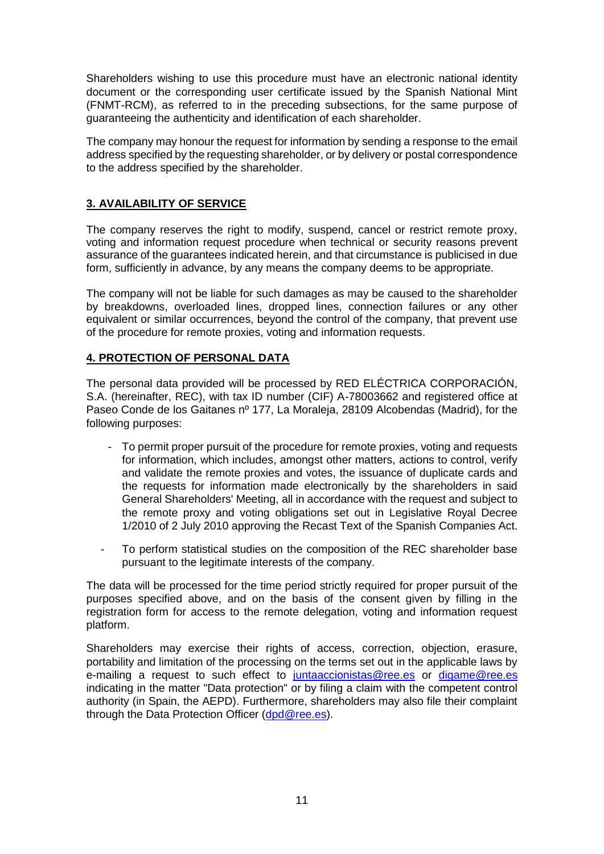Shareholders wishing to use this procedure must have an electronic national identity document or the corresponding user certificate issued by the Spanish National Mint (FNMT-RCM), as referred to in the preceding subsections, for the same purpose of guaranteeing the authenticity and identification of each shareholder.

The company may honour the request for information by sending a response to the email address specified by the requesting shareholder, or by delivery or postal correspondence to the address specified by the shareholder.

# **3. AVAILABILITY OF SERVICE**

The company reserves the right to modify, suspend, cancel or restrict remote proxy, voting and information request procedure when technical or security reasons prevent assurance of the guarantees indicated herein, and that circumstance is publicised in due form, sufficiently in advance, by any means the company deems to be appropriate.

The company will not be liable for such damages as may be caused to the shareholder by breakdowns, overloaded lines, dropped lines, connection failures or any other equivalent or similar occurrences, beyond the control of the company, that prevent use of the procedure for remote proxies, voting and information requests.

# **4. PROTECTION OF PERSONAL DATA**

The personal data provided will be processed by RED ELÉCTRICA CORPORACIÓN, S.A. (hereinafter, REC), with tax ID number (CIF) A-78003662 and registered office at Paseo Conde de los Gaitanes nº 177, La Moraleja, 28109 Alcobendas (Madrid), for the following purposes:

- To permit proper pursuit of the procedure for remote proxies, voting and requests for information, which includes, amongst other matters, actions to control, verify and validate the remote proxies and votes, the issuance of duplicate cards and the requests for information made electronically by the shareholders in said General Shareholders' Meeting, all in accordance with the request and subject to the remote proxy and voting obligations set out in Legislative Royal Decree 1/2010 of 2 July 2010 approving the Recast Text of the Spanish Companies Act.
- To perform statistical studies on the composition of the REC shareholder base pursuant to the legitimate interests of the company.

The data will be processed for the time period strictly required for proper pursuit of the purposes specified above, and on the basis of the consent given by filling in the registration form for access to the remote delegation, voting and information request platform.

Shareholders may exercise their rights of access, correction, objection, erasure, portability and limitation of the processing on the terms set out in the applicable laws by e-mailing a request to such effect to [juntaaccionistas@ree.es](mailto:juntaaccionistas@ree.es) or [digame@ree.es](mailto:digame@ree.es) indicating in the matter "Data protection" or by filing a claim with the competent control authority (in Spain, the AEPD). Furthermore, shareholders may also file their complaint through the Data Protection Officer [\(dpd@ree.es\)](file:///C:/Users/melrebre/AppData/Local/Microsoft/Windows/INetCache/Content.Outlook/YM8D3OXQ/dpd@ree.es).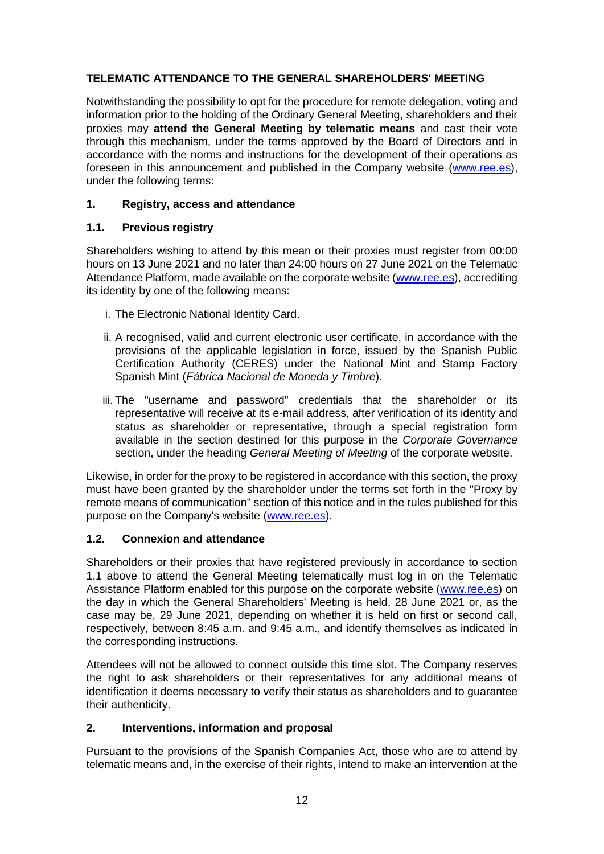# **TELEMATIC ATTENDANCE TO THE GENERAL SHAREHOLDERS' MEETING**

Notwithstanding the possibility to opt for the procedure for remote delegation, voting and information prior to the holding of the Ordinary General Meeting, shareholders and their proxies may **attend the General Meeting by telematic means** and cast their vote through this mechanism, under the terms approved by the Board of Directors and in accordance with the norms and instructions for the development of their operations as foreseen in this announcement and published in the Company website [\(www.ree.es\)](http://www.ree.es/), under the following terms:

# **1. Registry, access and attendance**

# **1.1. Previous registry**

Shareholders wishing to attend by this mean or their proxies must register from 00:00 hours on 13 June 2021 and no later than 24:00 hours on 27 June 2021 on the Telematic Attendance Platform, made available on the corporate website [\(www.ree.es\)](http://www.ree.es/), accrediting its identity by one of the following means:

- i. The Electronic National Identity Card.
- ii. A recognised, valid and current electronic user certificate, in accordance with the provisions of the applicable legislation in force, issued by the Spanish Public Certification Authority (CERES) under the National Mint and Stamp Factory Spanish Mint (*Fábrica Nacional de Moneda y Timbre*).
- iii. The "username and password" credentials that the shareholder or its representative will receive at its e-mail address, after verification of its identity and status as shareholder or representative, through a special registration form available in the section destined for this purpose in the *Corporate Governance* section, under the heading *General Meeting of Meeting* of the corporate website.

Likewise, in order for the proxy to be registered in accordance with this section, the proxy must have been granted by the shareholder under the terms set forth in the "Proxy by remote means of communication" section of this notice and in the rules published for this purpose on the Company's website [\(www.ree.es\)](file:///C:/Users/melrebre/AppData/Local/Microsoft/Windows/INetCache/Content.Outlook/YM8D3OXQ/www.ree.es).

# **1.2. Connexion and attendance**

Shareholders or their proxies that have registered previously in accordance to section 1.1 above to attend the General Meeting telematically must log in on the Telematic Assistance Platform enabled for this purpose on the corporate website [\(www.ree.es\)](http://www.ree.es/) on the day in which the General Shareholders' Meeting is held, 28 June 2021 or, as the case may be, 29 June 2021, depending on whether it is held on first or second call, respectively, between 8:45 a.m. and 9:45 a.m., and identify themselves as indicated in the corresponding instructions.

Attendees will not be allowed to connect outside this time slot. The Company reserves the right to ask shareholders or their representatives for any additional means of identification it deems necessary to verify their status as shareholders and to guarantee their authenticity.

# **2. Interventions, information and proposal**

Pursuant to the provisions of the Spanish Companies Act, those who are to attend by telematic means and, in the exercise of their rights, intend to make an intervention at the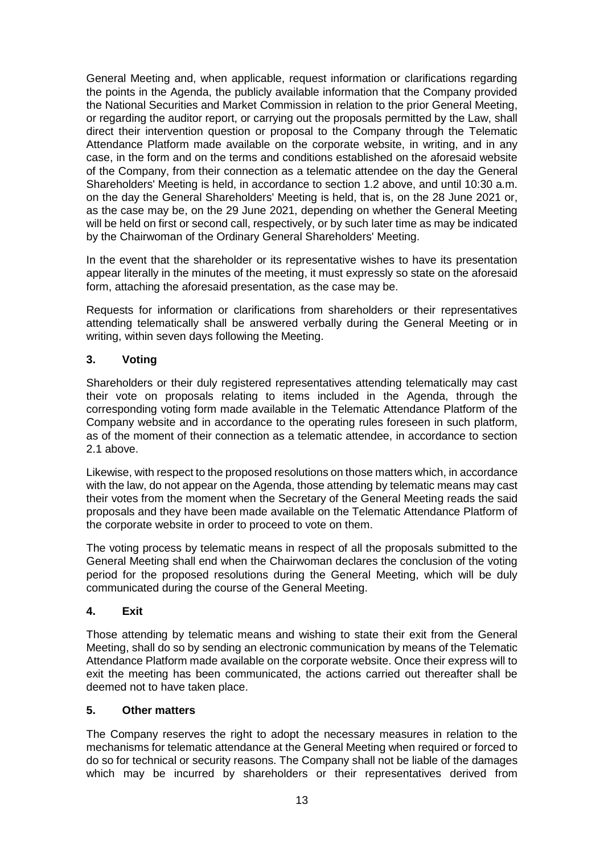General Meeting and, when applicable, request information or clarifications regarding the points in the Agenda, the publicly available information that the Company provided the National Securities and Market Commission in relation to the prior General Meeting, or regarding the auditor report, or carrying out the proposals permitted by the Law, shall direct their intervention question or proposal to the Company through the Telematic Attendance Platform made available on the corporate website, in writing, and in any case, in the form and on the terms and conditions established on the aforesaid website of the Company, from their connection as a telematic attendee on the day the General Shareholders' Meeting is held, in accordance to section 1.2 above, and until 10:30 a.m. on the day the General Shareholders' Meeting is held, that is, on the 28 June 2021 or, as the case may be, on the 29 June 2021, depending on whether the General Meeting will be held on first or second call, respectively, or by such later time as may be indicated by the Chairwoman of the Ordinary General Shareholders' Meeting.

In the event that the shareholder or its representative wishes to have its presentation appear literally in the minutes of the meeting, it must expressly so state on the aforesaid form, attaching the aforesaid presentation, as the case may be.

Requests for information or clarifications from shareholders or their representatives attending telematically shall be answered verbally during the General Meeting or in writing, within seven days following the Meeting.

# **3. Voting**

Shareholders or their duly registered representatives attending telematically may cast their vote on proposals relating to items included in the Agenda, through the corresponding voting form made available in the Telematic Attendance Platform of the Company website and in accordance to the operating rules foreseen in such platform, as of the moment of their connection as a telematic attendee, in accordance to section 2.1 above.

Likewise, with respect to the proposed resolutions on those matters which, in accordance with the law, do not appear on the Agenda, those attending by telematic means may cast their votes from the moment when the Secretary of the General Meeting reads the said proposals and they have been made available on the Telematic Attendance Platform of the corporate website in order to proceed to vote on them.

The voting process by telematic means in respect of all the proposals submitted to the General Meeting shall end when the Chairwoman declares the conclusion of the voting period for the proposed resolutions during the General Meeting, which will be duly communicated during the course of the General Meeting.

# **4. Exit**

Those attending by telematic means and wishing to state their exit from the General Meeting, shall do so by sending an electronic communication by means of the Telematic Attendance Platform made available on the corporate website. Once their express will to exit the meeting has been communicated, the actions carried out thereafter shall be deemed not to have taken place.

# **5. Other matters**

The Company reserves the right to adopt the necessary measures in relation to the mechanisms for telematic attendance at the General Meeting when required or forced to do so for technical or security reasons. The Company shall not be liable of the damages which may be incurred by shareholders or their representatives derived from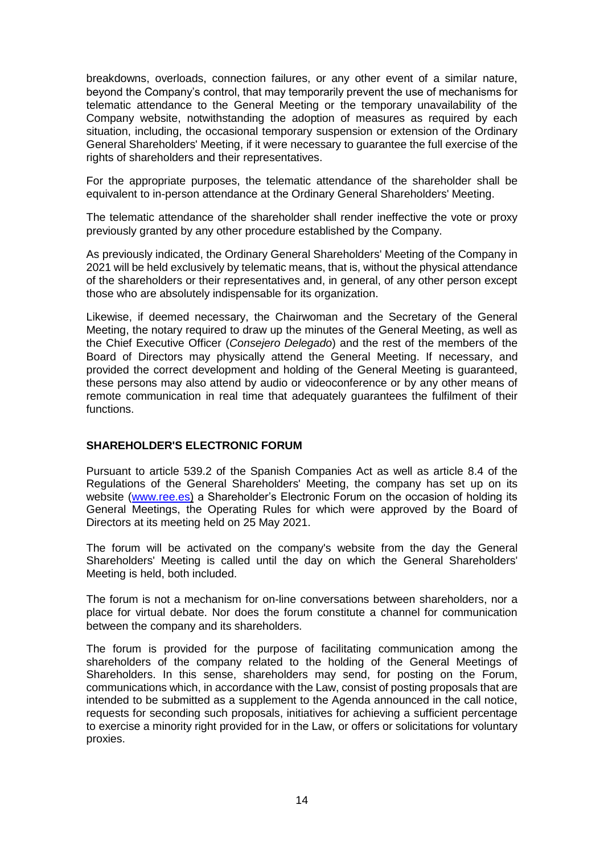breakdowns, overloads, connection failures, or any other event of a similar nature, beyond the Company's control, that may temporarily prevent the use of mechanisms for telematic attendance to the General Meeting or the temporary unavailability of the Company website, notwithstanding the adoption of measures as required by each situation, including, the occasional temporary suspension or extension of the Ordinary General Shareholders' Meeting, if it were necessary to guarantee the full exercise of the rights of shareholders and their representatives.

For the appropriate purposes, the telematic attendance of the shareholder shall be equivalent to in-person attendance at the Ordinary General Shareholders' Meeting.

The telematic attendance of the shareholder shall render ineffective the vote or proxy previously granted by any other procedure established by the Company.

As previously indicated, the Ordinary General Shareholders' Meeting of the Company in 2021 will be held exclusively by telematic means, that is, without the physical attendance of the shareholders or their representatives and, in general, of any other person except those who are absolutely indispensable for its organization.

Likewise, if deemed necessary, the Chairwoman and the Secretary of the General Meeting, the notary required to draw up the minutes of the General Meeting, as well as the Chief Executive Officer (*Consejero Delegado*) and the rest of the members of the Board of Directors may physically attend the General Meeting. If necessary, and provided the correct development and holding of the General Meeting is guaranteed, these persons may also attend by audio or videoconference or by any other means of remote communication in real time that adequately guarantees the fulfilment of their functions.

# **SHAREHOLDER'S ELECTRONIC FORUM**

Pursuant to article 539.2 of the Spanish Companies Act as well as article 8.4 of the Regulations of the General Shareholders' Meeting, the company has set up on its website [\(www.ree.es\)](http://www.ree.es/) a Shareholder's Electronic Forum on the occasion of holding its General Meetings, the Operating Rules for which were approved by the Board of Directors at its meeting held on 25 May 2021.

The forum will be activated on the company's website from the day the General Shareholders' Meeting is called until the day on which the General Shareholders' Meeting is held, both included.

The forum is not a mechanism for on-line conversations between shareholders, nor a place for virtual debate. Nor does the forum constitute a channel for communication between the company and its shareholders.

The forum is provided for the purpose of facilitating communication among the shareholders of the company related to the holding of the General Meetings of Shareholders. In this sense, shareholders may send, for posting on the Forum, communications which, in accordance with the Law, consist of posting proposals that are intended to be submitted as a supplement to the Agenda announced in the call notice, requests for seconding such proposals, initiatives for achieving a sufficient percentage to exercise a minority right provided for in the Law, or offers or solicitations for voluntary proxies.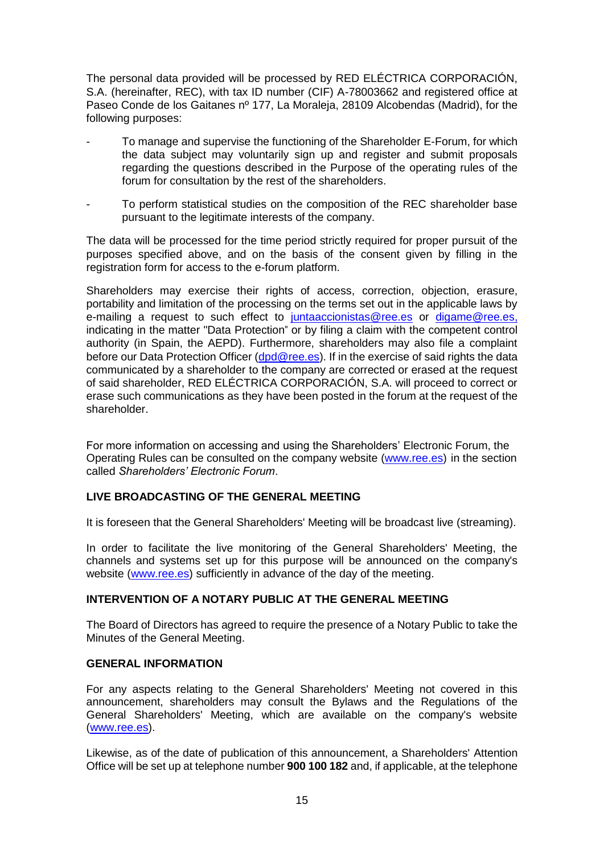The personal data provided will be processed by RED ELÉCTRICA CORPORACIÓN, S.A. (hereinafter, REC), with tax ID number (CIF) A-78003662 and registered office at Paseo Conde de los Gaitanes nº 177, La Moraleja, 28109 Alcobendas (Madrid), for the following purposes:

- To manage and supervise the functioning of the Shareholder E-Forum, for which the data subject may voluntarily sign up and register and submit proposals regarding the questions described in the Purpose of the operating rules of the forum for consultation by the rest of the shareholders.
- To perform statistical studies on the composition of the REC shareholder base pursuant to the legitimate interests of the company.

The data will be processed for the time period strictly required for proper pursuit of the purposes specified above, and on the basis of the consent given by filling in the registration form for access to the e-forum platform.

Shareholders may exercise their rights of access, correction, objection, erasure, portability and limitation of the processing on the terms set out in the applicable laws by e-mailing a request to such effect to [juntaaccionistas@ree.es](mailto:juntaaccionistas@ree.es) or [digame@ree.es,](mailto:digame@ree.es) indicating in the matter "Data Protection" or by filing a claim with the competent control authority (in Spain, the AEPD). Furthermore, shareholders may also file a complaint before our Data Protection Officer [\(dpd@ree.es\)](file:///C:/Users/melrebre/AppData/Local/Microsoft/Windows/INetCache/Content.Outlook/YM8D3OXQ/dpd@ree.es). If in the exercise of said rights the data communicated by a shareholder to the company are corrected or erased at the request of said shareholder, RED ELÉCTRICA CORPORACIÓN, S.A. will proceed to correct or erase such communications as they have been posted in the forum at the request of the shareholder.

For more information on accessing and using the Shareholders' Electronic Forum, the Operating Rules can be consulted on the company website [\(www.ree.es\)](http://www.ree.es/) in the section called *Shareholders' Electronic Forum*.

# **LIVE BROADCASTING OF THE GENERAL MEETING**

It is foreseen that the General Shareholders' Meeting will be broadcast live (streaming).

In order to facilitate the live monitoring of the General Shareholders' Meeting, the channels and systems set up for this purpose will be announced on the company's website [\(www.ree.es\)](http://www.ree.es/) sufficiently in advance of the day of the meeting.

#### **INTERVENTION OF A NOTARY PUBLIC AT THE GENERAL MEETING**

The Board of Directors has agreed to require the presence of a Notary Public to take the Minutes of the General Meeting.

#### **GENERAL INFORMATION**

For any aspects relating to the General Shareholders' Meeting not covered in this announcement, shareholders may consult the Bylaws and the Regulations of the General Shareholders' Meeting, which are available on the company's website [\(www.ree.es\)](http://www.ree.es/).

Likewise, as of the date of publication of this announcement, a Shareholders' Attention Office will be set up at telephone number **900 100 182** and, if applicable, at the telephone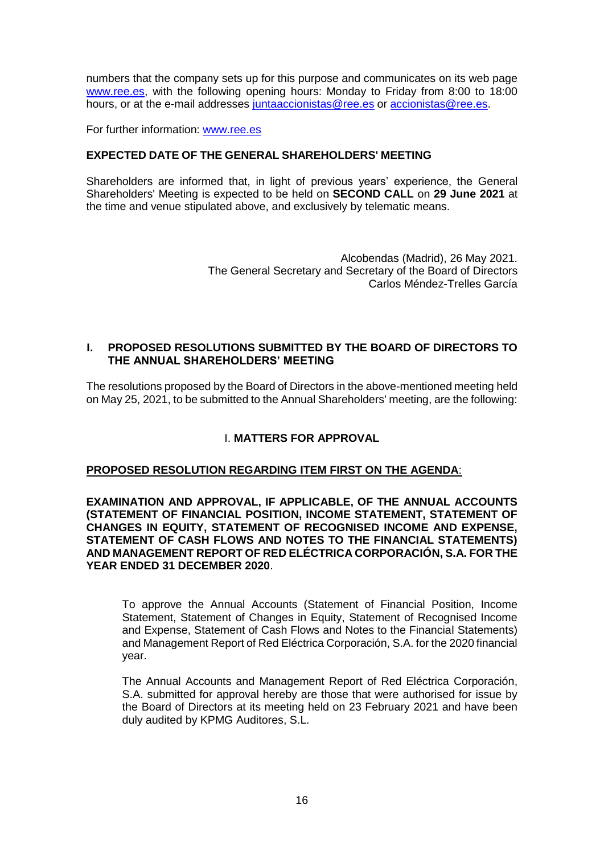numbers that the company sets up for this purpose and communicates on its web page [www.ree.es,](http://www.ree.es/) with the following opening hours: Monday to Friday from 8:00 to 18:00 hours, or at the e-mail addresses juntaaccionistas@ree.es or [accionistas@ree.es.](mailto:accionistas@ree.es)

For further information: [www.ree.es](http://www.ree.es/)

# **EXPECTED DATE OF THE GENERAL SHAREHOLDERS' MEETING**

Shareholders are informed that, in light of previous years' experience, the General Shareholders' Meeting is expected to be held on **SECOND CALL** on **29 June 2021** at the time and venue stipulated above, and exclusively by telematic means.

> Alcobendas (Madrid), 26 May 2021. The General Secretary and Secretary of the Board of Directors Carlos Méndez-Trelles García

# **I. PROPOSED RESOLUTIONS SUBMITTED BY THE BOARD OF DIRECTORS TO THE ANNUAL SHAREHOLDERS' MEETING**

The resolutions proposed by the Board of Directors in the above-mentioned meeting held on May 25, 2021, to be submitted to the Annual Shareholders' meeting, are the following:

# I. **MATTERS FOR APPROVAL**

# **PROPOSED RESOLUTION REGARDING ITEM FIRST ON THE AGENDA**:

**EXAMINATION AND APPROVAL, IF APPLICABLE, OF THE ANNUAL ACCOUNTS (STATEMENT OF FINANCIAL POSITION, INCOME STATEMENT, STATEMENT OF CHANGES IN EQUITY, STATEMENT OF RECOGNISED INCOME AND EXPENSE, STATEMENT OF CASH FLOWS AND NOTES TO THE FINANCIAL STATEMENTS) AND MANAGEMENT REPORT OF RED ELÉCTRICA CORPORACIÓN, S.A. FOR THE YEAR ENDED 31 DECEMBER 2020**.

To approve the Annual Accounts (Statement of Financial Position, Income Statement, Statement of Changes in Equity, Statement of Recognised Income and Expense, Statement of Cash Flows and Notes to the Financial Statements) and Management Report of Red Eléctrica Corporación, S.A. for the 2020 financial year.

The Annual Accounts and Management Report of Red Eléctrica Corporación, S.A. submitted for approval hereby are those that were authorised for issue by the Board of Directors at its meeting held on 23 February 2021 and have been duly audited by KPMG Auditores, S.L.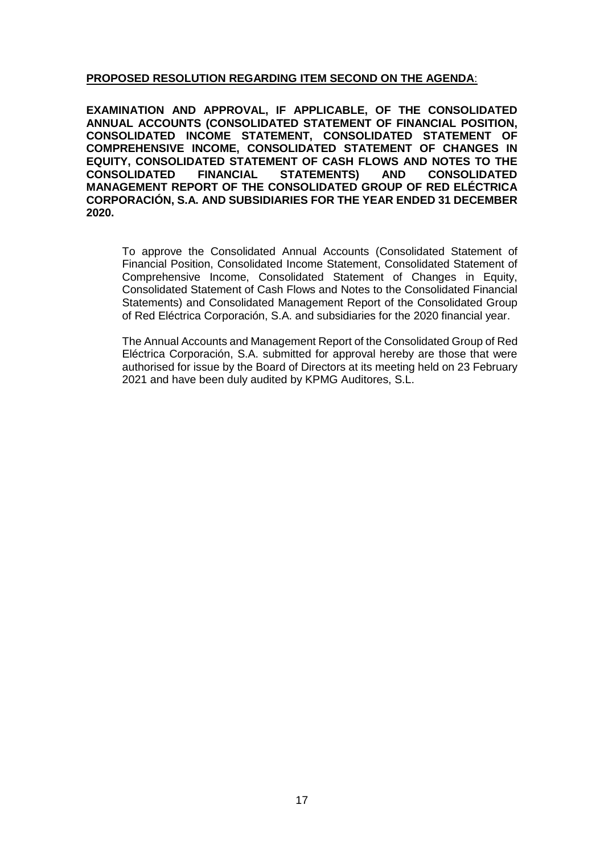# **PROPOSED RESOLUTION REGARDING ITEM SECOND ON THE AGENDA**:

**EXAMINATION AND APPROVAL, IF APPLICABLE, OF THE CONSOLIDATED ANNUAL ACCOUNTS (CONSOLIDATED STATEMENT OF FINANCIAL POSITION, CONSOLIDATED INCOME STATEMENT, CONSOLIDATED STATEMENT OF COMPREHENSIVE INCOME, CONSOLIDATED STATEMENT OF CHANGES IN EQUITY, CONSOLIDATED STATEMENT OF CASH FLOWS AND NOTES TO THE CONSOLIDATED FINANCIAL STATEMENTS) AND CONSOLIDATED MANAGEMENT REPORT OF THE CONSOLIDATED GROUP OF RED ELÉCTRICA CORPORACIÓN, S.A. AND SUBSIDIARIES FOR THE YEAR ENDED 31 DECEMBER 2020.**

To approve the Consolidated Annual Accounts (Consolidated Statement of Financial Position, Consolidated Income Statement, Consolidated Statement of Comprehensive Income, Consolidated Statement of Changes in Equity, Consolidated Statement of Cash Flows and Notes to the Consolidated Financial Statements) and Consolidated Management Report of the Consolidated Group of Red Eléctrica Corporación, S.A. and subsidiaries for the 2020 financial year.

The Annual Accounts and Management Report of the Consolidated Group of Red Eléctrica Corporación, S.A. submitted for approval hereby are those that were authorised for issue by the Board of Directors at its meeting held on 23 February 2021 and have been duly audited by KPMG Auditores, S.L.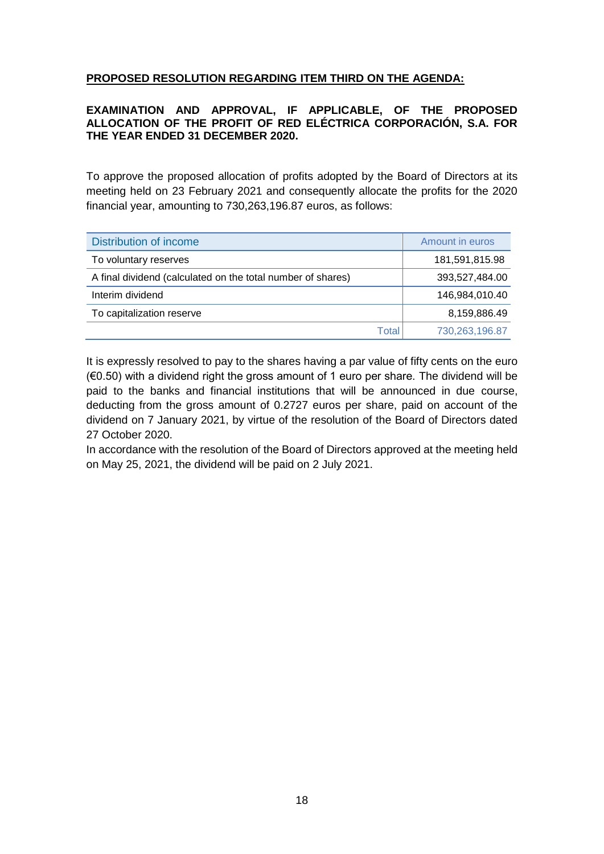# **PROPOSED RESOLUTION REGARDING ITEM THIRD ON THE AGENDA:**

# **EXAMINATION AND APPROVAL, IF APPLICABLE, OF THE PROPOSED ALLOCATION OF THE PROFIT OF RED ELÉCTRICA CORPORACIÓN, S.A. FOR THE YEAR ENDED 31 DECEMBER 2020.**

To approve the proposed allocation of profits adopted by the Board of Directors at its meeting held on 23 February 2021 and consequently allocate the profits for the 2020 financial year, amounting to 730,263,196.87 euros, as follows:

| Distribution of income                                      |       | Amount in euros |
|-------------------------------------------------------------|-------|-----------------|
| To voluntary reserves                                       |       | 181,591,815.98  |
| A final dividend (calculated on the total number of shares) |       | 393,527,484.00  |
| Interim dividend                                            |       | 146,984,010.40  |
| To capitalization reserve                                   |       | 8,159,886.49    |
|                                                             | Total | 730,263,196.87  |

It is expressly resolved to pay to the shares having a par value of fifty cents on the euro  $(60.50)$  with a dividend right the gross amount of 1 euro per share. The dividend will be paid to the banks and financial institutions that will be announced in due course, deducting from the gross amount of 0.2727 euros per share, paid on account of the dividend on 7 January 2021, by virtue of the resolution of the Board of Directors dated 27 October 2020.

In accordance with the resolution of the Board of Directors approved at the meeting held on May 25, 2021, the dividend will be paid on 2 July 2021.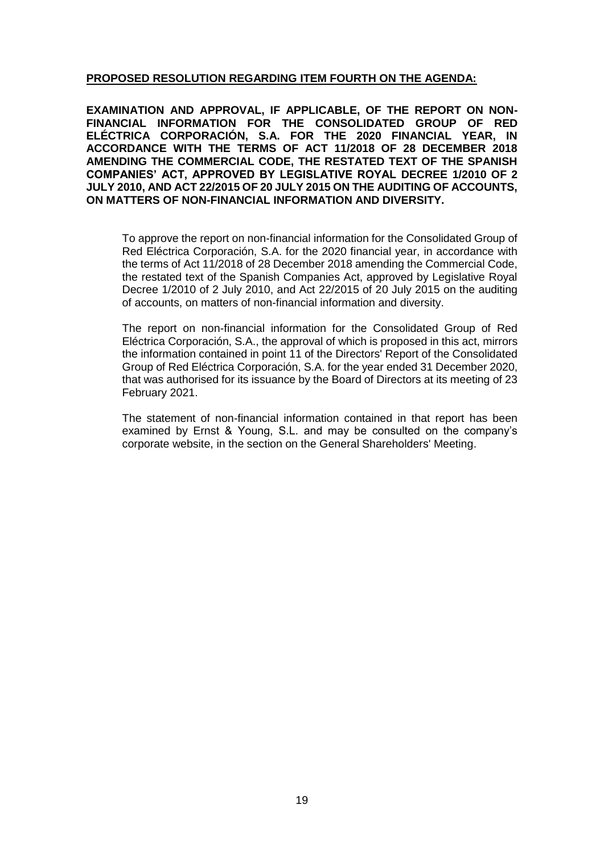# **PROPOSED RESOLUTION REGARDING ITEM FOURTH ON THE AGENDA:**

**EXAMINATION AND APPROVAL, IF APPLICABLE, OF THE REPORT ON NON-FINANCIAL INFORMATION FOR THE CONSOLIDATED GROUP OF RED ELÉCTRICA CORPORACIÓN, S.A. FOR THE 2020 FINANCIAL YEAR, IN ACCORDANCE WITH THE TERMS OF ACT 11/2018 OF 28 DECEMBER 2018 AMENDING THE COMMERCIAL CODE, THE RESTATED TEXT OF THE SPANISH COMPANIES' ACT, APPROVED BY LEGISLATIVE ROYAL DECREE 1/2010 OF 2 JULY 2010, AND ACT 22/2015 OF 20 JULY 2015 ON THE AUDITING OF ACCOUNTS, ON MATTERS OF NON-FINANCIAL INFORMATION AND DIVERSITY.**

To approve the report on non-financial information for the Consolidated Group of Red Eléctrica Corporación, S.A. for the 2020 financial year, in accordance with the terms of Act 11/2018 of 28 December 2018 amending the Commercial Code, the restated text of the Spanish Companies Act, approved by Legislative Royal Decree 1/2010 of 2 July 2010, and Act 22/2015 of 20 July 2015 on the auditing of accounts, on matters of non-financial information and diversity.

The report on non-financial information for the Consolidated Group of Red Eléctrica Corporación, S.A., the approval of which is proposed in this act, mirrors the information contained in point 11 of the Directors' Report of the Consolidated Group of Red Eléctrica Corporación, S.A. for the year ended 31 December 2020, that was authorised for its issuance by the Board of Directors at its meeting of 23 February 2021.

The statement of non-financial information contained in that report has been examined by Ernst & Young, S.L. and may be consulted on the company's corporate website, in the section on the General Shareholders' Meeting.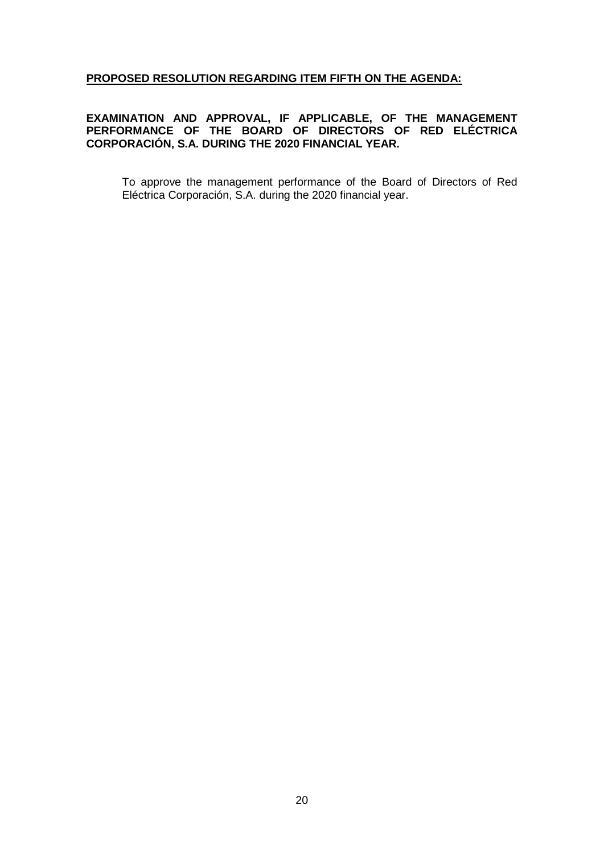# **PROPOSED RESOLUTION REGARDING ITEM FIFTH ON THE AGENDA:**

## **EXAMINATION AND APPROVAL, IF APPLICABLE, OF THE MANAGEMENT PERFORMANCE OF THE BOARD OF DIRECTORS OF RED ELÉCTRICA CORPORACIÓN, S.A. DURING THE 2020 FINANCIAL YEAR.**

To approve the management performance of the Board of Directors of Red Eléctrica Corporación, S.A. during the 2020 financial year.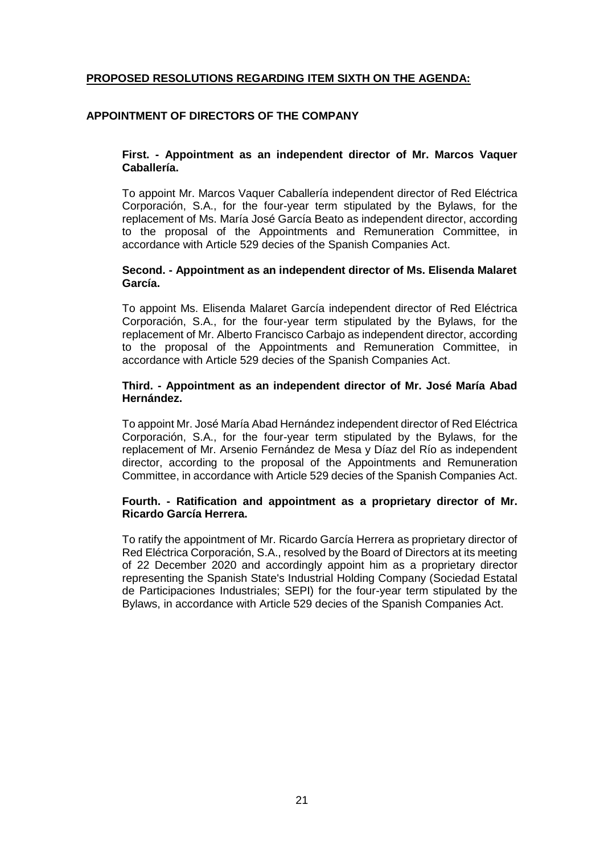# **PROPOSED RESOLUTIONS REGARDING ITEM SIXTH ON THE AGENDA:**

### **APPOINTMENT OF DIRECTORS OF THE COMPANY**

#### **First. - Appointment as an independent director of Mr. Marcos Vaquer Caballería.**

To appoint Mr. Marcos Vaquer Caballería independent director of Red Eléctrica Corporación, S.A., for the four-year term stipulated by the Bylaws, for the replacement of Ms. María José García Beato as independent director, according to the proposal of the Appointments and Remuneration Committee, in accordance with Article 529 decies of the Spanish Companies Act.

#### **Second. - Appointment as an independent director of Ms. Elisenda Malaret García.**

To appoint Ms. Elisenda Malaret García independent director of Red Eléctrica Corporación, S.A., for the four-year term stipulated by the Bylaws, for the replacement of Mr. Alberto Francisco Carbajo as independent director, according to the proposal of the Appointments and Remuneration Committee, in accordance with Article 529 decies of the Spanish Companies Act.

#### **Third. - Appointment as an independent director of Mr. José María Abad Hernández.**

To appoint Mr. José María Abad Hernández independent director of Red Eléctrica Corporación, S.A., for the four-year term stipulated by the Bylaws, for the replacement of Mr. Arsenio Fernández de Mesa y Díaz del Río as independent director, according to the proposal of the Appointments and Remuneration Committee, in accordance with Article 529 decies of the Spanish Companies Act.

### **Fourth. - Ratification and appointment as a proprietary director of Mr. Ricardo García Herrera.**

To ratify the appointment of Mr. Ricardo García Herrera as proprietary director of Red Eléctrica Corporación, S.A., resolved by the Board of Directors at its meeting of 22 December 2020 and accordingly appoint him as a proprietary director representing the Spanish State's Industrial Holding Company (Sociedad Estatal de Participaciones Industriales; SEPI) for the four-year term stipulated by the Bylaws, in accordance with Article 529 decies of the Spanish Companies Act.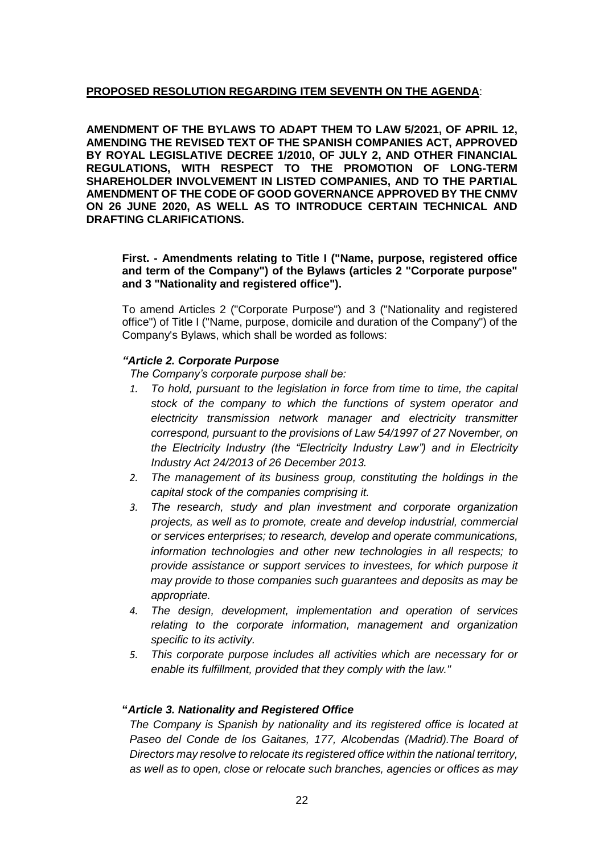# **PROPOSED RESOLUTION REGARDING ITEM SEVENTH ON THE AGENDA**:

**AMENDMENT OF THE BYLAWS TO ADAPT THEM TO LAW 5/2021, OF APRIL 12, AMENDING THE REVISED TEXT OF THE SPANISH COMPANIES ACT, APPROVED BY ROYAL LEGISLATIVE DECREE 1/2010, OF JULY 2, AND OTHER FINANCIAL REGULATIONS, WITH RESPECT TO THE PROMOTION OF LONG-TERM SHAREHOLDER INVOLVEMENT IN LISTED COMPANIES, AND TO THE PARTIAL AMENDMENT OF THE CODE OF GOOD GOVERNANCE APPROVED BY THE CNMV ON 26 JUNE 2020, AS WELL AS TO INTRODUCE CERTAIN TECHNICAL AND DRAFTING CLARIFICATIONS.**

**First. - Amendments relating to Title I ("Name, purpose, registered office and term of the Company") of the Bylaws (articles 2 "Corporate purpose" and 3 "Nationality and registered office").** 

To amend Articles 2 ("Corporate Purpose") and 3 ("Nationality and registered office") of Title I ("Name, purpose, domicile and duration of the Company") of the Company's Bylaws, which shall be worded as follows:

# *"Article 2. Corporate Purpose*

*The Company's corporate purpose shall be:*

- *1. To hold, pursuant to the legislation in force from time to time, the capital stock of the company to which the functions of system operator and electricity transmission network manager and electricity transmitter correspond, pursuant to the provisions of Law 54/1997 of 27 November, on the Electricity Industry (the "Electricity Industry Law") and in Electricity Industry Act 24/2013 of 26 December 2013.*
- *2. The management of its business group, constituting the holdings in the capital stock of the companies comprising it.*
- *3. The research, study and plan investment and corporate organization projects, as well as to promote, create and develop industrial, commercial or services enterprises; to research, develop and operate communications, information technologies and other new technologies in all respects; to provide assistance or support services to investees, for which purpose it may provide to those companies such guarantees and deposits as may be appropriate.*
- *4. The design, development, implementation and operation of services relating to the corporate information, management and organization specific to its activity.*
- *5. This corporate purpose includes all activities which are necessary for or enable its fulfillment, provided that they comply with the law."*

# **"***Article 3. Nationality and Registered Office*

*The Company is Spanish by nationality and its registered office is located at Paseo del Conde de los Gaitanes, 177, Alcobendas (Madrid).The Board of Directors may resolve to relocate its registered office within the national territory, as well as to open, close or relocate such branches, agencies or offices as may*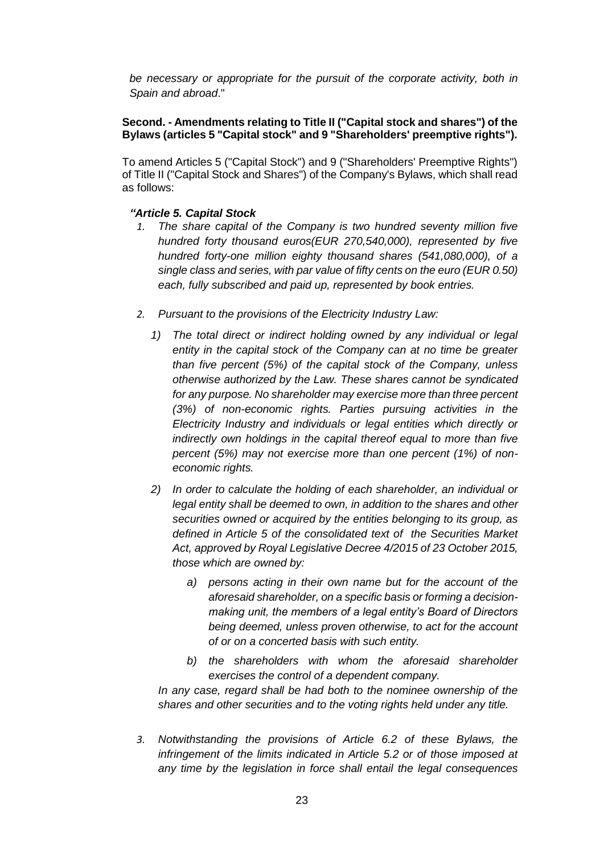*be necessary or appropriate for the pursuit of the corporate activity, both in Spain and abroad*."

# **Second. - Amendments relating to Title II ("Capital stock and shares") of the Bylaws (articles 5 "Capital stock" and 9 "Shareholders' preemptive rights").**

To amend Articles 5 ("Capital Stock") and 9 ("Shareholders' Preemptive Rights") of Title II ("Capital Stock and Shares") of the Company's Bylaws, which shall read as follows:

# *"Article 5. Capital Stock*

- *1. The share capital of the Company is two hundred seventy million five hundred forty thousand euros(EUR 270,540,000), represented by five hundred forty-one million eighty thousand shares (541,080,000), of a single class and series, with par value of fifty cents on the euro (EUR 0.50) each, fully subscribed and paid up, represented by book entries.*
- *2. Pursuant to the provisions of the Electricity Industry Law:*
	- *1) The total direct or indirect holding owned by any individual or legal entity in the capital stock of the Company can at no time be greater than five percent (5%) of the capital stock of the Company, unless otherwise authorized by the Law. These shares cannot be syndicated for any purpose. No shareholder may exercise more than three percent (3%) of non-economic rights. Parties pursuing activities in the Electricity Industry and individuals or legal entities which directly or indirectly own holdings in the capital thereof equal to more than five percent (5%) may not exercise more than one percent (1%) of noneconomic rights.*
	- *2) In order to calculate the holding of each shareholder, an individual or legal entity shall be deemed to own, in addition to the shares and other securities owned or acquired by the entities belonging to its group, as defined in Article 5 of the consolidated text of the Securities Market Act, approved by Royal Legislative Decree 4/2015 of 23 October 2015, those which are owned by:*
		- *a) persons acting in their own name but for the account of the aforesaid shareholder, on a specific basis or forming a decisionmaking unit, the members of a legal entity's Board of Directors being deemed, unless proven otherwise, to act for the account of or on a concerted basis with such entity.*
		- *b) the shareholders with whom the aforesaid shareholder exercises the control of a dependent company.*

*In any case, regard shall be had both to the nominee ownership of the shares and other securities and to the voting rights held under any title.*

*3. Notwithstanding the provisions of Article 6.2 of these Bylaws, the infringement of the limits indicated in Article 5.2 or of those imposed at any time by the legislation in force shall entail the legal consequences*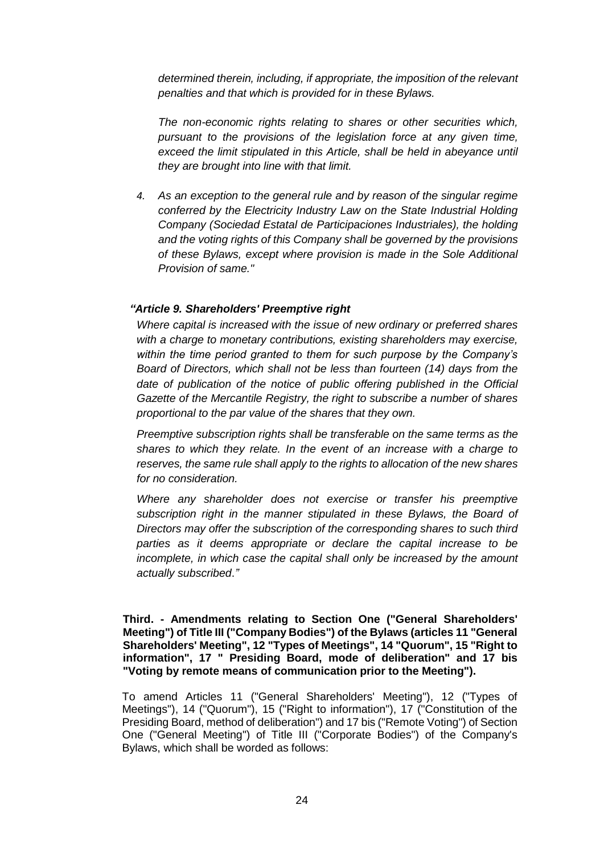*determined therein, including, if appropriate, the imposition of the relevant penalties and that which is provided for in these Bylaws.*

*The non-economic rights relating to shares or other securities which, pursuant to the provisions of the legislation force at any given time,*  exceed the limit stipulated in this Article, shall be held in abevance until *they are brought into line with that limit.*

*4. As an exception to the general rule and by reason of the singular regime conferred by the Electricity Industry Law on the State Industrial Holding Company (Sociedad Estatal de Participaciones Industriales), the holding and the voting rights of this Company shall be governed by the provisions of these Bylaws, except where provision is made in the Sole Additional Provision of same."*

# *"Article 9. Shareholders' Preemptive right*

*Where capital is increased with the issue of new ordinary or preferred shares with a charge to monetary contributions, existing shareholders may exercise, within the time period granted to them for such purpose by the Company's Board of Directors, which shall not be less than fourteen (14) days from the*  date of publication of the notice of public offering published in the Official *Gazette of the Mercantile Registry, the right to subscribe a number of shares proportional to the par value of the shares that they own.*

*Preemptive subscription rights shall be transferable on the same terms as the shares to which they relate. In the event of an increase with a charge to reserves, the same rule shall apply to the rights to allocation of the new shares for no consideration.*

*Where any shareholder does not exercise or transfer his preemptive subscription right in the manner stipulated in these Bylaws, the Board of Directors may offer the subscription of the corresponding shares to such third parties as it deems appropriate or declare the capital increase to be incomplete, in which case the capital shall only be increased by the amount actually subscribed*.*"*

**Third. - Amendments relating to Section One ("General Shareholders' Meeting") of Title III ("Company Bodies") of the Bylaws (articles 11 "General Shareholders' Meeting", 12 "Types of Meetings", 14 "Quorum", 15 "Right to information", 17 " Presiding Board, mode of deliberation" and 17 bis "Voting by remote means of communication prior to the Meeting").** 

To amend Articles 11 ("General Shareholders' Meeting"), 12 ("Types of Meetings"), 14 ("Quorum"), 15 ("Right to information"), 17 ("Constitution of the Presiding Board, method of deliberation") and 17 bis ("Remote Voting") of Section One ("General Meeting") of Title III ("Corporate Bodies") of the Company's Bylaws, which shall be worded as follows: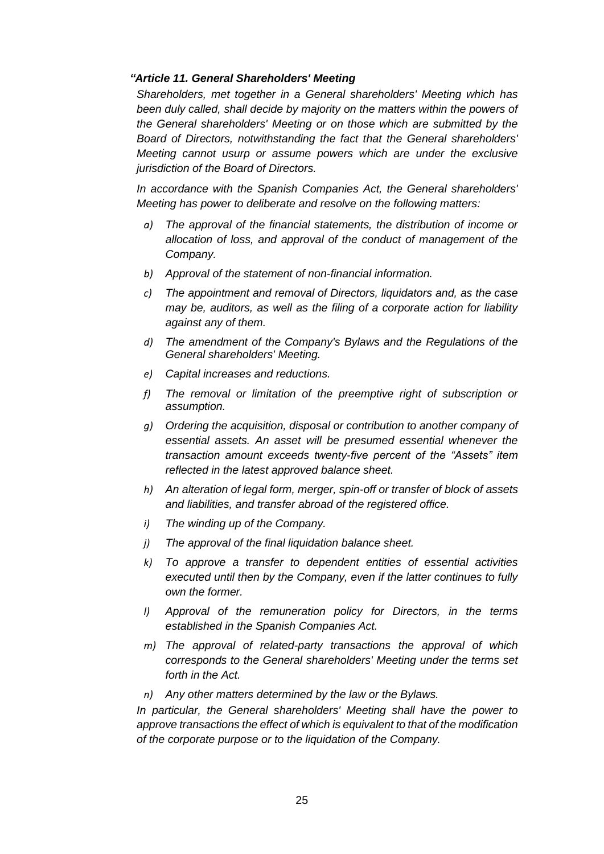# *"Article 11. General Shareholders' Meeting*

*Shareholders, met together in a General shareholders' Meeting which has*  been duly called, shall decide by majority on the matters within the powers of *the General shareholders' Meeting or on those which are submitted by the Board of Directors, notwithstanding the fact that the General shareholders' Meeting cannot usurp or assume powers which are under the exclusive jurisdiction of the Board of Directors.*

*In accordance with the Spanish Companies Act, the General shareholders' Meeting has power to deliberate and resolve on the following matters:*

- *a) The approval of the financial statements, the distribution of income or allocation of loss, and approval of the conduct of management of the Company.*
- *b) Approval of the statement of non-financial information.*
- *c) The appointment and removal of Directors, liquidators and, as the case may be, auditors, as well as the filing of a corporate action for liability against any of them.*
- *d) The amendment of the Company's Bylaws and the Regulations of the General shareholders' Meeting.*
- *e) Capital increases and reductions.*
- *f) The removal or limitation of the preemptive right of subscription or assumption.*
- *g) Ordering the acquisition, disposal or contribution to another company of essential assets. An asset will be presumed essential whenever the transaction amount exceeds twenty-five percent of the "Assets" item reflected in the latest approved balance sheet.*
- *h) An alteration of legal form, merger, spin-off or transfer of block of assets and liabilities, and transfer abroad of the registered office.*
- *i) The winding up of the Company.*
- *j) The approval of the final liquidation balance sheet.*
- *k) To approve a transfer to dependent entities of essential activities executed until then by the Company, even if the latter continues to fully own the former.*
- *l) Approval of the remuneration policy for Directors, in the terms established in the Spanish Companies Act.*
- *m) The approval of related-party transactions the approval of which corresponds to the General shareholders' Meeting under the terms set forth in the Act.*
- *n) Any other matters determined by the law or the Bylaws.*

*In particular, the General shareholders' Meeting shall have the power to approve transactions the effect of which is equivalent to that of the modification of the corporate purpose or to the liquidation of the Company.*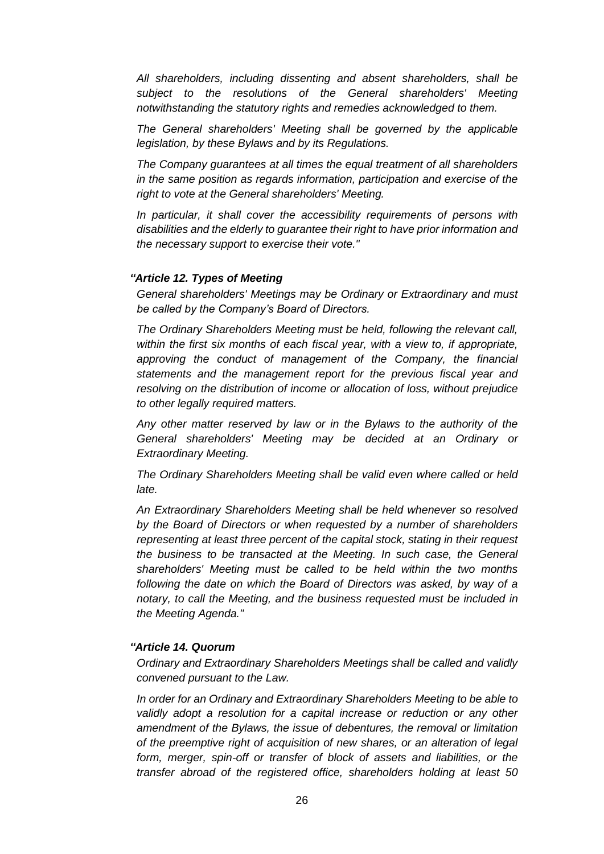*All shareholders, including dissenting and absent shareholders, shall be subject to the resolutions of the General shareholders' Meeting notwithstanding the statutory rights and remedies acknowledged to them.*

*The General shareholders' Meeting shall be governed by the applicable legislation, by these Bylaws and by its Regulations.*

*The Company guarantees at all times the equal treatment of all shareholders in the same position as regards information, participation and exercise of the right to vote at the General shareholders' Meeting.*

*In particular, it shall cover the accessibility requirements of persons with disabilities and the elderly to guarantee their right to have prior information and the necessary support to exercise their vote."*

### *"Article 12. Types of Meeting*

*General shareholders' Meetings may be Ordinary or Extraordinary and must be called by the Company's Board of Directors.*

*The Ordinary Shareholders Meeting must be held, following the relevant call, within the first six months of each fiscal year, with a view to, if appropriate, approving the conduct of management of the Company, the financial statements and the management report for the previous fiscal year and resolving on the distribution of income or allocation of loss, without prejudice to other legally required matters.*

*Any other matter reserved by law or in the Bylaws to the authority of the General shareholders' Meeting may be decided at an Ordinary or Extraordinary Meeting.*

*The Ordinary Shareholders Meeting shall be valid even where called or held late.*

*An Extraordinary Shareholders Meeting shall be held whenever so resolved by the Board of Directors or when requested by a number of shareholders representing at least three percent of the capital stock, stating in their request the business to be transacted at the Meeting. In such case, the General shareholders' Meeting must be called to be held within the two months following the date on which the Board of Directors was asked, by way of a notary, to call the Meeting, and the business requested must be included in the Meeting Agenda."*

# *"Article 14. Quorum*

*Ordinary and Extraordinary Shareholders Meetings shall be called and validly convened pursuant to the Law.*

*In order for an Ordinary and Extraordinary Shareholders Meeting to be able to validly adopt a resolution for a capital increase or reduction or any other amendment of the Bylaws, the issue of debentures, the removal or limitation of the preemptive right of acquisition of new shares, or an alteration of legal form, merger, spin-off or transfer of block of assets and liabilities, or the transfer abroad of the registered office, shareholders holding at least 50*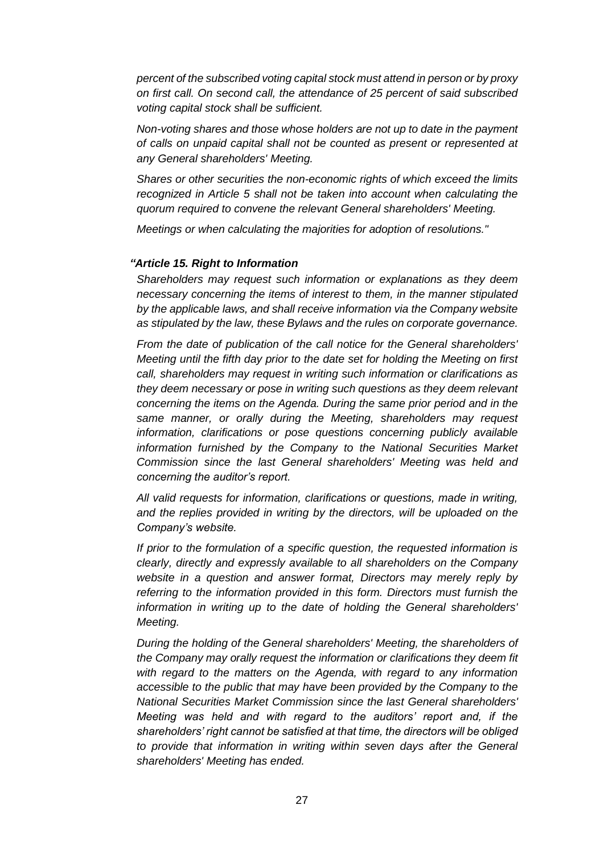*percent of the subscribed voting capital stock must attend in person or by proxy on first call. On second call, the attendance of 25 percent of said subscribed voting capital stock shall be sufficient.*

*Non-voting shares and those whose holders are not up to date in the payment of calls on unpaid capital shall not be counted as present or represented at any General shareholders' Meeting.*

*Shares or other securities the non-economic rights of which exceed the limits recognized in Article 5 shall not be taken into account when calculating the quorum required to convene the relevant General shareholders' Meeting.*

*Meetings or when calculating the majorities for adoption of resolutions."*

#### *"Article 15. Right to Information*

*Shareholders may request such information or explanations as they deem necessary concerning the items of interest to them, in the manner stipulated by the applicable laws, and shall receive information via the Company website as stipulated by the law, these Bylaws and the rules on corporate governance.*

*From the date of publication of the call notice for the General shareholders' Meeting until the fifth day prior to the date set for holding the Meeting on first call, shareholders may request in writing such information or clarifications as they deem necessary or pose in writing such questions as they deem relevant concerning the items on the Agenda. During the same prior period and in the same manner, or orally during the Meeting, shareholders may request information, clarifications or pose questions concerning publicly available information furnished by the Company to the National Securities Market Commission since the last General shareholders' Meeting was held and concerning the auditor's report.*

*All valid requests for information, clarifications or questions, made in writing, and the replies provided in writing by the directors, will be uploaded on the Company's website.*

*If prior to the formulation of a specific question, the requested information is clearly, directly and expressly available to all shareholders on the Company website in a question and answer format, Directors may merely reply by referring to the information provided in this form. Directors must furnish the information in writing up to the date of holding the General shareholders' Meeting.*

*During the holding of the General shareholders' Meeting, the shareholders of the Company may orally request the information or clarifications they deem fit with regard to the matters on the Agenda, with regard to any information accessible to the public that may have been provided by the Company to the National Securities Market Commission since the last General shareholders' Meeting was held and with regard to the auditors' report and, if the shareholders' right cannot be satisfied at that time, the directors will be obliged*  to provide that information in writing within seven days after the General *shareholders' Meeting has ended.*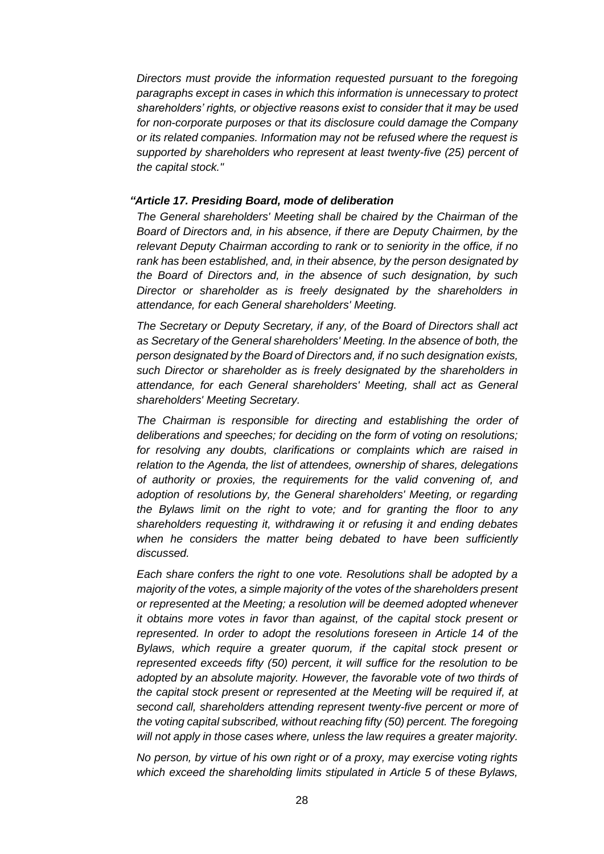*Directors must provide the information requested pursuant to the foregoing paragraphs except in cases in which this information is unnecessary to protect shareholders' rights, or objective reasons exist to consider that it may be used for non-corporate purposes or that its disclosure could damage the Company or its related companies. Information may not be refused where the request is supported by shareholders who represent at least twenty-five (25) percent of the capital stock."*

#### *"Article 17. Presiding Board, mode of deliberation*

*The General shareholders' Meeting shall be chaired by the Chairman of the Board of Directors and, in his absence, if there are Deputy Chairmen, by the relevant Deputy Chairman according to rank or to seniority in the office, if no rank has been established, and, in their absence, by the person designated by the Board of Directors and, in the absence of such designation, by such Director or shareholder as is freely designated by the shareholders in attendance, for each General shareholders' Meeting.*

*The Secretary or Deputy Secretary, if any, of the Board of Directors shall act as Secretary of the General shareholders' Meeting. In the absence of both, the person designated by the Board of Directors and, if no such designation exists, such Director or shareholder as is freely designated by the shareholders in attendance, for each General shareholders' Meeting, shall act as General shareholders' Meeting Secretary.*

*The Chairman is responsible for directing and establishing the order of deliberations and speeches; for deciding on the form of voting on resolutions; for resolving any doubts, clarifications or complaints which are raised in relation to the Agenda, the list of attendees, ownership of shares, delegations of authority or proxies, the requirements for the valid convening of, and adoption of resolutions by, the General shareholders' Meeting, or regarding the Bylaws limit on the right to vote; and for granting the floor to any shareholders requesting it, withdrawing it or refusing it and ending debates when he considers the matter being debated to have been sufficiently discussed.*

*Each share confers the right to one vote. Resolutions shall be adopted by a majority of the votes, a simple majority of the votes of the shareholders present or represented at the Meeting; a resolution will be deemed adopted whenever it obtains more votes in favor than against, of the capital stock present or represented. In order to adopt the resolutions foreseen in Article 14 of the Bylaws, which require a greater quorum, if the capital stock present or represented exceeds fifty (50) percent, it will suffice for the resolution to be adopted by an absolute majority. However, the favorable vote of two thirds of the capital stock present or represented at the Meeting will be required if, at second call, shareholders attending represent twenty-five percent or more of the voting capital subscribed, without reaching fifty (50) percent. The foregoing will not apply in those cases where, unless the law requires a greater majority.*

*No person, by virtue of his own right or of a proxy, may exercise voting rights which exceed the shareholding limits stipulated in Article 5 of these Bylaws,*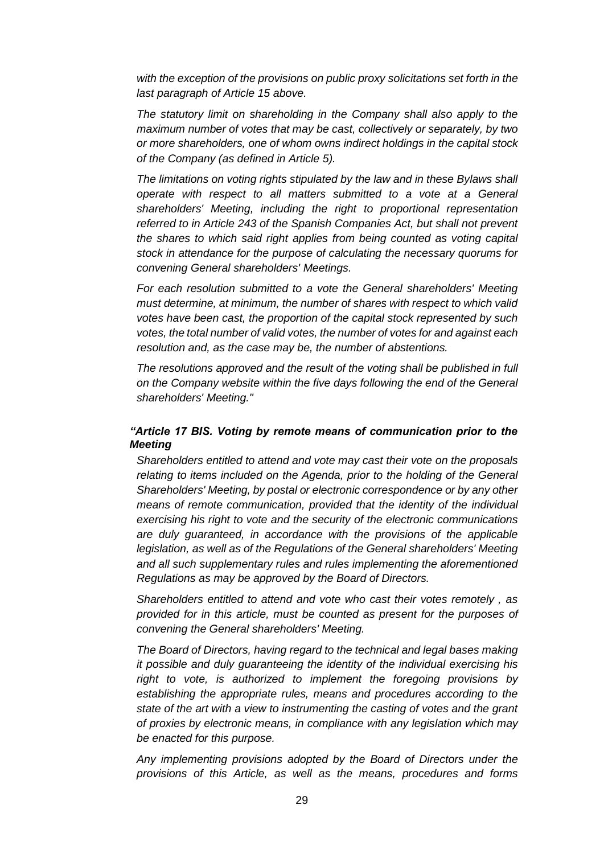*with the exception of the provisions on public proxy solicitations set forth in the last paragraph of Article 15 above.*

*The statutory limit on shareholding in the Company shall also apply to the maximum number of votes that may be cast, collectively or separately, by two or more shareholders, one of whom owns indirect holdings in the capital stock of the Company (as defined in Article 5).*

*The limitations on voting rights stipulated by the law and in these Bylaws shall operate with respect to all matters submitted to a vote at a General shareholders' Meeting, including the right to proportional representation referred to in Article 243 of the Spanish Companies Act, but shall not prevent the shares to which said right applies from being counted as voting capital stock in attendance for the purpose of calculating the necessary quorums for convening General shareholders' Meetings.*

*For each resolution submitted to a vote the General shareholders' Meeting must determine, at minimum, the number of shares with respect to which valid votes have been cast, the proportion of the capital stock represented by such votes, the total number of valid votes, the number of votes for and against each resolution and, as the case may be, the number of abstentions.*

*The resolutions approved and the result of the voting shall be published in full on the Company website within the five days following the end of the General shareholders' Meeting."*

# *"Article 17 BIS. Voting by remote means of communication prior to the Meeting*

*Shareholders entitled to attend and vote may cast their vote on the proposals relating to items included on the Agenda, prior to the holding of the General Shareholders' Meeting, by postal or electronic correspondence or by any other means of remote communication, provided that the identity of the individual exercising his right to vote and the security of the electronic communications are duly guaranteed, in accordance with the provisions of the applicable legislation, as well as of the Regulations of the General shareholders' Meeting and all such supplementary rules and rules implementing the aforementioned Regulations as may be approved by the Board of Directors.*

*Shareholders entitled to attend and vote who cast their votes remotely , as provided for in this article, must be counted as present for the purposes of convening the General shareholders' Meeting.*

*The Board of Directors, having regard to the technical and legal bases making it possible and duly guaranteeing the identity of the individual exercising his right to vote, is authorized to implement the foregoing provisions by establishing the appropriate rules, means and procedures according to the state of the art with a view to instrumenting the casting of votes and the grant of proxies by electronic means, in compliance with any legislation which may be enacted for this purpose.*

*Any implementing provisions adopted by the Board of Directors under the provisions of this Article, as well as the means, procedures and forms*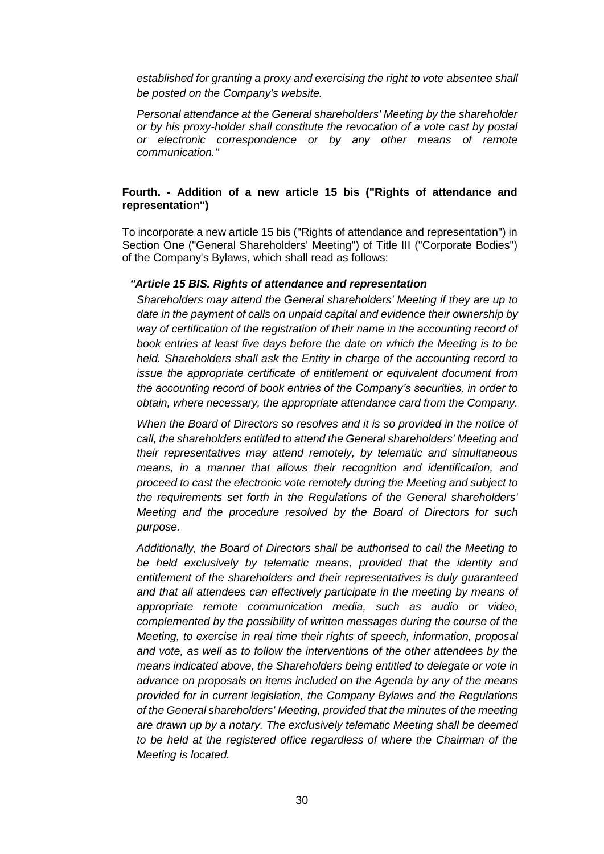*established for granting a proxy and exercising the right to vote absentee shall be posted on the Company's website.*

*Personal attendance at the General shareholders' Meeting by the shareholder or by his proxy-holder shall constitute the revocation of a vote cast by postal or electronic correspondence or by any other means of remote communication."*

# **Fourth. - Addition of a new article 15 bis ("Rights of attendance and representation")**

To incorporate a new article 15 bis ("Rights of attendance and representation") in Section One ("General Shareholders' Meeting") of Title III ("Corporate Bodies") of the Company's Bylaws, which shall read as follows:

#### *"Article 15 BIS. Rights of attendance and representation*

*Shareholders may attend the General shareholders' Meeting if they are up to date in the payment of calls on unpaid capital and evidence their ownership by way of certification of the registration of their name in the accounting record of book entries at least five days before the date on which the Meeting is to be held. Shareholders shall ask the Entity in charge of the accounting record to issue the appropriate certificate of entitlement or equivalent document from the accounting record of book entries of the Company's securities, in order to obtain, where necessary, the appropriate attendance card from the Company.*

*When the Board of Directors so resolves and it is so provided in the notice of call, the shareholders entitled to attend the General shareholders' Meeting and their representatives may attend remotely, by telematic and simultaneous means, in a manner that allows their recognition and identification, and proceed to cast the electronic vote remotely during the Meeting and subject to the requirements set forth in the Regulations of the General shareholders' Meeting and the procedure resolved by the Board of Directors for such purpose.*

*Additionally, the Board of Directors shall be authorised to call the Meeting to be held exclusively by telematic means, provided that the identity and entitlement of the shareholders and their representatives is duly guaranteed and that all attendees can effectively participate in the meeting by means of appropriate remote communication media, such as audio or video, complemented by the possibility of written messages during the course of the Meeting, to exercise in real time their rights of speech, information, proposal and vote, as well as to follow the interventions of the other attendees by the means indicated above, the Shareholders being entitled to delegate or vote in advance on proposals on items included on the Agenda by any of the means provided for in current legislation, the Company Bylaws and the Regulations of the General shareholders' Meeting, provided that the minutes of the meeting are drawn up by a notary. The exclusively telematic Meeting shall be deemed to be held at the registered office regardless of where the Chairman of the Meeting is located.*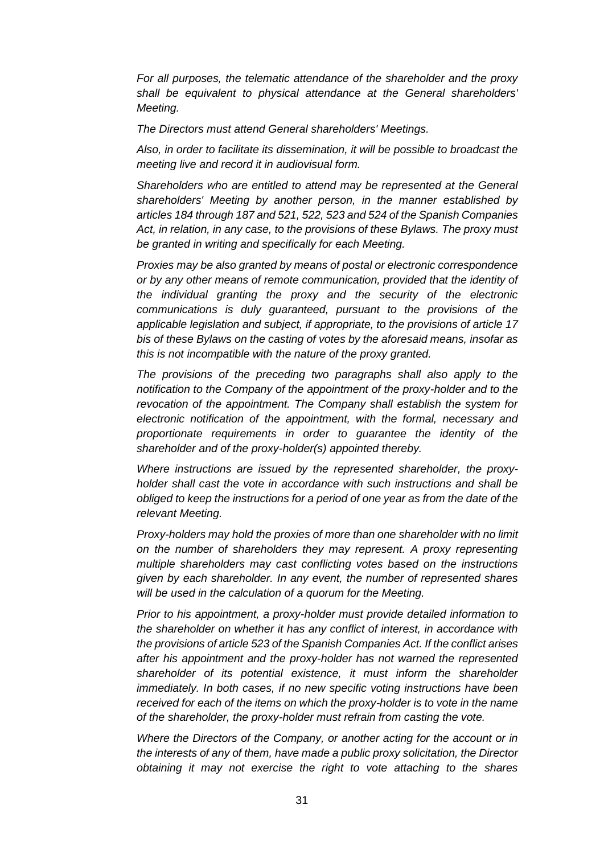*For all purposes, the telematic attendance of the shareholder and the proxy shall be equivalent to physical attendance at the General shareholders' Meeting.*

*The Directors must attend General shareholders' Meetings.*

*Also, in order to facilitate its dissemination, it will be possible to broadcast the meeting live and record it in audiovisual form.*

*Shareholders who are entitled to attend may be represented at the General shareholders' Meeting by another person, in the manner established by articles 184 through 187 and 521, 522, 523 and 524 of the Spanish Companies Act, in relation, in any case, to the provisions of these Bylaws. The proxy must be granted in writing and specifically for each Meeting.*

*Proxies may be also granted by means of postal or electronic correspondence or by any other means of remote communication, provided that the identity of the individual granting the proxy and the security of the electronic communications is duly guaranteed, pursuant to the provisions of the applicable legislation and subject, if appropriate, to the provisions of article 17 bis of these Bylaws on the casting of votes by the aforesaid means, insofar as this is not incompatible with the nature of the proxy granted.*

*The provisions of the preceding two paragraphs shall also apply to the notification to the Company of the appointment of the proxy-holder and to the revocation of the appointment. The Company shall establish the system for electronic notification of the appointment, with the formal, necessary and proportionate requirements in order to guarantee the identity of the shareholder and of the proxy-holder(s) appointed thereby.*

*Where instructions are issued by the represented shareholder, the proxyholder shall cast the vote in accordance with such instructions and shall be obliged to keep the instructions for a period of one year as from the date of the relevant Meeting.*

*Proxy-holders may hold the proxies of more than one shareholder with no limit on the number of shareholders they may represent. A proxy representing multiple shareholders may cast conflicting votes based on the instructions given by each shareholder. In any event, the number of represented shares will be used in the calculation of a quorum for the Meeting.*

*Prior to his appointment, a proxy-holder must provide detailed information to the shareholder on whether it has any conflict of interest, in accordance with the provisions of article 523 of the Spanish Companies Act. If the conflict arises after his appointment and the proxy-holder has not warned the represented shareholder of its potential existence, it must inform the shareholder immediately. In both cases, if no new specific voting instructions have been received for each of the items on which the proxy-holder is to vote in the name of the shareholder, the proxy-holder must refrain from casting the vote.*

*Where the Directors of the Company, or another acting for the account or in the interests of any of them, have made a public proxy solicitation, the Director obtaining it may not exercise the right to vote attaching to the shares*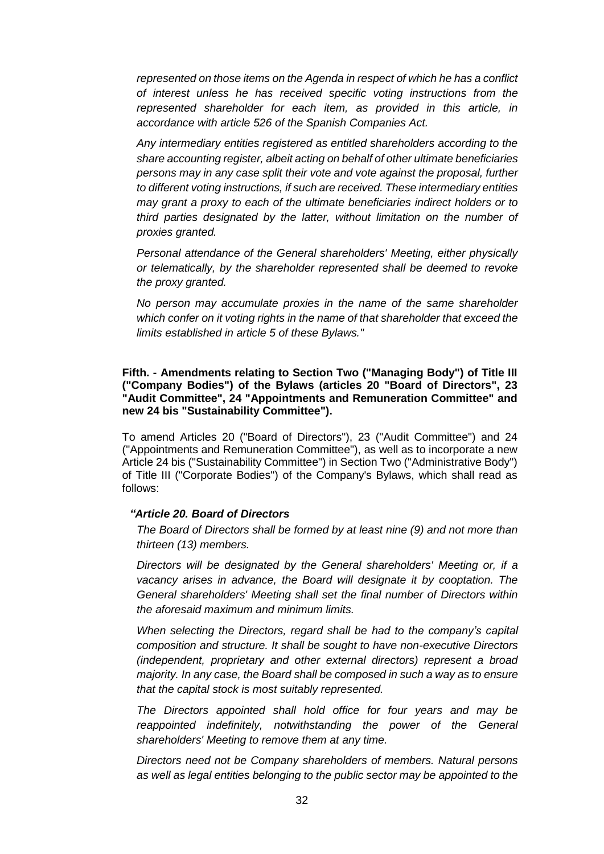*represented on those items on the Agenda in respect of which he has a conflict of interest unless he has received specific voting instructions from the represented shareholder for each item, as provided in this article, in accordance with article 526 of the Spanish Companies Act.*

*Any intermediary entities registered as entitled shareholders according to the share accounting register, albeit acting on behalf of other ultimate beneficiaries persons may in any case split their vote and vote against the proposal, further to different voting instructions, if such are received. These intermediary entities may grant a proxy to each of the ultimate beneficiaries indirect holders or to third parties designated by the latter, without limitation on the number of proxies granted.*

*Personal attendance of the General shareholders' Meeting, either physically or telematically, by the shareholder represented shall be deemed to revoke the proxy granted.*

*No person may accumulate proxies in the name of the same shareholder which confer on it voting rights in the name of that shareholder that exceed the limits established in article 5 of these Bylaws."*

**Fifth. - Amendments relating to Section Two ("Managing Body") of Title III ("Company Bodies") of the Bylaws (articles 20 "Board of Directors", 23 "Audit Committee", 24 "Appointments and Remuneration Committee" and new 24 bis "Sustainability Committee").**

To amend Articles 20 ("Board of Directors"), 23 ("Audit Committee") and 24 ("Appointments and Remuneration Committee"), as well as to incorporate a new Article 24 bis ("Sustainability Committee") in Section Two ("Administrative Body") of Title III ("Corporate Bodies") of the Company's Bylaws, which shall read as follows:

#### *"Article 20. Board of Directors*

*The Board of Directors shall be formed by at least nine (9) and not more than thirteen (13) members.*

*Directors will be designated by the General shareholders' Meeting or, if a vacancy arises in advance, the Board will designate it by cooptation. The General shareholders' Meeting shall set the final number of Directors within the aforesaid maximum and minimum limits.*

*When selecting the Directors, regard shall be had to the company's capital composition and structure. It shall be sought to have non-executive Directors (independent, proprietary and other external directors) represent a broad majority. In any case, the Board shall be composed in such a way as to ensure that the capital stock is most suitably represented.*

*The Directors appointed shall hold office for four years and may be reappointed indefinitely, notwithstanding the power of the General shareholders' Meeting to remove them at any time.*

*Directors need not be Company shareholders of members. Natural persons as well as legal entities belonging to the public sector may be appointed to the*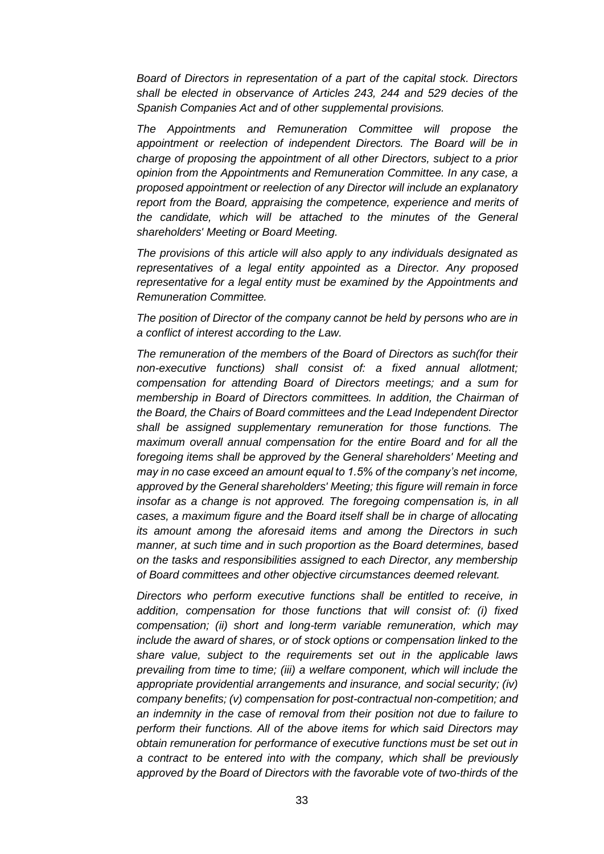*Board of Directors in representation of a part of the capital stock. Directors shall be elected in observance of Articles 243, 244 and 529 decies of the Spanish Companies Act and of other supplemental provisions.*

*The Appointments and Remuneration Committee will propose the appointment or reelection of independent Directors. The Board will be in charge of proposing the appointment of all other Directors, subject to a prior opinion from the Appointments and Remuneration Committee. In any case, a proposed appointment or reelection of any Director will include an explanatory report from the Board, appraising the competence, experience and merits of the candidate, which will be attached to the minutes of the General shareholders' Meeting or Board Meeting.*

*The provisions of this article will also apply to any individuals designated as representatives of a legal entity appointed as a Director. Any proposed representative for a legal entity must be examined by the Appointments and Remuneration Committee.*

*The position of Director of the company cannot be held by persons who are in a conflict of interest according to the Law.*

*The remuneration of the members of the Board of Directors as such(for their non-executive functions) shall consist of: a fixed annual allotment; compensation for attending Board of Directors meetings; and a sum for membership in Board of Directors committees. In addition, the Chairman of the Board, the Chairs of Board committees and the Lead Independent Director shall be assigned supplementary remuneration for those functions. The maximum overall annual compensation for the entire Board and for all the foregoing items shall be approved by the General shareholders' Meeting and may in no case exceed an amount equal to 1.5% of the company's net income, approved by the General shareholders' Meeting; this figure will remain in force insofar as a change is not approved. The foregoing compensation is, in all cases, a maximum figure and the Board itself shall be in charge of allocating its amount among the aforesaid items and among the Directors in such manner, at such time and in such proportion as the Board determines, based on the tasks and responsibilities assigned to each Director, any membership of Board committees and other objective circumstances deemed relevant.*

*Directors who perform executive functions shall be entitled to receive, in addition, compensation for those functions that will consist of: (i) fixed compensation; (ii) short and long-term variable remuneration, which may include the award of shares, or of stock options or compensation linked to the share value, subject to the requirements set out in the applicable laws prevailing from time to time; (iii) a welfare component, which will include the appropriate providential arrangements and insurance, and social security; (iv) company benefits; (v) compensation for post-contractual non-competition; and an indemnity in the case of removal from their position not due to failure to perform their functions. All of the above items for which said Directors may obtain remuneration for performance of executive functions must be set out in a contract to be entered into with the company, which shall be previously approved by the Board of Directors with the favorable vote of two-thirds of the*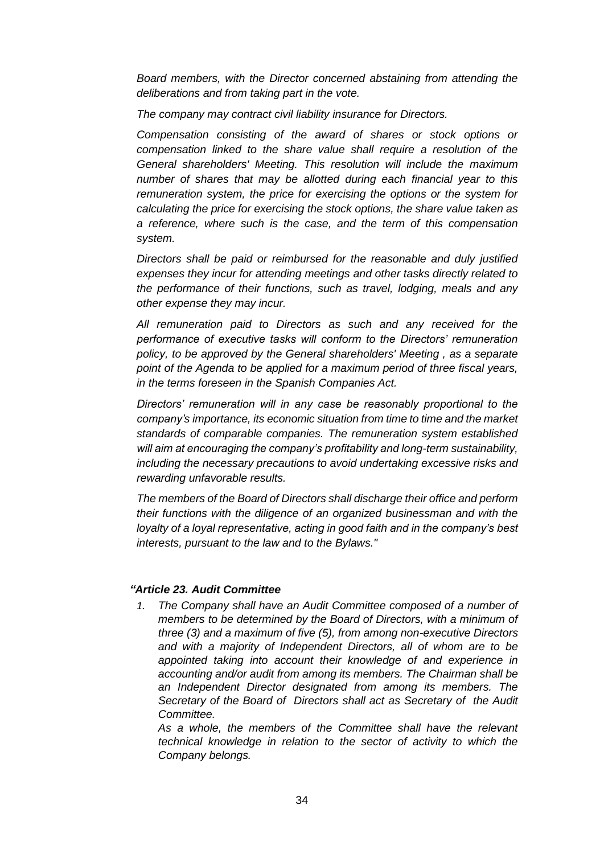*Board members, with the Director concerned abstaining from attending the deliberations and from taking part in the vote.*

*The company may contract civil liability insurance for Directors.*

*Compensation consisting of the award of shares or stock options or compensation linked to the share value shall require a resolution of the General shareholders' Meeting. This resolution will include the maximum number of shares that may be allotted during each financial year to this remuneration system, the price for exercising the options or the system for calculating the price for exercising the stock options, the share value taken as a reference, where such is the case, and the term of this compensation system.*

*Directors shall be paid or reimbursed for the reasonable and duly justified expenses they incur for attending meetings and other tasks directly related to the performance of their functions, such as travel, lodging, meals and any other expense they may incur.*

*All remuneration paid to Directors as such and any received for the performance of executive tasks will conform to the Directors' remuneration policy, to be approved by the General shareholders' Meeting , as a separate point of the Agenda to be applied for a maximum period of three fiscal years, in the terms foreseen in the Spanish Companies Act.*

*Directors' remuneration will in any case be reasonably proportional to the company's importance, its economic situation from time to time and the market standards of comparable companies. The remuneration system established will aim at encouraging the company's profitability and long-term sustainability, including the necessary precautions to avoid undertaking excessive risks and rewarding unfavorable results.*

*The members of the Board of Directors shall discharge their office and perform their functions with the diligence of an organized businessman and with the loyalty of a loyal representative, acting in good faith and in the company's best interests, pursuant to the law and to the Bylaws."*

# *"Article 23. Audit Committee*

*1. The Company shall have an Audit Committee composed of a number of members to be determined by the Board of Directors, with a minimum of three (3) and a maximum of five (5), from among non-executive Directors and with a majority of Independent Directors, all of whom are to be appointed taking into account their knowledge of and experience in accounting and/or audit from among its members. The Chairman shall be an Independent Director designated from among its members. The Secretary of the Board of Directors shall act as Secretary of the Audit Committee.*

*As a whole, the members of the Committee shall have the relevant technical knowledge in relation to the sector of activity to which the Company belongs.*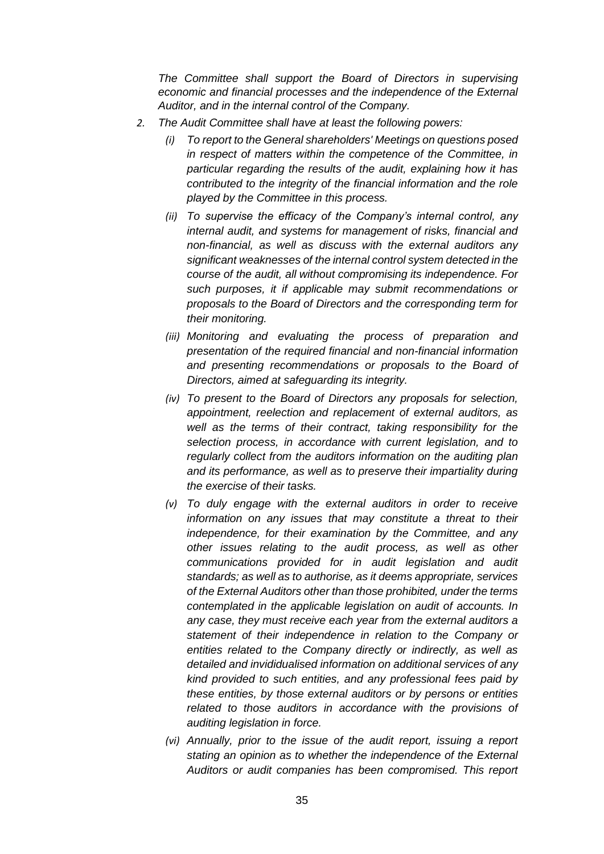*The Committee shall support the Board of Directors in supervising economic and financial processes and the independence of the External Auditor, and in the internal control of the Company.*

- *2. The Audit Committee shall have at least the following powers:*
	- *(i) To report to the General shareholders' Meetings on questions posed in respect of matters within the competence of the Committee, in particular regarding the results of the audit, explaining how it has contributed to the integrity of the financial information and the role played by the Committee in this process.*
	- *(ii) To supervise the efficacy of the Company's internal control, any internal audit, and systems for management of risks, financial and non-financial, as well as discuss with the external auditors any significant weaknesses of the internal control system detected in the course of the audit, all without compromising its independence. For such purposes, it if applicable may submit recommendations or proposals to the Board of Directors and the corresponding term for their monitoring.*
	- *(iii) Monitoring and evaluating the process of preparation and presentation of the required financial and non-financial information and presenting recommendations or proposals to the Board of Directors, aimed at safeguarding its integrity.*
	- *(iv) To present to the Board of Directors any proposals for selection, appointment, reelection and replacement of external auditors, as well as the terms of their contract, taking responsibility for the selection process, in accordance with current legislation, and to regularly collect from the auditors information on the auditing plan and its performance, as well as to preserve their impartiality during the exercise of their tasks.*
	- *(v) To duly engage with the external auditors in order to receive information on any issues that may constitute a threat to their independence, for their examination by the Committee, and any other issues relating to the audit process, as well as other communications provided for in audit legislation and audit standards; as well as to authorise, as it deems appropriate, services of the External Auditors other than those prohibited, under the terms contemplated in the applicable legislation on audit of accounts. In any case, they must receive each year from the external auditors a statement of their independence in relation to the Company or entities related to the Company directly or indirectly, as well as detailed and invididualised information on additional services of any kind provided to such entities, and any professional fees paid by these entities, by those external auditors or by persons or entities related to those auditors in accordance with the provisions of auditing legislation in force.*
	- *(vi) Annually, prior to the issue of the audit report, issuing a report stating an opinion as to whether the independence of the External Auditors or audit companies has been compromised. This report*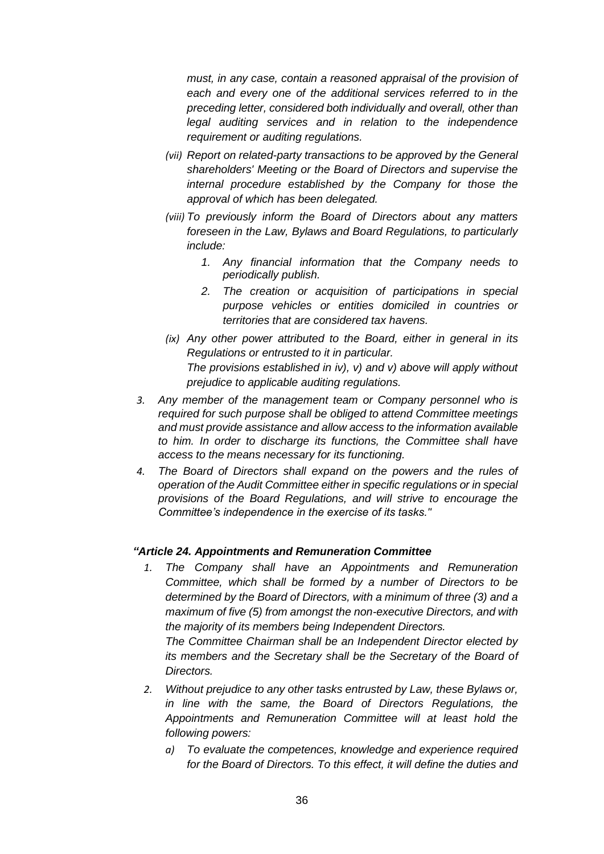*must, in any case, contain a reasoned appraisal of the provision of each and every one of the additional services referred to in the preceding letter, considered both individually and overall, other than legal auditing services and in relation to the independence requirement or auditing regulations.*

- *(vii) Report on related-party transactions to be approved by the General shareholders' Meeting or the Board of Directors and supervise the internal procedure established by the Company for those the approval of which has been delegated.*
- *(viii) To previously inform the Board of Directors about any matters foreseen in the Law, Bylaws and Board Regulations, to particularly include:*
	- *1. Any financial information that the Company needs to periodically publish.*
	- *2. The creation or acquisition of participations in special purpose vehicles or entities domiciled in countries or territories that are considered tax havens.*
- *(ix) Any other power attributed to the Board, either in general in its Regulations or entrusted to it in particular. The provisions established in iv), v) and v) above will apply without prejudice to applicable auditing regulations.*
- *3. Any member of the management team or Company personnel who is required for such purpose shall be obliged to attend Committee meetings and must provide assistance and allow access to the information available to him. In order to discharge its functions, the Committee shall have access to the means necessary for its functioning.*
- *4. The Board of Directors shall expand on the powers and the rules of operation of the Audit Committee either in specific regulations or in special provisions of the Board Regulations, and will strive to encourage the Committee's independence in the exercise of its tasks."*

# *"Article 24. Appointments and Remuneration Committee*

*1. The Company shall have an Appointments and Remuneration Committee, which shall be formed by a number of Directors to be determined by the Board of Directors, with a minimum of three (3) and a maximum of five (5) from amongst the non-executive Directors, and with the majority of its members being Independent Directors.*

*The Committee Chairman shall be an Independent Director elected by its members and the Secretary shall be the Secretary of the Board of Directors.*

- *2. Without prejudice to any other tasks entrusted by Law, these Bylaws or, in line with the same, the Board of Directors Regulations, the Appointments and Remuneration Committee will at least hold the following powers:*
	- *a) To evaluate the competences, knowledge and experience required for the Board of Directors. To this effect, it will define the duties and*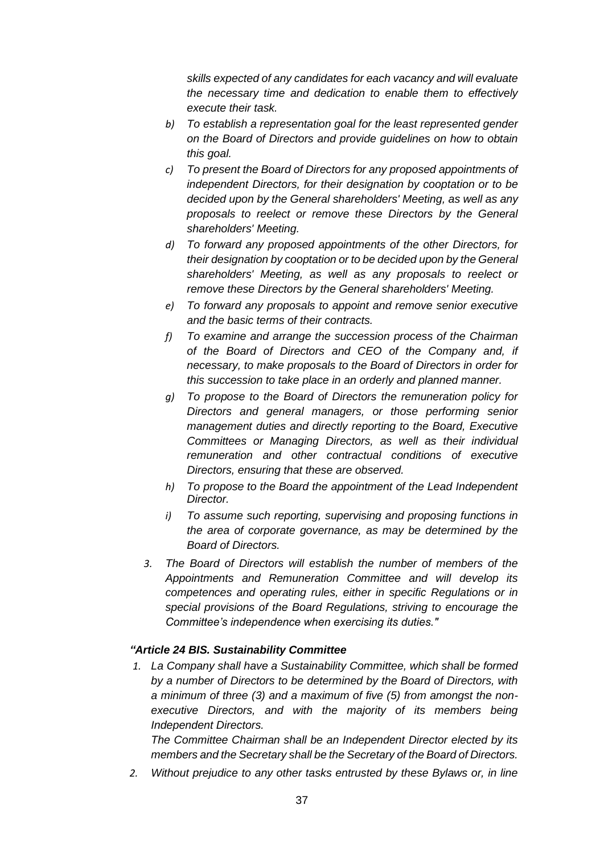*skills expected of any candidates for each vacancy and will evaluate the necessary time and dedication to enable them to effectively execute their task.*

- *b) To establish a representation goal for the least represented gender on the Board of Directors and provide guidelines on how to obtain this goal.*
- *c) To present the Board of Directors for any proposed appointments of independent Directors, for their designation by cooptation or to be decided upon by the General shareholders' Meeting, as well as any proposals to reelect or remove these Directors by the General shareholders' Meeting.*
- *d) To forward any proposed appointments of the other Directors, for their designation by cooptation or to be decided upon by the General shareholders' Meeting, as well as any proposals to reelect or remove these Directors by the General shareholders' Meeting.*
- *e) To forward any proposals to appoint and remove senior executive and the basic terms of their contracts.*
- *f) To examine and arrange the succession process of the Chairman of the Board of Directors and CEO of the Company and, if necessary, to make proposals to the Board of Directors in order for this succession to take place in an orderly and planned manner.*
- *g) To propose to the Board of Directors the remuneration policy for Directors and general managers, or those performing senior management duties and directly reporting to the Board, Executive Committees or Managing Directors, as well as their individual remuneration and other contractual conditions of executive Directors, ensuring that these are observed.*
- *h) To propose to the Board the appointment of the Lead Independent Director.*
- *i) To assume such reporting, supervising and proposing functions in the area of corporate governance, as may be determined by the Board of Directors.*
- *3. The Board of Directors will establish the number of members of the Appointments and Remuneration Committee and will develop its competences and operating rules, either in specific Regulations or in special provisions of the Board Regulations, striving to encourage the Committee's independence when exercising its duties."*

# *"Article 24 BIS. Sustainability Committee*

*1. La Company shall have a Sustainability Committee, which shall be formed by a number of Directors to be determined by the Board of Directors, with a minimum of three (3) and a maximum of five (5) from amongst the nonexecutive Directors, and with the majority of its members being Independent Directors.*

*The Committee Chairman shall be an Independent Director elected by its members and the Secretary shall be the Secretary of the Board of Directors.*

*2. Without prejudice to any other tasks entrusted by these Bylaws or, in line*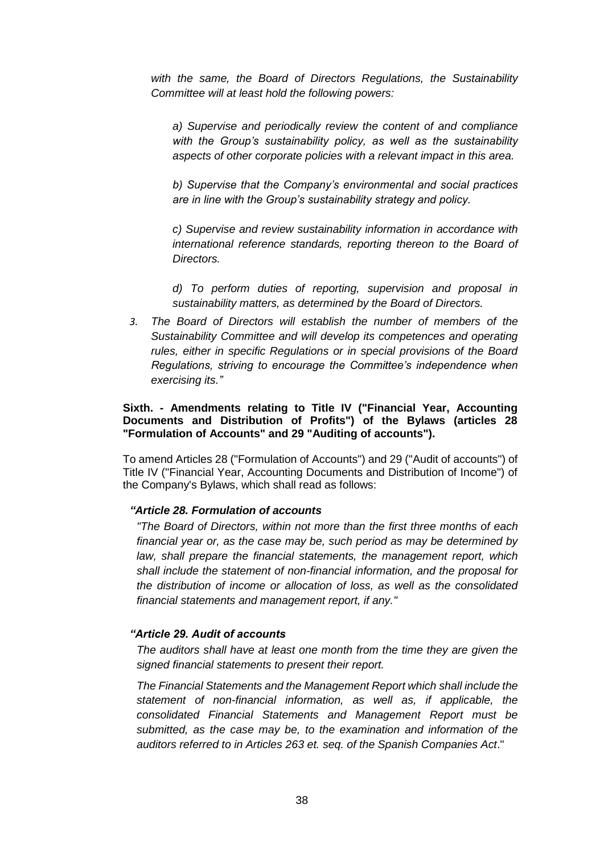*with the same, the Board of Directors Regulations, the Sustainability Committee will at least hold the following powers:*

*a) Supervise and periodically review the content of and compliance with the Group's sustainability policy, as well as the sustainability aspects of other corporate policies with a relevant impact in this area.*

*b) Supervise that the Company's environmental and social practices are in line with the Group's sustainability strategy and policy.*

*c) Supervise and review sustainability information in accordance with international reference standards, reporting thereon to the Board of Directors.*

*d) To perform duties of reporting, supervision and proposal in sustainability matters, as determined by the Board of Directors.*

*3. The Board of Directors will establish the number of members of the Sustainability Committee and will develop its competences and operating rules, either in specific Regulations or in special provisions of the Board Regulations, striving to encourage the Committee's independence when exercising its."*

#### **Sixth. - Amendments relating to Title IV ("Financial Year, Accounting Documents and Distribution of Profits") of the Bylaws (articles 28 "Formulation of Accounts" and 29 "Auditing of accounts").**

To amend Articles 28 ("Formulation of Accounts") and 29 ("Audit of accounts") of Title IV ("Financial Year, Accounting Documents and Distribution of Income") of the Company's Bylaws, which shall read as follows:

# *"Article 28. Formulation of accounts*

*"The Board of Directors, within not more than the first three months of each financial year or, as the case may be, such period as may be determined by law, shall prepare the financial statements, the management report, which shall include the statement of non-financial information, and the proposal for the distribution of income or allocation of loss, as well as the consolidated financial statements and management report, if any."*

#### *"Article 29. Audit of accounts*

*The auditors shall have at least one month from the time they are given the signed financial statements to present their report.*

*The Financial Statements and the Management Report which shall include the statement of non-financial information, as well as, if applicable, the consolidated Financial Statements and Management Report must be submitted, as the case may be, to the examination and information of the auditors referred to in Articles 263 et. seq. of the Spanish Companies Act*."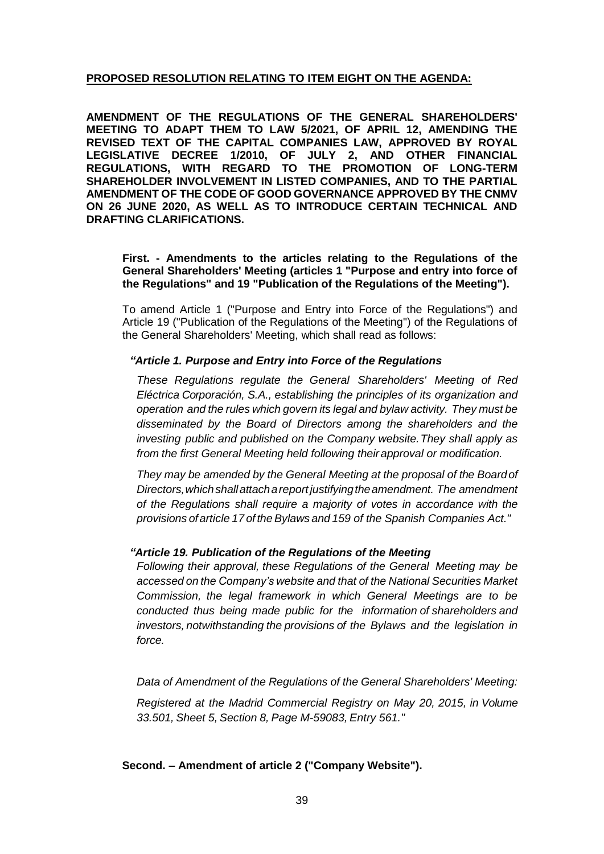# **PROPOSED RESOLUTION RELATING TO ITEM EIGHT ON THE AGENDA:**

**AMENDMENT OF THE REGULATIONS OF THE GENERAL SHAREHOLDERS' MEETING TO ADAPT THEM TO LAW 5/2021, OF APRIL 12, AMENDING THE REVISED TEXT OF THE CAPITAL COMPANIES LAW, APPROVED BY ROYAL LEGISLATIVE DECREE 1/2010, OF JULY 2, AND OTHER FINANCIAL REGULATIONS, WITH REGARD TO THE PROMOTION OF LONG-TERM SHAREHOLDER INVOLVEMENT IN LISTED COMPANIES, AND TO THE PARTIAL AMENDMENT OF THE CODE OF GOOD GOVERNANCE APPROVED BY THE CNMV ON 26 JUNE 2020, AS WELL AS TO INTRODUCE CERTAIN TECHNICAL AND DRAFTING CLARIFICATIONS.**

**First. - Amendments to the articles relating to the Regulations of the General Shareholders' Meeting (articles 1 "Purpose and entry into force of the Regulations" and 19 "Publication of the Regulations of the Meeting").**

To amend Article 1 ("Purpose and Entry into Force of the Regulations") and Article 19 ("Publication of the Regulations of the Meeting") of the Regulations of the General Shareholders' Meeting, which shall read as follows:

# *"Article 1. Purpose and Entry into Force of the Regulations*

*These Regulations regulate the General Shareholders' Meeting of Red Eléctrica Corporación, S.A., establishing the principles of its organization and operation and the rules which govern its legal and bylaw activity. They must be disseminated by the Board of Directors among the shareholders and the investing public and published on the Company website.They shall apply as from the first General Meeting held following theirapproval or modification.*

*They may be amended by the General Meeting at the proposal of the Boardof Directors,whichshallattachareportjustifyingtheamendment. The amendment of the Regulations shall require a majority of votes in accordance with the provisions ofarticle 17 of the Bylaws and 159 of the Spanish Companies Act."*

#### *"Article 19. Publication of the Regulations of the Meeting*

*Following their approval, these Regulations of the General Meeting may be accessed on the Company's website and that of the National Securities Market Commission, the legal framework in which General Meetings are to be conducted thus being made public for the information of shareholders and investors, notwithstanding the provisions of the Bylaws and the legislation in force.*

*Data of Amendment of the Regulations of the General Shareholders' Meeting: Registered at the Madrid Commercial Registry on May 20, 2015, in Volume 33.501, Sheet 5, Section 8, Page M-59083, Entry 561."*

**Second. – Amendment of article 2 ("Company Website").**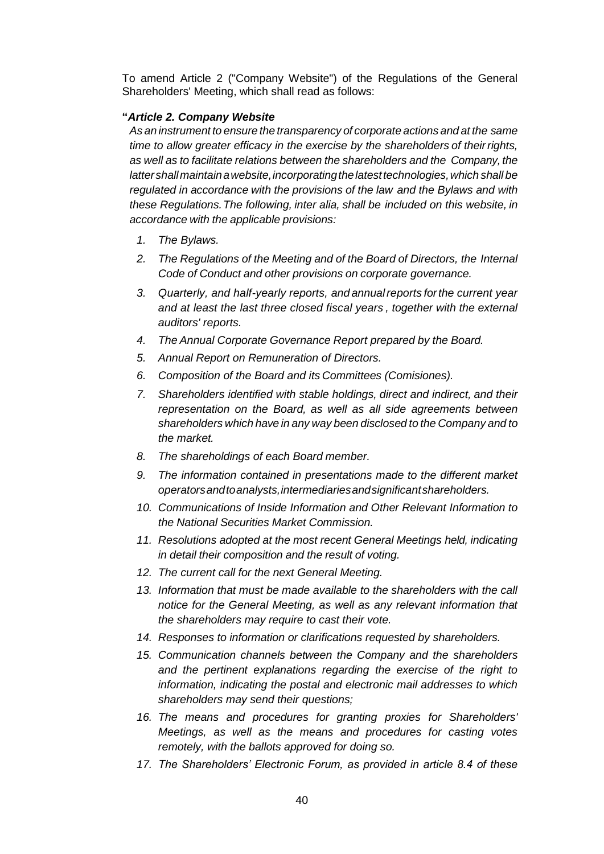To amend Article 2 ("Company Website") of the Regulations of the General Shareholders' Meeting, which shall read as follows:

# **"***Article 2. Company Website*

*As an instrument to ensure the transparency of corporate actions and at the same time to allow greater efficacy in the exercise by the shareholders of theirrights, as well as to facilitate relations between the shareholders and the Company, the lattershallmaintainawebsite,incorporatingthelatesttechnologies,which shall be regulated in accordance with the provisions of the law and the Bylaws and with these Regulations.The following, inter alia, shall be included on this website, in accordance with the applicable provisions:*

- *1. The Bylaws.*
- *2. The Regulations of the Meeting and of the Board of Directors, the Internal Code of Conduct and other provisions on corporate governance.*
- *3. Quarterly, and half-yearly reports, and annualreports forthe current year and at least the last three closed fiscal years , together with the external auditors' reports.*
- *4. The Annual Corporate Governance Report prepared by the Board.*
- *5. Annual Report on Remuneration of Directors.*
- *6. Composition of the Board and its Committees (Comisiones).*
- *7. Shareholders identified with stable holdings, direct and indirect, and their representation on the Board, as well as all side agreements between shareholders which have in any way been disclosed to the Company and to the market.*
- *8. The shareholdings of each Board member.*
- *9. The information contained in presentations made to the different market operatorsandtoanalysts,intermediariesandsignificantshareholders.*
- *10. Communications of Inside Information and Other Relevant Information to the National Securities Market Commission.*
- *11. Resolutions adopted at the most recent General Meetings held, indicating in detail their composition and the result of voting.*
- *12. The current call for the next General Meeting.*
- 13. Information that must be made available to the shareholders with the call *notice for the General Meeting, as well as any relevant information that the shareholders may require to cast their vote.*
- *14. Responses to information or clarifications requested by shareholders.*
- *15. Communication channels between the Company and the shareholders and the pertinent explanations regarding the exercise of the right to information, indicating the postal and electronic mail addresses to which shareholders may send their questions;*
- *16. The means and procedures for granting proxies for Shareholders' Meetings, as well as the means and procedures for casting votes remotely, with the ballots approved for doing so.*
- *17. The Shareholders' Electronic Forum, as provided in article 8.4 of these*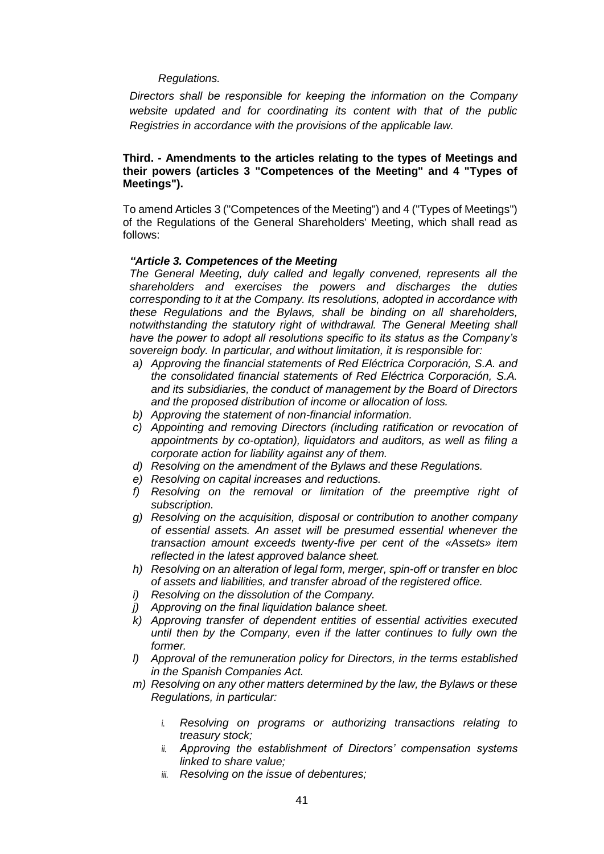# *Regulations.*

*Directors shall be responsible for keeping the information on the Company website updated and for coordinating its content with that of the public Registries in accordance with the provisions of the applicable law.*

### **Third. - Amendments to the articles relating to the types of Meetings and their powers (articles 3 "Competences of the Meeting" and 4 "Types of Meetings").**

To amend Articles 3 ("Competences of the Meeting") and 4 ("Types of Meetings") of the Regulations of the General Shareholders' Meeting, which shall read as follows:

### *"Article 3. Competences of the Meeting*

*The General Meeting, duly called and legally convened, represents all the shareholders and exercises the powers and discharges the duties corresponding to it at the Company. Its resolutions, adopted in accordance with these Regulations and the Bylaws, shall be binding on all shareholders, notwithstanding the statutory right of withdrawal. The General Meeting shall have the power to adopt all resolutions specific to its status as the Company's sovereign body. In particular, and without limitation, it is responsible for:*

- *a) Approving the financial statements of Red Eléctrica Corporación, S.A. and the consolidated financial statements of Red Eléctrica Corporación, S.A. and its subsidiaries, the conduct of management by the Board of Directors and the proposed distribution of income or allocation of loss.*
- *b) Approving the statement of non-financial information.*
- *c) Appointing and removing Directors (including ratification or revocation of appointments by co-optation), liquidators and auditors, as well as filing a corporate action for liability against any of them.*
- *d) Resolving on the amendment of the Bylaws and these Regulations.*
- *e) Resolving on capital increases and reductions.*
- *f) Resolving on the removal or limitation of the preemptive right of subscription.*
- *g) Resolving on the acquisition, disposal or contribution to another company of essential assets. An asset will be presumed essential whenever the transaction amount exceeds twenty-five per cent of the «Assets» item reflected in the latest approved balance sheet.*
- *h) Resolving on an alteration of legal form, merger, spin-off or transfer en bloc of assets and liabilities, and transfer abroad of the registered office.*
- *i) Resolving on the dissolution of the Company.*
- *j) Approving on the final liquidation balance sheet.*
- *k) Approving transfer of dependent entities of essential activities executed until then by the Company, even if the latter continues to fully own the former.*
- *l) Approval of the remuneration policy for Directors, in the terms established in the Spanish Companies Act.*
- *m) Resolving on any other matters determined by the law, the Bylaws or these Regulations, in particular:*
	- *i. Resolving on programs or authorizing transactions relating to treasury stock;*
	- *ii. Approving the establishment of Directors' compensation systems linked to share value;*
	- *iii. Resolving on the issue of debentures;*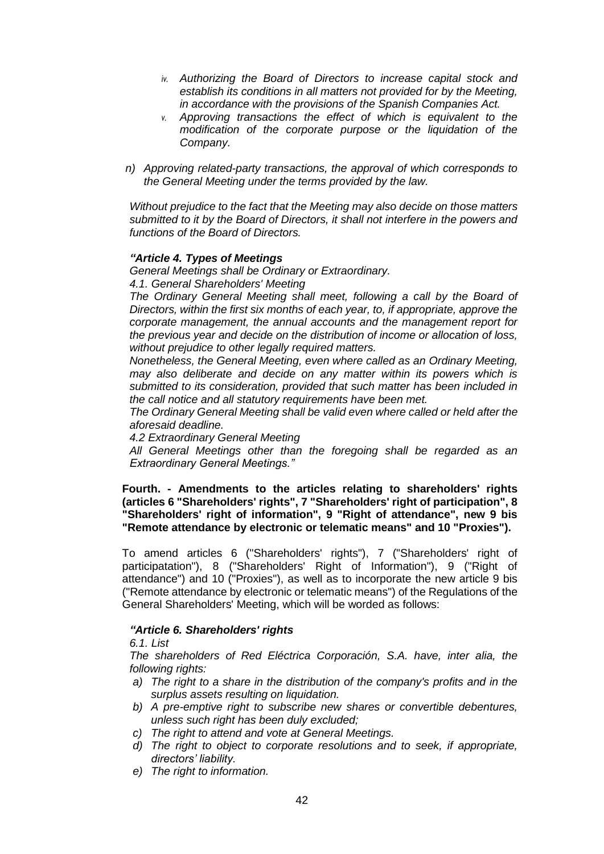- *iv. Authorizing the Board of Directors to increase capital stock and establish its conditions in all matters not provided for by the Meeting, in accordance with the provisions of the Spanish Companies Act.*
- *v. Approving transactions the effect of which is equivalent to the modification of the corporate purpose or the liquidation of the Company.*
- *n) Approving related-party transactions, the approval of which corresponds to the General Meeting under the terms provided by the law.*

*Without prejudice to the fact that the Meeting may also decide on those matters submitted to it by the Board of Directors, it shall not interfere in the powers and functions of the Board of Directors.*

### *"Article 4. Types of Meetings*

*General Meetings shall be Ordinary or Extraordinary.*

*4.1. General Shareholders' Meeting*

*The Ordinary General Meeting shall meet, following a call by the Board of Directors, within the first six months of each year, to, if appropriate, approve the corporate management, the annual accounts and the management report for the previous year and decide on the distribution of income or allocation of loss, without prejudice to other legally required matters.*

*Nonetheless, the General Meeting, even where called as an Ordinary Meeting, may also deliberate and decide on any matter within its powers which is submitted to its consideration, provided that such matter has been included in the call notice and all statutory requirements have been met.*

*The Ordinary General Meeting shall be valid even where called or held after the aforesaid deadline.*

*4.2 Extraordinary General Meeting*

*All General Meetings other than the foregoing shall be regarded as an Extraordinary General Meetings."*

**Fourth. - Amendments to the articles relating to shareholders' rights (articles 6 "Shareholders' rights", 7 "Shareholders' right of participation", 8 "Shareholders' right of information", 9 "Right of attendance", new 9 bis "Remote attendance by electronic or telematic means" and 10 "Proxies").**

To amend articles 6 ("Shareholders' rights"), 7 ("Shareholders' right of participatation"), 8 ("Shareholders' Right of Information"), 9 ("Right of attendance") and 10 ("Proxies"), as well as to incorporate the new article 9 bis ("Remote attendance by electronic or telematic means") of the Regulations of the General Shareholders' Meeting, which will be worded as follows:

# *"Article 6. Shareholders' rights*

*6.1. List*

*The shareholders of Red Eléctrica Corporación, S.A. have, inter alia, the following rights:*

- *a) The right to a share in the distribution of the company's profits and in the surplus assets resulting on liquidation.*
- *b) A pre-emptive right to subscribe new shares or convertible debentures, unless such right has been duly excluded;*
- *c) The right to attend and vote at General Meetings.*
- *d) The right to object to corporate resolutions and to seek, if appropriate, directors' liability.*
- *e) The right to information.*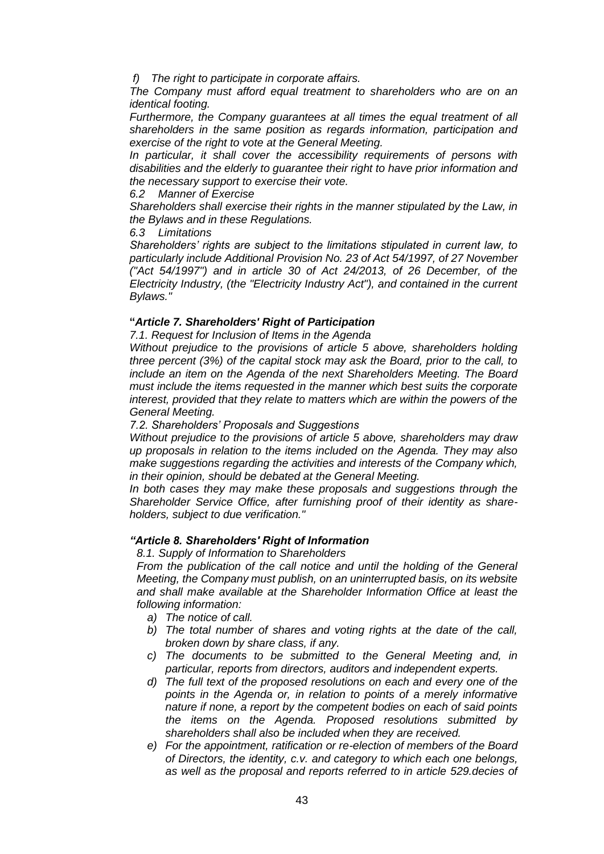*f) The right to participate in corporate affairs.*

*The Company must afford equal treatment to shareholders who are on an identical footing.* 

*Furthermore, the Company guarantees at all times the equal treatment of all shareholders in the same position as regards information, participation and exercise of the right to vote at the General Meeting.*

*In particular, it shall cover the accessibility requirements of persons with disabilities and the elderly to guarantee their right to have prior information and the necessary support to exercise their vote.*

#### *6.2 Manner of Exercise*

*Shareholders shall exercise their rights in the manner stipulated by the Law, in the Bylaws and in these Regulations.*

### *6.3 Limitations*

*Shareholders' rights are subject to the limitations stipulated in current law, to particularly include Additional Provision No. 23 of Act 54/1997, of 27 November ("Act 54/1997") and in article 30 of Act 24/2013, of 26 December, of the Electricity Industry, (the "Electricity Industry Act"), and contained in the current Bylaws."*

# **"***Article 7. Shareholders' Right of Participation*

*7.1. Request for Inclusion of Items in the Agenda*

*Without prejudice to the provisions of article 5 above, shareholders holding three percent (3%) of the capital stock may ask the Board, prior to the call, to include an item on the Agenda of the next Shareholders Meeting. The Board must include the items requested in the manner which best suits the corporate interest, provided that they relate to matters which are within the powers of the General Meeting.*

### *7.2. Shareholders' Proposals and Suggestions*

*Without prejudice to the provisions of article 5 above, shareholders may draw up proposals in relation to the items included on the Agenda. They may also make suggestions regarding the activities and interests of the Company which, in their opinion, should be debated at the General Meeting.*

*In both cases they may make these proposals and suggestions through the Shareholder Service Office, after furnishing proof of their identity as shareholders, subject to due verification."*

# *"Article 8. Shareholders' Right of Information*

*8.1. Supply of Information to Shareholders*

*From the publication of the call notice and until the holding of the General Meeting, the Company must publish, on an uninterrupted basis, on its website and shall make available at the Shareholder Information Office at least the following information:*

- *a) The notice of call.*
- *b) The total number of shares and voting rights at the date of the call, broken down by share class, if any.*
- *c) The documents to be submitted to the General Meeting and, in particular, reports from directors, auditors and independent experts.*
- *d) The full text of the proposed resolutions on each and every one of the points in the Agenda or, in relation to points of a merely informative nature if none, a report by the competent bodies on each of said points the items on the Agenda. Proposed resolutions submitted by shareholders shall also be included when they are received.*
- *e) For the appointment, ratification or re-election of members of the Board of Directors, the identity, c.v. and category to which each one belongs, as well as the proposal and reports referred to in article 529.decies of*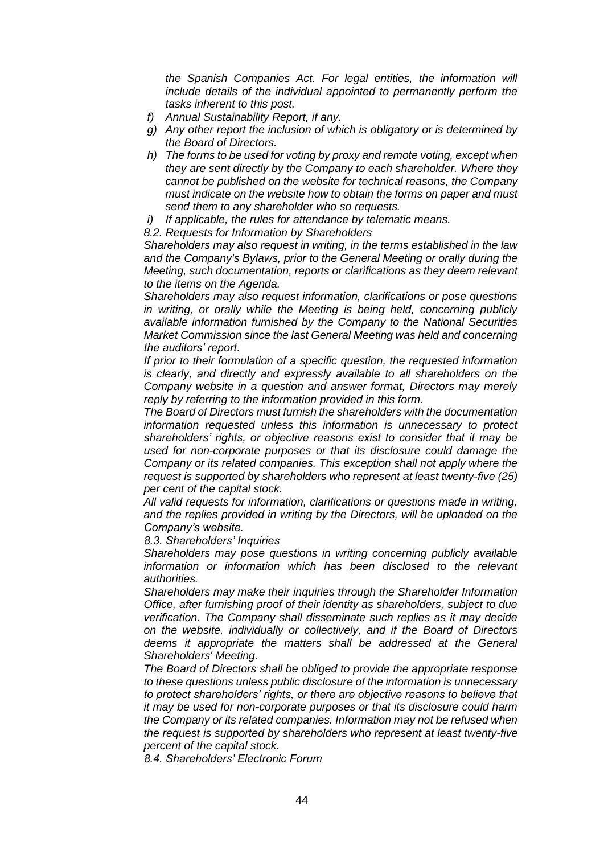*the Spanish Companies Act. For legal entities, the information will include details of the individual appointed to permanently perform the tasks inherent to this post.*

- *f) Annual Sustainability Report, if any.*
- *g) Any other report the inclusion of which is obligatory or is determined by the Board of Directors.*
- *h) The forms to be used for voting by proxy and remote voting, except when they are sent directly by the Company to each shareholder. Where they cannot be published on the website for technical reasons, the Company must indicate on the website how to obtain the forms on paper and must send them to any shareholder who so requests.*
- *i) If applicable, the rules for attendance by telematic means.*

*8.2. Requests for Information by Shareholders* 

*Shareholders may also request in writing, in the terms established in the law and the Company's Bylaws, prior to the General Meeting or orally during the Meeting, such documentation, reports or clarifications as they deem relevant to the items on the Agenda.*

*Shareholders may also request information, clarifications or pose questions in writing, or orally while the Meeting is being held, concerning publicly available information furnished by the Company to the National Securities Market Commission since the last General Meeting was held and concerning the auditors' report.*

*If prior to their formulation of a specific question, the requested information is clearly, and directly and expressly available to all shareholders on the Company website in a question and answer format, Directors may merely reply by referring to the information provided in this form.*

*The Board of Directors must furnish the shareholders with the documentation information requested unless this information is unnecessary to protect shareholders' rights, or objective reasons exist to consider that it may be used for non-corporate purposes or that its disclosure could damage the Company or its related companies. This exception shall not apply where the request is supported by shareholders who represent at least twenty-five (25) per cent of the capital stock.*

*All valid requests for information, clarifications or questions made in writing,*  and the replies provided in writing by the Directors, will be uploaded on the *Company's website.*

*8.3. Shareholders' Inquiries*

*Shareholders may pose questions in writing concerning publicly available information or information which has been disclosed to the relevant authorities.*

*Shareholders may make their inquiries through the Shareholder Information Office, after furnishing proof of their identity as shareholders, subject to due verification. The Company shall disseminate such replies as it may decide on the website, individually or collectively, and if the Board of Directors deems it appropriate the matters shall be addressed at the General Shareholders' Meeting.*

*The Board of Directors shall be obliged to provide the appropriate response to these questions unless public disclosure of the information is unnecessary to protect shareholders' rights, or there are objective reasons to believe that it may be used for non-corporate purposes or that its disclosure could harm the Company or its related companies. Information may not be refused when the request is supported by shareholders who represent at least twenty-five percent of the capital stock.*

*8.4. Shareholders' Electronic Forum*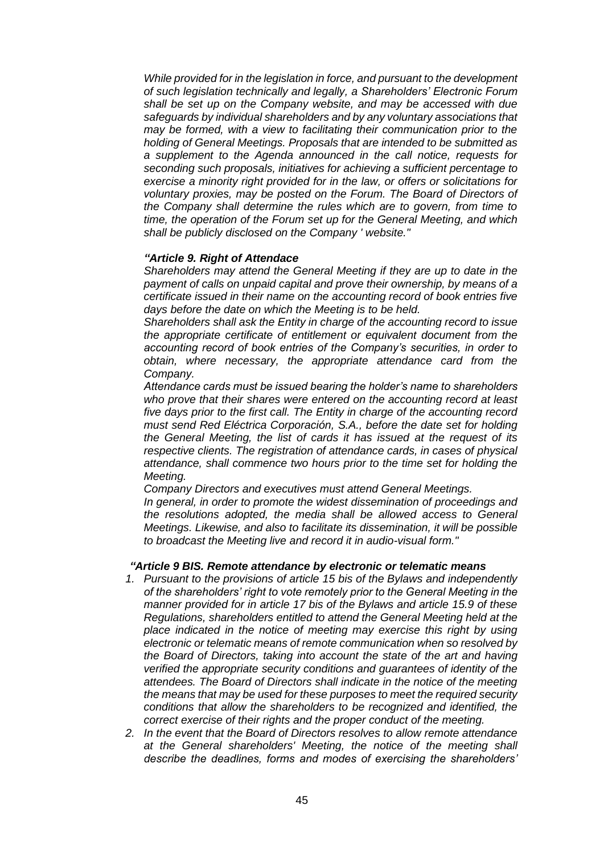*While provided for in the legislation in force, and pursuant to the development of such legislation technically and legally, a Shareholders' Electronic Forum shall be set up on the Company website, and may be accessed with due safeguards by individual shareholders and by any voluntary associations that may be formed, with a view to facilitating their communication prior to the holding of General Meetings. Proposals that are intended to be submitted as a supplement to the Agenda announced in the call notice, requests for seconding such proposals, initiatives for achieving a sufficient percentage to exercise a minority right provided for in the law, or offers or solicitations for voluntary proxies, may be posted on the Forum. The Board of Directors of the Company shall determine the rules which are to govern, from time to time, the operation of the Forum set up for the General Meeting, and which shall be publicly disclosed on the Company ' website."*

### *"Article 9. Right of Attendace*

*Shareholders may attend the General Meeting if they are up to date in the payment of calls on unpaid capital and prove their ownership, by means of a certificate issued in their name on the accounting record of book entries five days before the date on which the Meeting is to be held.*

*Shareholders shall ask the Entity in charge of the accounting record to issue the appropriate certificate of entitlement or equivalent document from the accounting record of book entries of the Company's securities, in order to obtain, where necessary, the appropriate attendance card from the Company.*

*Attendance cards must be issued bearing the holder's name to shareholders who prove that their shares were entered on the accounting record at least five days prior to the first call. The Entity in charge of the accounting record must send Red Eléctrica Corporación, S.A., before the date set for holding the General Meeting, the list of cards it has issued at the request of its respective clients. The registration of attendance cards, in cases of physical attendance, shall commence two hours prior to the time set for holding the Meeting.*

*Company Directors and executives must attend General Meetings.*

*In general, in order to promote the widest dissemination of proceedings and the resolutions adopted, the media shall be allowed access to General Meetings. Likewise, and also to facilitate its dissemination, it will be possible to broadcast the Meeting live and record it in audio-visual form."*

#### *"Article 9 BIS. Remote attendance by electronic or telematic means*

- *1. Pursuant to the provisions of article 15 bis of the Bylaws and independently of the shareholders' right to vote remotely prior to the General Meeting in the manner provided for in article 17 bis of the Bylaws and article 15.9 of these Regulations, shareholders entitled to attend the General Meeting held at the place indicated in the notice of meeting may exercise this right by using electronic or telematic means of remote communication when so resolved by the Board of Directors, taking into account the state of the art and having verified the appropriate security conditions and guarantees of identity of the attendees. The Board of Directors shall indicate in the notice of the meeting the means that may be used for these purposes to meet the required security conditions that allow the shareholders to be recognized and identified, the correct exercise of their rights and the proper conduct of the meeting.*
- *2. In the event that the Board of Directors resolves to allow remote attendance at the General shareholders' Meeting, the notice of the meeting shall describe the deadlines, forms and modes of exercising the shareholders'*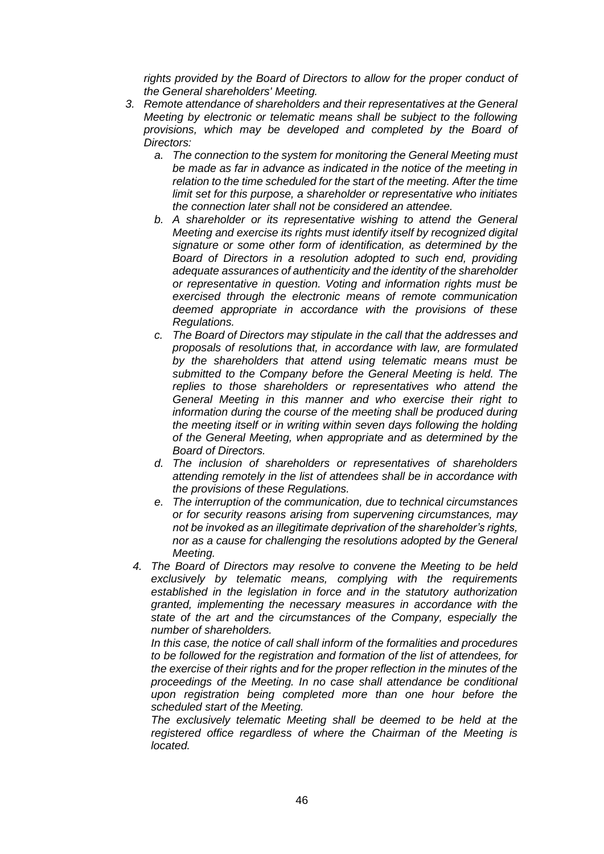*rights provided by the Board of Directors to allow for the proper conduct of the General shareholders' Meeting.* 

- *3. Remote attendance of shareholders and their representatives at the General Meeting by electronic or telematic means shall be subject to the following provisions, which may be developed and completed by the Board of Directors:* 
	- *a. The connection to the system for monitoring the General Meeting must be made as far in advance as indicated in the notice of the meeting in relation to the time scheduled for the start of the meeting. After the time limit set for this purpose, a shareholder or representative who initiates the connection later shall not be considered an attendee.*
	- *b. A shareholder or its representative wishing to attend the General Meeting and exercise its rights must identify itself by recognized digital signature or some other form of identification, as determined by the Board of Directors in a resolution adopted to such end, providing adequate assurances of authenticity and the identity of the shareholder or representative in question. Voting and information rights must be exercised through the electronic means of remote communication deemed appropriate in accordance with the provisions of these Regulations.*
	- *c. The Board of Directors may stipulate in the call that the addresses and proposals of resolutions that, in accordance with law, are formulated by the shareholders that attend using telematic means must be submitted to the Company before the General Meeting is held. The replies to those shareholders or representatives who attend the General Meeting in this manner and who exercise their right to information during the course of the meeting shall be produced during the meeting itself or in writing within seven days following the holding of the General Meeting, when appropriate and as determined by the Board of Directors.*
	- *d. The inclusion of shareholders or representatives of shareholders attending remotely in the list of attendees shall be in accordance with the provisions of these Regulations.*
	- *e. The interruption of the communication, due to technical circumstances or for security reasons arising from supervening circumstances, may not be invoked as an illegitimate deprivation of the shareholder's rights, nor as a cause for challenging the resolutions adopted by the General Meeting.*
	- *4. The Board of Directors may resolve to convene the Meeting to be held exclusively by telematic means, complying with the requirements established in the legislation in force and in the statutory authorization granted, implementing the necessary measures in accordance with the state of the art and the circumstances of the Company, especially the number of shareholders.*

*In this case, the notice of call shall inform of the formalities and procedures to be followed for the registration and formation of the list of attendees, for the exercise of their rights and for the proper reflection in the minutes of the proceedings of the Meeting. In no case shall attendance be conditional upon registration being completed more than one hour before the scheduled start of the Meeting.*

*The exclusively telematic Meeting shall be deemed to be held at the registered office regardless of where the Chairman of the Meeting is located.*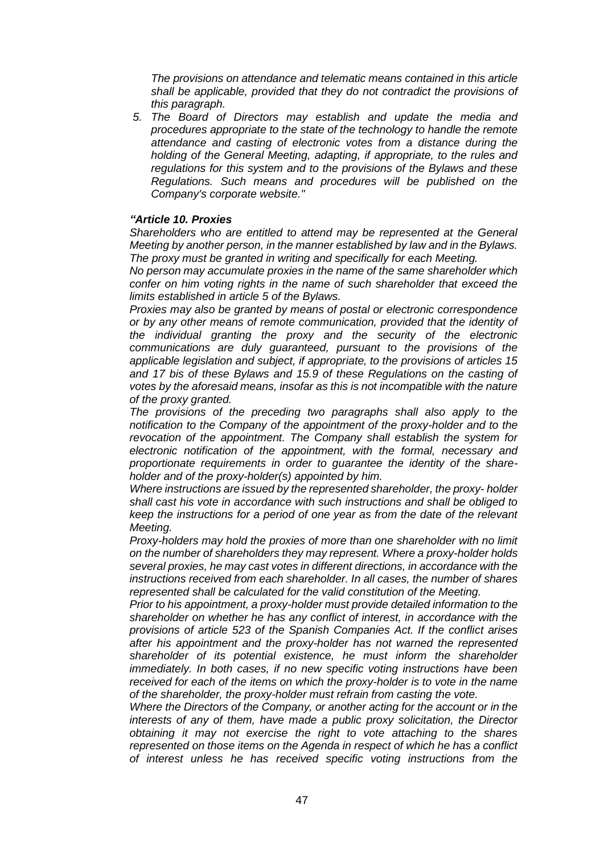*The provisions on attendance and telematic means contained in this article shall be applicable, provided that they do not contradict the provisions of this paragraph.*

*5. The Board of Directors may establish and update the media and procedures appropriate to the state of the technology to handle the remote attendance and casting of electronic votes from a distance during the holding of the General Meeting, adapting, if appropriate, to the rules and regulations for this system and to the provisions of the Bylaws and these Regulations. Such means and procedures will be published on the Company's corporate website."*

#### *"Article 10. Proxies*

*Shareholders who are entitled to attend may be represented at the General Meeting by another person, in the manner established by law and in the Bylaws. The proxy must be granted in writing and specifically for each Meeting.*

*No person may accumulate proxies in the name of the same shareholder which confer on him voting rights in the name of such shareholder that exceed the limits established in article 5 of the Bylaws.*

*Proxies may also be granted by means of postal or electronic correspondence or by any other means of remote communication, provided that the identity of the individual granting the proxy and the security of the electronic communications are duly guaranteed, pursuant to the provisions of the applicable legislation and subject, if appropriate, to the provisions of articles 15 and 17 bis of these Bylaws and 15.9 of these Regulations on the casting of votes by the aforesaid means, insofar as this is not incompatible with the nature of the proxy granted.*

*The provisions of the preceding two paragraphs shall also apply to the notification to the Company of the appointment of the proxy-holder and to the revocation of the appointment. The Company shall establish the system for electronic notification of the appointment, with the formal, necessary and proportionate requirements in order to guarantee the identity of the shareholder and of the proxy-holder(s) appointed by him.*

*Where instructions are issued by the represented shareholder, the proxy- holder shall cast his vote in accordance with such instructions and shall be obliged to keep the instructions for a period of one year as from the date of the relevant Meeting.*

*Proxy-holders may hold the proxies of more than one shareholder with no limit on the number of shareholders they may represent. Where a proxy-holder holds several proxies, he may cast votes in different directions, in accordance with the instructions received from each shareholder. In all cases, the number of shares represented shall be calculated for the valid constitution of the Meeting.*

*Prior to his appointment, a proxy-holder must provide detailed information to the shareholder on whether he has any conflict of interest, in accordance with the provisions of article 523 of the Spanish Companies Act. If the conflict arises after his appointment and the proxy-holder has not warned the represented shareholder of its potential existence, he must inform the shareholder immediately. In both cases, if no new specific voting instructions have been received for each of the items on which the proxy-holder is to vote in the name of the shareholder, the proxy-holder must refrain from casting the vote.*

*Where the Directors of the Company, or another acting for the account or in the interests of any of them, have made a public proxy solicitation, the Director obtaining it may not exercise the right to vote attaching to the shares represented on those items on the Agenda in respect of which he has a conflict of interest unless he has received specific voting instructions from the*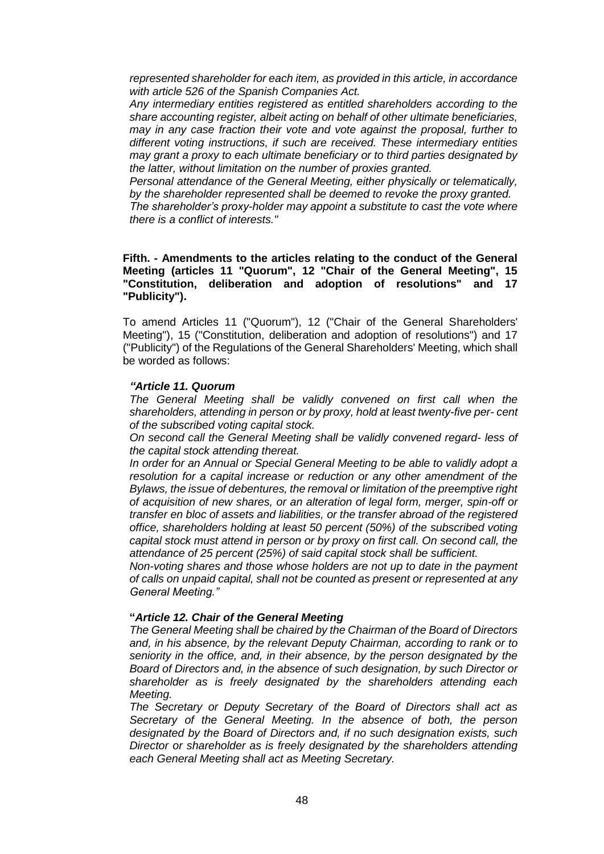*represented shareholder for each item, as provided in this article, in accordance with article 526 of the Spanish Companies Act.*

*Any intermediary entities registered as entitled shareholders according to the share accounting register, albeit acting on behalf of other ultimate beneficiaries, may in any case fraction their vote and vote against the proposal, further to different voting instructions, if such are received. These intermediary entities may grant a proxy to each ultimate beneficiary or to third parties designated by the latter, without limitation on the number of proxies granted.*

*Personal attendance of the General Meeting, either physically or telematically, by the shareholder represented shall be deemed to revoke the proxy granted.*

*The shareholder's proxy-holder may appoint a substitute to cast the vote where there is a conflict of interests."*

#### **Fifth. - Amendments to the articles relating to the conduct of the General Meeting (articles 11 "Quorum", 12 "Chair of the General Meeting", 15 "Constitution, deliberation and adoption of resolutions" and 17 "Publicity").**

To amend Articles 11 ("Quorum"), 12 ("Chair of the General Shareholders' Meeting"), 15 ("Constitution, deliberation and adoption of resolutions") and 17 ("Publicity") of the Regulations of the General Shareholders' Meeting, which shall be worded as follows:

### *"Article 11. Quorum*

*The General Meeting shall be validly convened on first call when the shareholders, attending in person or by proxy, hold at least twenty-five per- cent of the subscribed voting capital stock.*

*On second call the General Meeting shall be validly convened regard- less of the capital stock attending thereat.*

*In order for an Annual or Special General Meeting to be able to validly adopt a resolution for a capital increase or reduction or any other amendment of the Bylaws, the issue of debentures, the removal or limitation of the preemptive right of acquisition of new shares, or an alteration of legal form, merger, spin-off or transfer en bloc of assets and liabilities, or the transfer abroad of the registered office, shareholders holding at least 50 percent (50%) of the subscribed voting capital stock must attend in person or by proxy on first call. On second call, the attendance of 25 percent (25%) of said capital stock shall be sufficient.*

*Non-voting shares and those whose holders are not up to date in the payment of calls on unpaid capital, shall not be counted as present or represented at any General Meeting."*

#### **"***Article 12. Chair of the General Meeting*

*The General Meeting shall be chaired by the Chairman of the Board of Directors and, in his absence, by the relevant Deputy Chairman, according to rank or to seniority in the office, and, in their absence, by the person designated by the Board of Directors and, in the absence of such designation, by such Director or shareholder as is freely designated by the shareholders attending each Meeting.*

*The Secretary or Deputy Secretary of the Board of Directors shall act as Secretary of the General Meeting. In the absence of both, the person designated by the Board of Directors and, if no such designation exists, such Director or shareholder as is freely designated by the shareholders attending each General Meeting shall act as Meeting Secretary.*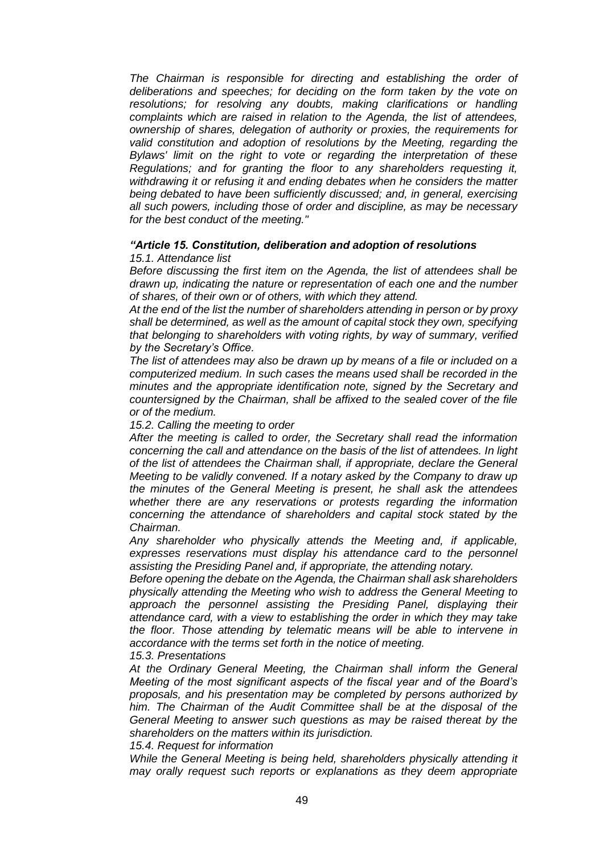*The Chairman is responsible for directing and establishing the order of deliberations and speeches; for deciding on the form taken by the vote on resolutions; for resolving any doubts, making clarifications or handling complaints which are raised in relation to the Agenda, the list of attendees, ownership of shares, delegation of authority or proxies, the requirements for valid constitution and adoption of resolutions by the Meeting, regarding the Bylaws' limit on the right to vote or regarding the interpretation of these Regulations; and for granting the floor to any shareholders requesting it, withdrawing it or refusing it and ending debates when he considers the matter being debated to have been sufficiently discussed; and, in general, exercising all such powers, including those of order and discipline, as may be necessary for the best conduct of the meeting."*

#### *"Article 15. Constitution, deliberation and adoption of resolutions 15.1. Attendance list*

*Before discussing the first item on the Agenda, the list of attendees shall be drawn up, indicating the nature or representation of each one and the number of shares, of their own or of others, with which they attend.*

*At the end of the list the number of shareholders attending in person or by proxy shall be determined, as well as the amount of capital stock they own, specifying that belonging to shareholders with voting rights, by way of summary, verified by the Secretary's Office.*

*The list of attendees may also be drawn up by means of a file or included on a computerized medium. In such cases the means used shall be recorded in the minutes and the appropriate identification note, signed by the Secretary and countersigned by the Chairman, shall be affixed to the sealed cover of the file or of the medium.*

*15.2. Calling the meeting to order*

*After the meeting is called to order, the Secretary shall read the information concerning the call and attendance on the basis of the list of attendees. In light of the list of attendees the Chairman shall, if appropriate, declare the General Meeting to be validly convened. If a notary asked by the Company to draw up the minutes of the General Meeting is present, he shall ask the attendees whether there are any reservations or protests regarding the information concerning the attendance of shareholders and capital stock stated by the Chairman.*

*Any shareholder who physically attends the Meeting and, if applicable, expresses reservations must display his attendance card to the personnel assisting the Presiding Panel and, if appropriate, the attending notary.*

*Before opening the debate on the Agenda, the Chairman shall ask shareholders physically attending the Meeting who wish to address the General Meeting to*  approach the personnel assisting the Presiding Panel, displaying their *attendance card, with a view to establishing the order in which they may take the floor. Those attending by telematic means will be able to intervene in accordance with the terms set forth in the notice of meeting. 15.3. Presentations*

*At the Ordinary General Meeting, the Chairman shall inform the General Meeting of the most significant aspects of the fiscal year and of the Board's proposals, and his presentation may be completed by persons authorized by him. The Chairman of the Audit Committee shall be at the disposal of the General Meeting to answer such questions as may be raised thereat by the shareholders on the matters within its jurisdiction.*

*15.4. Request for information*

*While the General Meeting is being held, shareholders physically attending it may orally request such reports or explanations as they deem appropriate*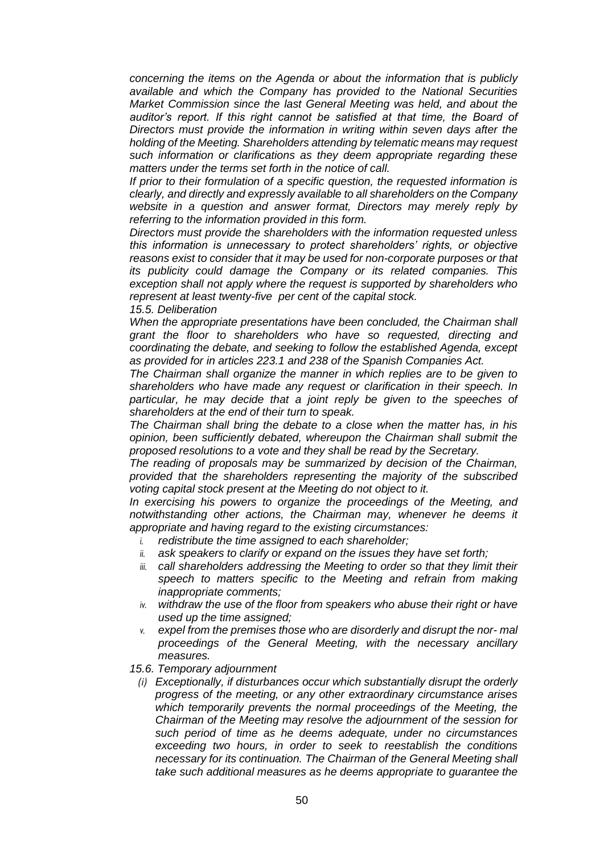*concerning the items on the Agenda or about the information that is publicly available and which the Company has provided to the National Securities Market Commission since the last General Meeting was held, and about the auditor's report. If this right cannot be satisfied at that time, the Board of Directors must provide the information in writing within seven days after the holding of the Meeting. Shareholders attending by telematic means may request such information or clarifications as they deem appropriate regarding these matters under the terms set forth in the notice of call.*

*If prior to their formulation of a specific question, the requested information is clearly, and directly and expressly available to all shareholders on the Company website in a question and answer format, Directors may merely reply by referring to the information provided in this form.*

*Directors must provide the shareholders with the information requested unless this information is unnecessary to protect shareholders' rights, or objective reasons exist to consider that it may be used for non-corporate purposes or that its publicity could damage the Company or its related companies. This exception shall not apply where the request is supported by shareholders who represent at least twenty-five per cent of the capital stock.*

*15.5. Deliberation*

*When the appropriate presentations have been concluded, the Chairman shall grant the floor to shareholders who have so requested, directing and coordinating the debate, and seeking to follow the established Agenda, except as provided for in articles 223.1 and 238 of the Spanish Companies Act.*

*The Chairman shall organize the manner in which replies are to be given to shareholders who have made any request or clarification in their speech. In particular, he may decide that a joint reply be given to the speeches of shareholders at the end of their turn to speak.*

*The Chairman shall bring the debate to a close when the matter has, in his opinion, been sufficiently debated, whereupon the Chairman shall submit the proposed resolutions to a vote and they shall be read by the Secretary.*

*The reading of proposals may be summarized by decision of the Chairman, provided that the shareholders representing the majority of the subscribed voting capital stock present at the Meeting do not object to it.*

*In exercising his powers to organize the proceedings of the Meeting, and notwithstanding other actions, the Chairman may, whenever he deems it appropriate and having regard to the existing circumstances:*

- *i. redistribute the time assigned to each shareholder;*
- *ii. ask speakers to clarify or expand on the issues they have set forth;*
- *iii. call shareholders addressing the Meeting to order so that they limit their speech to matters specific to the Meeting and refrain from making inappropriate comments;*
- *iv. withdraw the use of the floor from speakers who abuse their right or have used up the time assigned;*
- *v. expel from the premises those who are disorderly and disrupt the nor- mal proceedings of the General Meeting, with the necessary ancillary measures.*

#### *15.6. Temporary adjournment*

*(i) Exceptionally, if disturbances occur which substantially disrupt the orderly progress of the meeting, or any other extraordinary circumstance arises which temporarily prevents the normal proceedings of the Meeting, the Chairman of the Meeting may resolve the adjournment of the session for such period of time as he deems adequate, under no circumstances exceeding two hours, in order to seek to reestablish the conditions necessary for its continuation. The Chairman of the General Meeting shall take such additional measures as he deems appropriate to guarantee the*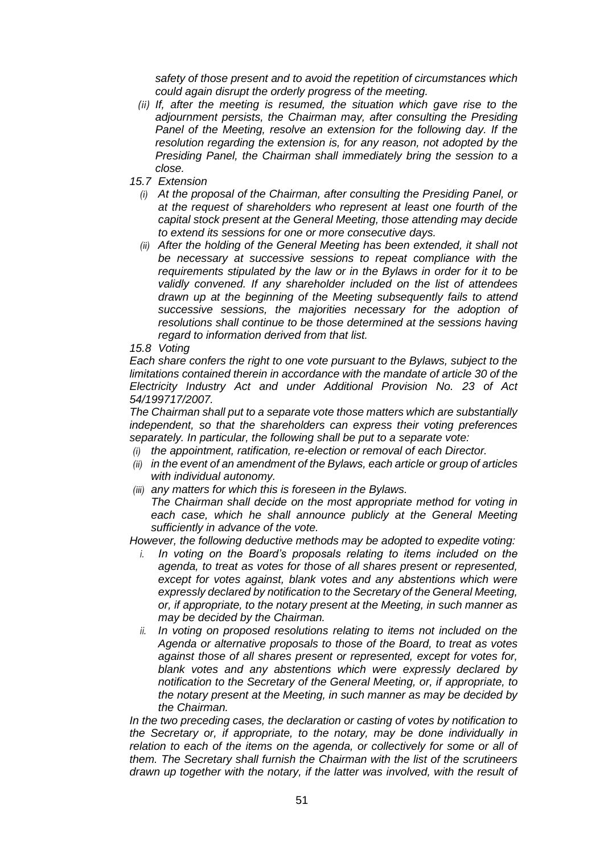*safety of those present and to avoid the repetition of circumstances which could again disrupt the orderly progress of the meeting.*

- *(ii) If, after the meeting is resumed, the situation which gave rise to the adjournment persists, the Chairman may, after consulting the Presiding Panel of the Meeting, resolve an extension for the following day. If the resolution regarding the extension is, for any reason, not adopted by the Presiding Panel, the Chairman shall immediately bring the session to a close.*
- *15.7 Extension*
	- *(i) At the proposal of the Chairman, after consulting the Presiding Panel, or at the request of shareholders who represent at least one fourth of the capital stock present at the General Meeting, those attending may decide to extend its sessions for one or more consecutive days.*
	- *(ii) After the holding of the General Meeting has been extended, it shall not be necessary at successive sessions to repeat compliance with the requirements stipulated by the law or in the Bylaws in order for it to be validly convened. If any shareholder included on the list of attendees drawn up at the beginning of the Meeting subsequently fails to attend successive sessions, the majorities necessary for the adoption of resolutions shall continue to be those determined at the sessions having regard to information derived from that list.*

### *15.8 Voting*

*Each share confers the right to one vote pursuant to the Bylaws, subject to the limitations contained therein in accordance with the mandate of article 30 of the Electricity Industry Act and under Additional Provision No. 23 of Act 54/199717/2007.*

*The Chairman shall put to a separate vote those matters which are substantially independent, so that the shareholders can express their voting preferences separately. In particular, the following shall be put to a separate vote:*

- *(i) the appointment, ratification, re-election or removal of each Director.*
- *(ii) in the event of an amendment of the Bylaws, each article or group of articles with individual autonomy.*
- *(iii) any matters for which this is foreseen in the Bylaws. The Chairman shall decide on the most appropriate method for voting in*  each case, which he shall announce publicly at the General Meeting *sufficiently in advance of the vote.*

*However, the following deductive methods may be adopted to expedite voting:*

- *i. In voting on the Board's proposals relating to items included on the agenda, to treat as votes for those of all shares present or represented, except for votes against, blank votes and any abstentions which were expressly declared by notification to the Secretary of the General Meeting, or, if appropriate, to the notary present at the Meeting, in such manner as may be decided by the Chairman.*
- *ii. In voting on proposed resolutions relating to items not included on the Agenda or alternative proposals to those of the Board, to treat as votes against those of all shares present or represented, except for votes for, blank votes and any abstentions which were expressly declared by notification to the Secretary of the General Meeting, or, if appropriate, to the notary present at the Meeting, in such manner as may be decided by the Chairman.*

*In the two preceding cases, the declaration or casting of votes by notification to the Secretary or, if appropriate, to the notary, may be done individually in relation to each of the items on the agenda, or collectively for some or all of them. The Secretary shall furnish the Chairman with the list of the scrutineers drawn up together with the notary, if the latter was involved, with the result of*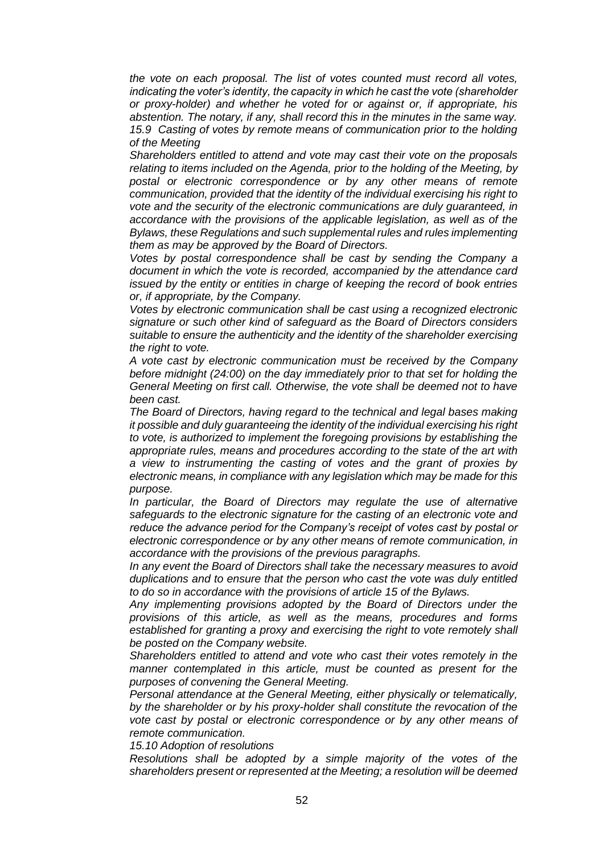*the vote on each proposal. The list of votes counted must record all votes, indicating the voter's identity, the capacity in which he cast the vote (shareholder or proxy-holder) and whether he voted for or against or, if appropriate, his abstention. The notary, if any, shall record this in the minutes in the same way. 15.9 Casting of votes by remote means of communication prior to the holding of the Meeting*

*Shareholders entitled to attend and vote may cast their vote on the proposals relating to items included on the Agenda, prior to the holding of the Meeting, by postal or electronic correspondence or by any other means of remote communication, provided that the identity of the individual exercising his right to vote and the security of the electronic communications are duly guaranteed, in accordance with the provisions of the applicable legislation, as well as of the Bylaws, these Regulations and such supplemental rules and rules implementing them as may be approved by the Board of Directors.*

*Votes by postal correspondence shall be cast by sending the Company a document in which the vote is recorded, accompanied by the attendance card issued by the entity or entities in charge of keeping the record of book entries or, if appropriate, by the Company.*

*Votes by electronic communication shall be cast using a recognized electronic signature or such other kind of safeguard as the Board of Directors considers suitable to ensure the authenticity and the identity of the shareholder exercising the right to vote.*

*A vote cast by electronic communication must be received by the Company before midnight (24:00) on the day immediately prior to that set for holding the General Meeting on first call. Otherwise, the vote shall be deemed not to have been cast.*

*The Board of Directors, having regard to the technical and legal bases making it possible and duly guaranteeing the identity of the individual exercising his right to vote, is authorized to implement the foregoing provisions by establishing the appropriate rules, means and procedures according to the state of the art with a view to instrumenting the casting of votes and the grant of proxies by electronic means, in compliance with any legislation which may be made for this purpose.*

*In particular, the Board of Directors may regulate the use of alternative safeguards to the electronic signature for the casting of an electronic vote and reduce the advance period for the Company's receipt of votes cast by postal or electronic correspondence or by any other means of remote communication, in accordance with the provisions of the previous paragraphs.*

*In any event the Board of Directors shall take the necessary measures to avoid duplications and to ensure that the person who cast the vote was duly entitled to do so in accordance with the provisions of article 15 of the Bylaws.*

*Any implementing provisions adopted by the Board of Directors under the provisions of this article, as well as the means, procedures and forms established for granting a proxy and exercising the right to vote remotely shall be posted on the Company website.*

*Shareholders entitled to attend and vote who cast their votes remotely in the manner contemplated in this article, must be counted as present for the purposes of convening the General Meeting.*

*Personal attendance at the General Meeting, either physically or telematically, by the shareholder or by his proxy-holder shall constitute the revocation of the vote cast by postal or electronic correspondence or by any other means of remote communication.*

*15.10 Adoption of resolutions*

*Resolutions shall be adopted by a simple majority of the votes of the shareholders present or represented at the Meeting; a resolution will be deemed*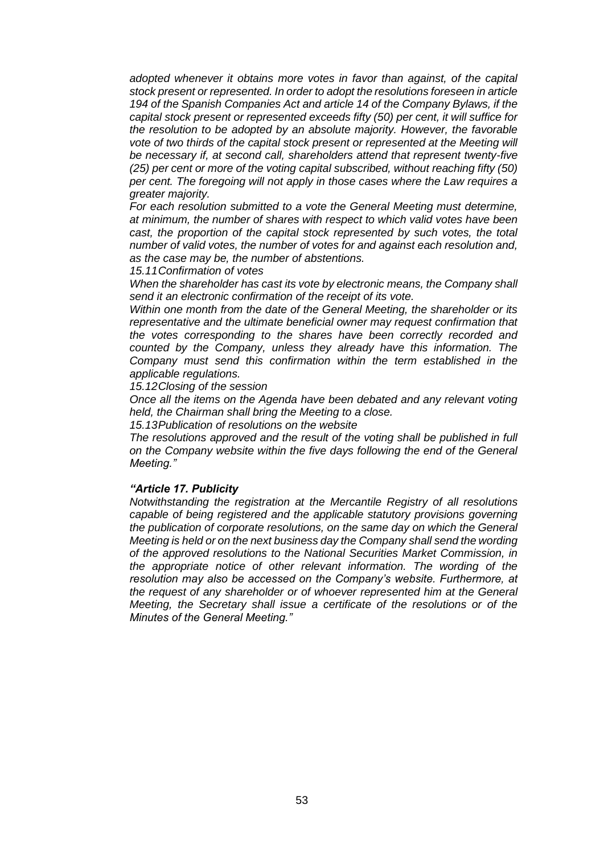*adopted whenever it obtains more votes in favor than against, of the capital stock present or represented. In order to adopt the resolutions foreseen in article 194 of the Spanish Companies Act and article 14 of the Company Bylaws, if the capital stock present or represented exceeds fifty (50) per cent, it will suffice for the resolution to be adopted by an absolute majority. However, the favorable vote of two thirds of the capital stock present or represented at the Meeting will be necessary if, at second call, shareholders attend that represent twenty-five (25) per cent or more of the voting capital subscribed, without reaching fifty (50) per cent. The foregoing will not apply in those cases where the Law requires a greater majority.*

*For each resolution submitted to a vote the General Meeting must determine, at minimum, the number of shares with respect to which valid votes have been cast, the proportion of the capital stock represented by such votes, the total number of valid votes, the number of votes for and against each resolution and, as the case may be, the number of abstentions.*

*15.11Confirmation of votes*

*When the shareholder has cast its vote by electronic means, the Company shall send it an electronic confirmation of the receipt of its vote.*

*Within one month from the date of the General Meeting, the shareholder or its representative and the ultimate beneficial owner may request confirmation that the votes corresponding to the shares have been correctly recorded and counted by the Company, unless they already have this information. The Company must send this confirmation within the term established in the applicable regulations.*

*15.12Closing of the session*

*Once all the items on the Agenda have been debated and any relevant voting held, the Chairman shall bring the Meeting to a close.*

*15.13Publication of resolutions on the website*

*The resolutions approved and the result of the voting shall be published in full on the Company website within the five days following the end of the General Meeting."*

#### *"Article 17. Publicity*

*Notwithstanding the registration at the Mercantile Registry of all resolutions capable of being registered and the applicable statutory provisions governing the publication of corporate resolutions, on the same day on which the General Meeting is held or on the next business day the Company shall send the wording of the approved resolutions to the National Securities Market Commission, in the appropriate notice of other relevant information. The wording of the resolution may also be accessed on the Company's website. Furthermore, at the request of any shareholder or of whoever represented him at the General Meeting, the Secretary shall issue a certificate of the resolutions or of the Minutes of the General Meeting."*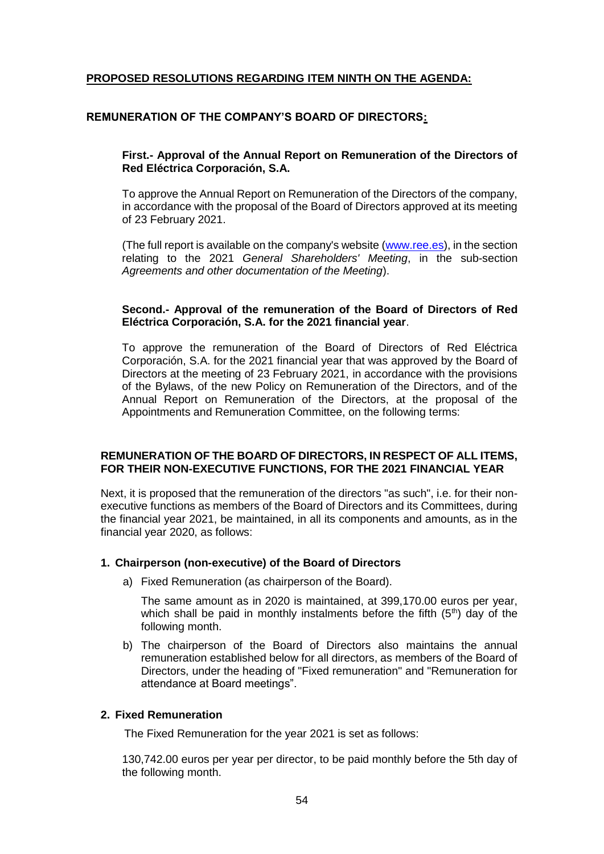# **PROPOSED RESOLUTIONS REGARDING ITEM NINTH ON THE AGENDA:**

# **REMUNERATION OF THE COMPANY'S BOARD OF DIRECTORS:**

### **First.- Approval of the Annual Report on Remuneration of the Directors of Red Eléctrica Corporación, S.A.**

To approve the Annual Report on Remuneration of the Directors of the company, in accordance with the proposal of the Board of Directors approved at its meeting of 23 February 2021.

(The full report is available on the company's website [\(www.ree.es\)](http://www.ree.es/), in the section relating to the 2021 *General Shareholders' Meeting*, in the sub-section *Agreements and other documentation of the Meeting*).

### **Second.- Approval of the remuneration of the Board of Directors of Red Eléctrica Corporación, S.A. for the 2021 financial year**.

To approve the remuneration of the Board of Directors of Red Eléctrica Corporación, S.A. for the 2021 financial year that was approved by the Board of Directors at the meeting of 23 February 2021, in accordance with the provisions of the Bylaws, of the new Policy on Remuneration of the Directors, and of the Annual Report on Remuneration of the Directors, at the proposal of the Appointments and Remuneration Committee, on the following terms:

### **REMUNERATION OF THE BOARD OF DIRECTORS, IN RESPECT OF ALL ITEMS, FOR THEIR NON-EXECUTIVE FUNCTIONS, FOR THE 2021 FINANCIAL YEAR**

Next, it is proposed that the remuneration of the directors "as such", i.e. for their nonexecutive functions as members of the Board of Directors and its Committees, during the financial year 2021, be maintained, in all its components and amounts, as in the financial year 2020, as follows:

#### **1. Chairperson (non-executive) of the Board of Directors**

a) Fixed Remuneration (as chairperson of the Board).

The same amount as in 2020 is maintained, at 399,170.00 euros per year, which shall be paid in monthly instalments before the fifth  $(5<sup>th</sup>)$  day of the following month.

b) The chairperson of the Board of Directors also maintains the annual remuneration established below for all directors, as members of the Board of Directors, under the heading of "Fixed remuneration" and "Remuneration for attendance at Board meetings".

#### **2. Fixed Remuneration**

The Fixed Remuneration for the year 2021 is set as follows:

130,742.00 euros per year per director, to be paid monthly before the 5th day of the following month.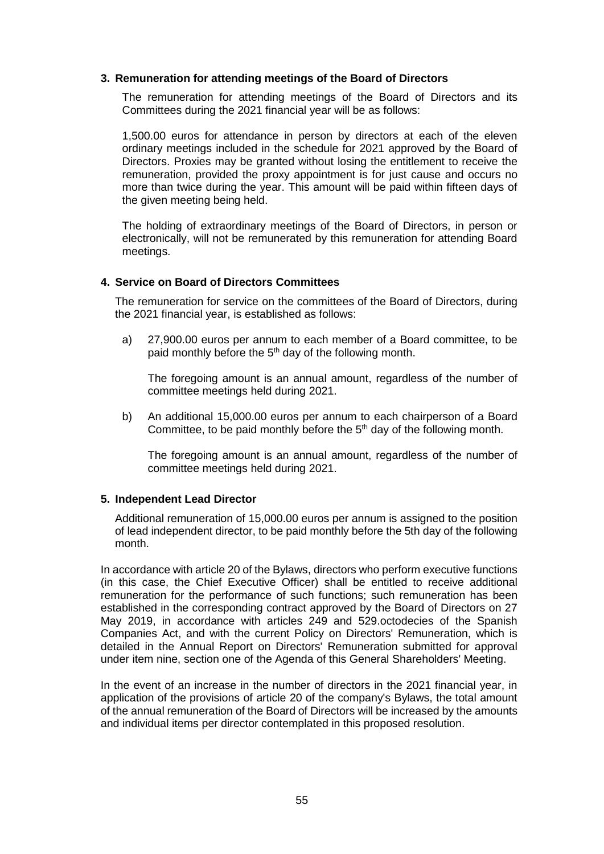### **3. Remuneration for attending meetings of the Board of Directors**

The remuneration for attending meetings of the Board of Directors and its Committees during the 2021 financial year will be as follows:

1,500.00 euros for attendance in person by directors at each of the eleven ordinary meetings included in the schedule for 2021 approved by the Board of Directors. Proxies may be granted without losing the entitlement to receive the remuneration, provided the proxy appointment is for just cause and occurs no more than twice during the year. This amount will be paid within fifteen days of the given meeting being held.

The holding of extraordinary meetings of the Board of Directors, in person or electronically, will not be remunerated by this remuneration for attending Board meetings.

### **4. Service on Board of Directors Committees**

The remuneration for service on the committees of the Board of Directors, during the 2021 financial year, is established as follows:

a) 27,900.00 euros per annum to each member of a Board committee, to be paid monthly before the  $5<sup>th</sup>$  day of the following month.

The foregoing amount is an annual amount, regardless of the number of committee meetings held during 2021.

b) An additional 15,000.00 euros per annum to each chairperson of a Board Committee, to be paid monthly before the  $5<sup>th</sup>$  day of the following month.

The foregoing amount is an annual amount, regardless of the number of committee meetings held during 2021.

#### **5. Independent Lead Director**

Additional remuneration of 15,000.00 euros per annum is assigned to the position of lead independent director, to be paid monthly before the 5th day of the following month.

In accordance with article 20 of the Bylaws, directors who perform executive functions (in this case, the Chief Executive Officer) shall be entitled to receive additional remuneration for the performance of such functions; such remuneration has been established in the corresponding contract approved by the Board of Directors on 27 May 2019, in accordance with articles 249 and 529.octodecies of the Spanish Companies Act, and with the current Policy on Directors' Remuneration, which is detailed in the Annual Report on Directors' Remuneration submitted for approval under item nine, section one of the Agenda of this General Shareholders' Meeting.

In the event of an increase in the number of directors in the 2021 financial year, in application of the provisions of article 20 of the company's Bylaws, the total amount of the annual remuneration of the Board of Directors will be increased by the amounts and individual items per director contemplated in this proposed resolution.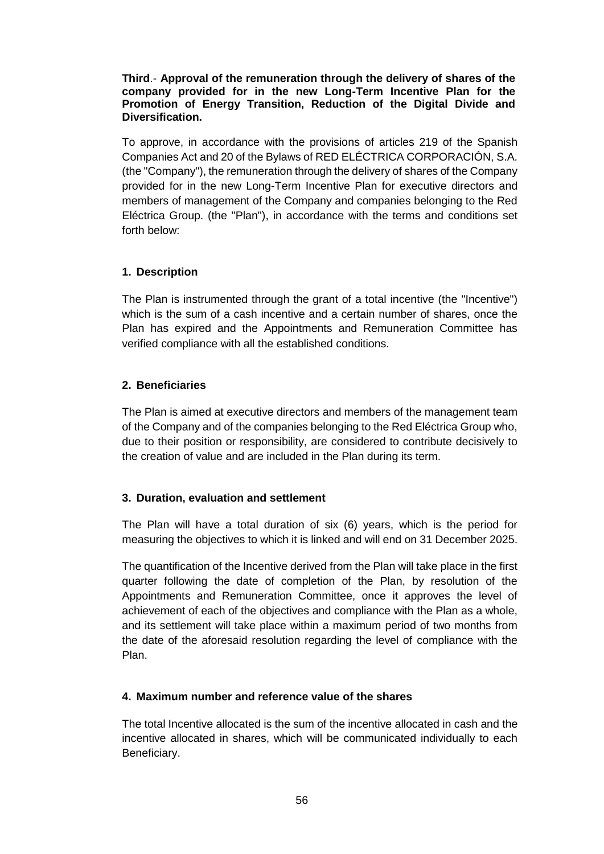# **Third**.- **Approval of the remuneration through the delivery of shares of the company provided for in the new Long-Term Incentive Plan for the Promotion of Energy Transition, Reduction of the Digital Divide and Diversification.**

To approve, in accordance with the provisions of articles 219 of the Spanish Companies Act and 20 of the Bylaws of RED ELÉCTRICA CORPORACIÓN, S.A. (the "Company"), the remuneration through the delivery of shares of the Company provided for in the new Long-Term Incentive Plan for executive directors and members of management of the Company and companies belonging to the Red Eléctrica Group. (the "Plan"), in accordance with the terms and conditions set forth below:

# **1. Description**

The Plan is instrumented through the grant of a total incentive (the "Incentive") which is the sum of a cash incentive and a certain number of shares, once the Plan has expired and the Appointments and Remuneration Committee has verified compliance with all the established conditions.

# **2. Beneficiaries**

The Plan is aimed at executive directors and members of the management team of the Company and of the companies belonging to the Red Eléctrica Group who, due to their position or responsibility, are considered to contribute decisively to the creation of value and are included in the Plan during its term.

# **3. Duration, evaluation and settlement**

The Plan will have a total duration of six (6) years, which is the period for measuring the objectives to which it is linked and will end on 31 December 2025.

The quantification of the Incentive derived from the Plan will take place in the first quarter following the date of completion of the Plan, by resolution of the Appointments and Remuneration Committee, once it approves the level of achievement of each of the objectives and compliance with the Plan as a whole, and its settlement will take place within a maximum period of two months from the date of the aforesaid resolution regarding the level of compliance with the Plan.

# **4. Maximum number and reference value of the shares**

The total Incentive allocated is the sum of the incentive allocated in cash and the incentive allocated in shares, which will be communicated individually to each Beneficiary.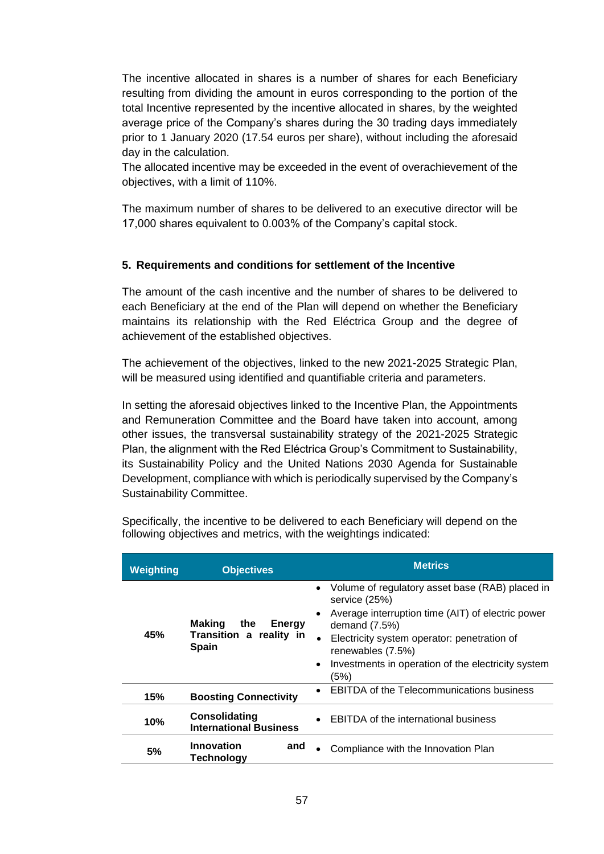The incentive allocated in shares is a number of shares for each Beneficiary resulting from dividing the amount in euros corresponding to the portion of the total Incentive represented by the incentive allocated in shares, by the weighted average price of the Company's shares during the 30 trading days immediately prior to 1 January 2020 (17.54 euros per share), without including the aforesaid day in the calculation.

The allocated incentive may be exceeded in the event of overachievement of the objectives, with a limit of 110%.

The maximum number of shares to be delivered to an executive director will be 17,000 shares equivalent to 0.003% of the Company's capital stock.

# **5. Requirements and conditions for settlement of the Incentive**

The amount of the cash incentive and the number of shares to be delivered to each Beneficiary at the end of the Plan will depend on whether the Beneficiary maintains its relationship with the Red Eléctrica Group and the degree of achievement of the established objectives.

The achievement of the objectives, linked to the new 2021-2025 Strategic Plan, will be measured using identified and quantifiable criteria and parameters.

In setting the aforesaid objectives linked to the Incentive Plan, the Appointments and Remuneration Committee and the Board have taken into account, among other issues, the transversal sustainability strategy of the 2021-2025 Strategic Plan, the alignment with the Red Eléctrica Group's Commitment to Sustainability, its Sustainability Policy and the United Nations 2030 Agenda for Sustainable Development, compliance with which is periodically supervised by the Company's Sustainability Committee.

| Weighting | <b>Objectives</b>                                                                             | <b>Metrics</b>                                                                                                                                                                                                                                                                                       |
|-----------|-----------------------------------------------------------------------------------------------|------------------------------------------------------------------------------------------------------------------------------------------------------------------------------------------------------------------------------------------------------------------------------------------------------|
| 45%       | Making<br>the<br><b>Energy</b><br>Transition a reality in<br><b>Spain</b>                     | Volume of regulatory asset base (RAB) placed in<br>service (25%)<br>Average interruption time (AIT) of electric power<br>$\bullet$<br>demand $(7.5%)$<br>Electricity system operator: penetration of<br>renewables (7.5%)<br>Investments in operation of the electricity system<br>$\bullet$<br>(5%) |
| 15%       | <b>Boosting Connectivity</b>                                                                  | <b>EBITDA of the Telecommunications business</b>                                                                                                                                                                                                                                                     |
| 10%       | Consolidating<br><b>EBITDA</b> of the international business<br><b>International Business</b> |                                                                                                                                                                                                                                                                                                      |
| 5%        | Innovation<br>and<br><b>Technology</b>                                                        | Compliance with the Innovation Plan                                                                                                                                                                                                                                                                  |

Specifically, the incentive to be delivered to each Beneficiary will depend on the following objectives and metrics, with the weightings indicated: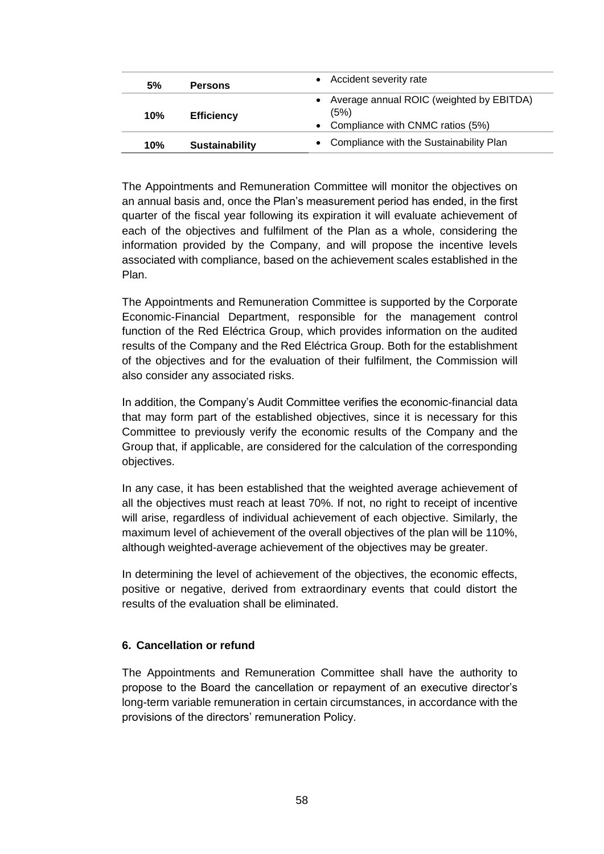| 5%  | <b>Persons</b>        | Accident severity rate                                                                            |
|-----|-----------------------|---------------------------------------------------------------------------------------------------|
| 10% | <b>Efficiency</b>     | Average annual ROIC (weighted by EBITDA)<br>(5%)<br>Compliance with CNMC ratios (5%)<br>$\bullet$ |
| 10% | <b>Sustainability</b> | Compliance with the Sustainability Plan                                                           |

The Appointments and Remuneration Committee will monitor the objectives on an annual basis and, once the Plan's measurement period has ended, in the first quarter of the fiscal year following its expiration it will evaluate achievement of each of the objectives and fulfilment of the Plan as a whole, considering the information provided by the Company, and will propose the incentive levels associated with compliance, based on the achievement scales established in the Plan.

The Appointments and Remuneration Committee is supported by the Corporate Economic-Financial Department, responsible for the management control function of the Red Eléctrica Group, which provides information on the audited results of the Company and the Red Eléctrica Group. Both for the establishment of the objectives and for the evaluation of their fulfilment, the Commission will also consider any associated risks.

In addition, the Company's Audit Committee verifies the economic-financial data that may form part of the established objectives, since it is necessary for this Committee to previously verify the economic results of the Company and the Group that, if applicable, are considered for the calculation of the corresponding objectives.

In any case, it has been established that the weighted average achievement of all the objectives must reach at least 70%. If not, no right to receipt of incentive will arise, regardless of individual achievement of each objective. Similarly, the maximum level of achievement of the overall objectives of the plan will be 110%, although weighted-average achievement of the objectives may be greater.

In determining the level of achievement of the objectives, the economic effects, positive or negative, derived from extraordinary events that could distort the results of the evaluation shall be eliminated.

# **6. Cancellation or refund**

The Appointments and Remuneration Committee shall have the authority to propose to the Board the cancellation or repayment of an executive director's long-term variable remuneration in certain circumstances, in accordance with the provisions of the directors' remuneration Policy.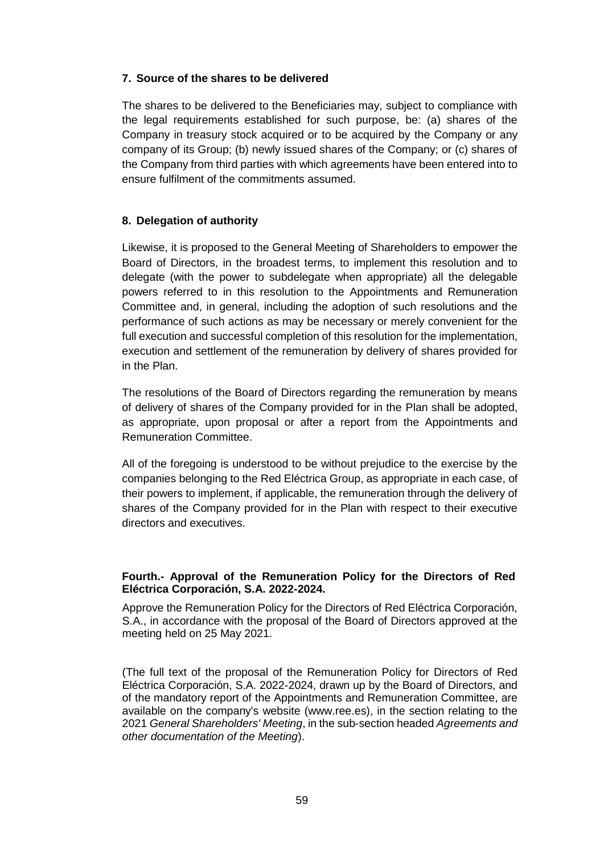# **7. Source of the shares to be delivered**

The shares to be delivered to the Beneficiaries may, subject to compliance with the legal requirements established for such purpose, be: (a) shares of the Company in treasury stock acquired or to be acquired by the Company or any company of its Group; (b) newly issued shares of the Company; or (c) shares of the Company from third parties with which agreements have been entered into to ensure fulfilment of the commitments assumed.

# **8. Delegation of authority**

Likewise, it is proposed to the General Meeting of Shareholders to empower the Board of Directors, in the broadest terms, to implement this resolution and to delegate (with the power to subdelegate when appropriate) all the delegable powers referred to in this resolution to the Appointments and Remuneration Committee and, in general, including the adoption of such resolutions and the performance of such actions as may be necessary or merely convenient for the full execution and successful completion of this resolution for the implementation, execution and settlement of the remuneration by delivery of shares provided for in the Plan.

The resolutions of the Board of Directors regarding the remuneration by means of delivery of shares of the Company provided for in the Plan shall be adopted, as appropriate, upon proposal or after a report from the Appointments and Remuneration Committee.

All of the foregoing is understood to be without prejudice to the exercise by the companies belonging to the Red Eléctrica Group, as appropriate in each case, of their powers to implement, if applicable, the remuneration through the delivery of shares of the Company provided for in the Plan with respect to their executive directors and executives.

# **Fourth.- Approval of the Remuneration Policy for the Directors of Red Eléctrica Corporación, S.A. 2022-2024.**

Approve the Remuneration Policy for the Directors of Red Eléctrica Corporación, S.A., in accordance with the proposal of the Board of Directors approved at the meeting held on 25 May 2021.

(The full text of the proposal of the Remuneration Policy for Directors of Red Eléctrica Corporación, S.A. 2022-2024, drawn up by the Board of Directors, and of the mandatory report of the Appointments and Remuneration Committee, are available on the company's website (www.ree.es), in the section relating to the 2021 *General Shareholders' Meeting*, in the sub-section headed *Agreements and other documentation of the Meeting*).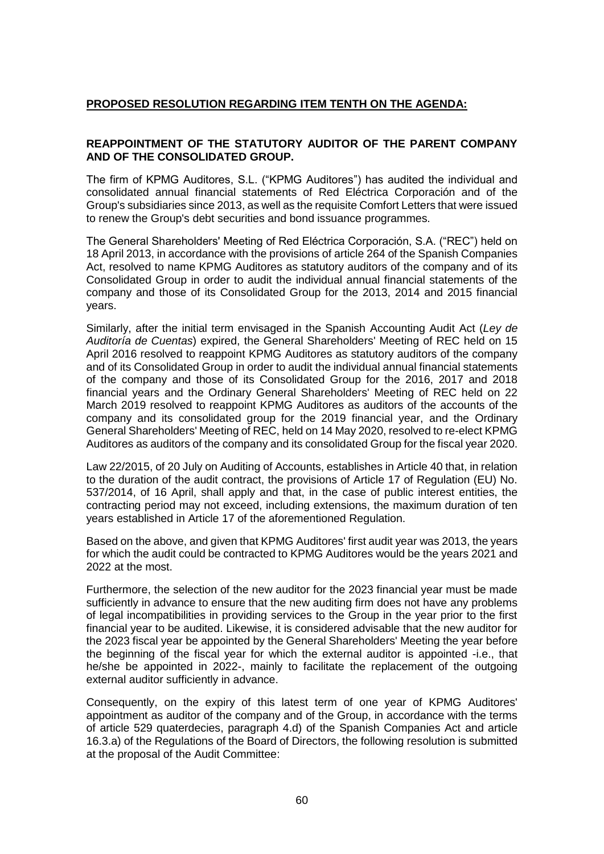# **PROPOSED RESOLUTION REGARDING ITEM TENTH ON THE AGENDA:**

# **REAPPOINTMENT OF THE STATUTORY AUDITOR OF THE PARENT COMPANY AND OF THE CONSOLIDATED GROUP.**

The firm of KPMG Auditores, S.L. ("KPMG Auditores") has audited the individual and consolidated annual financial statements of Red Eléctrica Corporación and of the Group's subsidiaries since 2013, as well as the requisite Comfort Letters that were issued to renew the Group's debt securities and bond issuance programmes.

The General Shareholders' Meeting of Red Eléctrica Corporación, S.A. ("REC") held on 18 April 2013, in accordance with the provisions of article 264 of the Spanish Companies Act, resolved to name KPMG Auditores as statutory auditors of the company and of its Consolidated Group in order to audit the individual annual financial statements of the company and those of its Consolidated Group for the 2013, 2014 and 2015 financial years.

Similarly, after the initial term envisaged in the Spanish Accounting Audit Act (*Ley de Auditoría de Cuentas*) expired, the General Shareholders' Meeting of REC held on 15 April 2016 resolved to reappoint KPMG Auditores as statutory auditors of the company and of its Consolidated Group in order to audit the individual annual financial statements of the company and those of its Consolidated Group for the 2016, 2017 and 2018 financial years and the Ordinary General Shareholders' Meeting of REC held on 22 March 2019 resolved to reappoint KPMG Auditores as auditors of the accounts of the company and its consolidated group for the 2019 financial year, and the Ordinary General Shareholders' Meeting of REC, held on 14 May 2020, resolved to re-elect KPMG Auditores as auditors of the company and its consolidated Group for the fiscal year 2020.

Law 22/2015, of 20 July on Auditing of Accounts, establishes in Article 40 that, in relation to the duration of the audit contract, the provisions of Article 17 of Regulation (EU) No. 537/2014, of 16 April, shall apply and that, in the case of public interest entities, the contracting period may not exceed, including extensions, the maximum duration of ten years established in Article 17 of the aforementioned Regulation.

Based on the above, and given that KPMG Auditores' first audit year was 2013, the years for which the audit could be contracted to KPMG Auditores would be the years 2021 and 2022 at the most.

Furthermore, the selection of the new auditor for the 2023 financial year must be made sufficiently in advance to ensure that the new auditing firm does not have any problems of legal incompatibilities in providing services to the Group in the year prior to the first financial year to be audited. Likewise, it is considered advisable that the new auditor for the 2023 fiscal year be appointed by the General Shareholders' Meeting the year before the beginning of the fiscal year for which the external auditor is appointed -i.e., that he/she be appointed in 2022-, mainly to facilitate the replacement of the outgoing external auditor sufficiently in advance.

Consequently, on the expiry of this latest term of one year of KPMG Auditores' appointment as auditor of the company and of the Group, in accordance with the terms of article 529 quaterdecies, paragraph 4.d) of the Spanish Companies Act and article 16.3.a) of the Regulations of the Board of Directors, the following resolution is submitted at the proposal of the Audit Committee: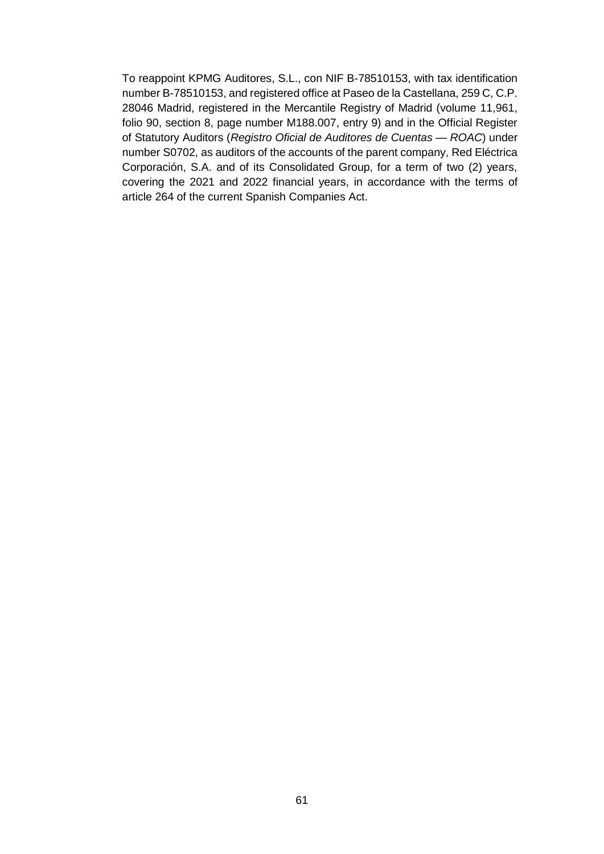To reappoint KPMG Auditores, S.L., con NIF B-78510153, with tax identification number B-78510153, and registered office at Paseo de la Castellana, 259 C, C.P. 28046 Madrid, registered in the Mercantile Registry of Madrid (volume 11,961, folio 90, section 8, page number M188.007, entry 9) and in the Official Register of Statutory Auditors (*Registro Oficial de Auditores de Cuentas — ROAC*) under number S0702, as auditors of the accounts of the parent company, Red Eléctrica Corporación, S.A. and of its Consolidated Group, for a term of two (2) years, covering the 2021 and 2022 financial years, in accordance with the terms of article 264 of the current Spanish Companies Act.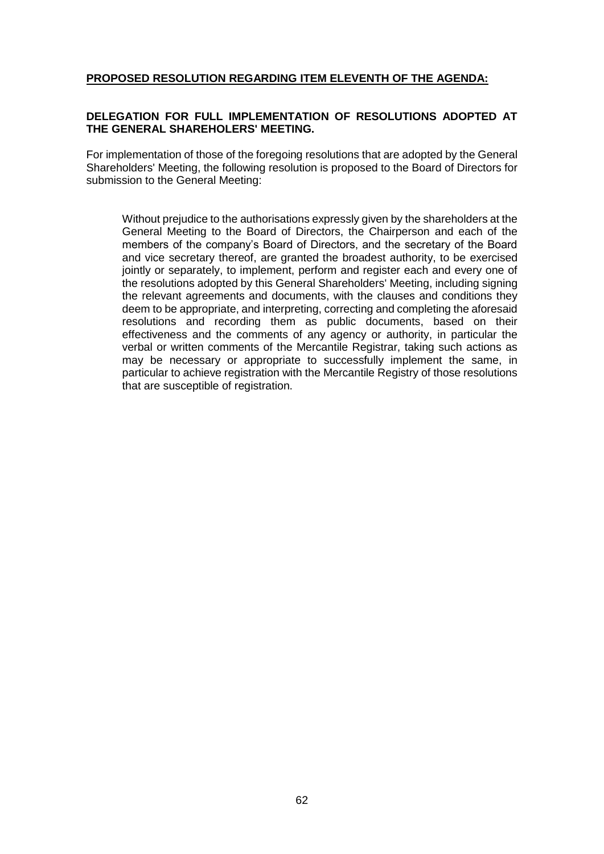# **PROPOSED RESOLUTION REGARDING ITEM ELEVENTH OF THE AGENDA:**

# **DELEGATION FOR FULL IMPLEMENTATION OF RESOLUTIONS ADOPTED AT THE GENERAL SHAREHOLERS' MEETING.**

For implementation of those of the foregoing resolutions that are adopted by the General Shareholders' Meeting, the following resolution is proposed to the Board of Directors for submission to the General Meeting:

Without prejudice to the authorisations expressly given by the shareholders at the General Meeting to the Board of Directors, the Chairperson and each of the members of the company's Board of Directors, and the secretary of the Board and vice secretary thereof, are granted the broadest authority, to be exercised jointly or separately, to implement, perform and register each and every one of the resolutions adopted by this General Shareholders' Meeting, including signing the relevant agreements and documents, with the clauses and conditions they deem to be appropriate, and interpreting, correcting and completing the aforesaid resolutions and recording them as public documents, based on their effectiveness and the comments of any agency or authority, in particular the verbal or written comments of the Mercantile Registrar, taking such actions as may be necessary or appropriate to successfully implement the same, in particular to achieve registration with the Mercantile Registry of those resolutions that are susceptible of registration.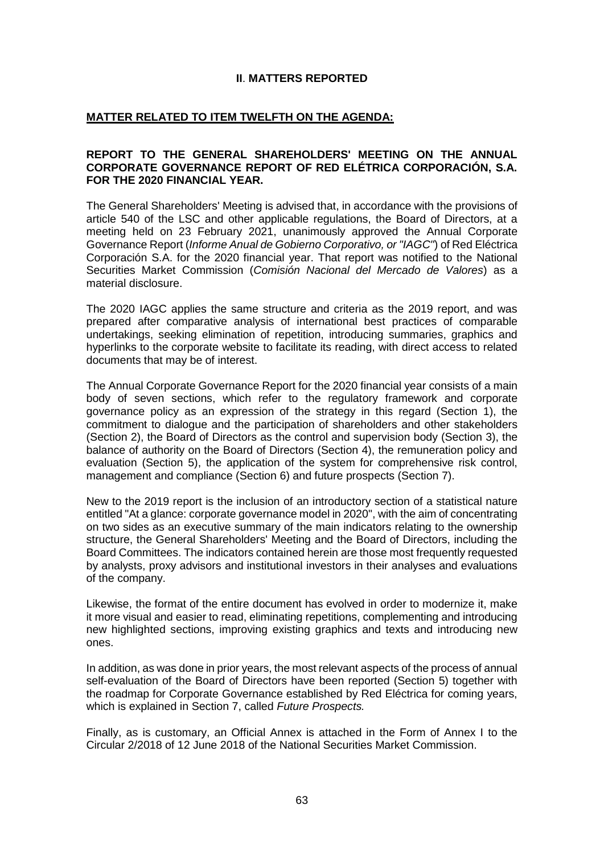# **II**. **MATTERS REPORTED**

# **MATTER RELATED TO ITEM TWELFTH ON THE AGENDA:**

#### **REPORT TO THE GENERAL SHAREHOLDERS' MEETING ON THE ANNUAL CORPORATE GOVERNANCE REPORT OF RED ELÉTRICA CORPORACIÓN, S.A. FOR THE 2020 FINANCIAL YEAR.**

The General Shareholders' Meeting is advised that, in accordance with the provisions of article 540 of the LSC and other applicable regulations, the Board of Directors, at a meeting held on 23 February 2021, unanimously approved the Annual Corporate Governance Report (*Informe Anual de Gobierno Corporativo, or "IAGC"*) of Red Eléctrica Corporación S.A. for the 2020 financial year. That report was notified to the National Securities Market Commission (*Comisión Nacional del Mercado de Valores*) as a material disclosure.

The 2020 IAGC applies the same structure and criteria as the 2019 report, and was prepared after comparative analysis of international best practices of comparable undertakings, seeking elimination of repetition, introducing summaries, graphics and hyperlinks to the corporate website to facilitate its reading, with direct access to related documents that may be of interest.

The Annual Corporate Governance Report for the 2020 financial year consists of a main body of seven sections, which refer to the regulatory framework and corporate governance policy as an expression of the strategy in this regard (Section 1), the commitment to dialogue and the participation of shareholders and other stakeholders (Section 2), the Board of Directors as the control and supervision body (Section 3), the balance of authority on the Board of Directors (Section 4), the remuneration policy and evaluation (Section 5), the application of the system for comprehensive risk control, management and compliance (Section 6) and future prospects (Section 7).

New to the 2019 report is the inclusion of an introductory section of a statistical nature entitled "At a glance: corporate governance model in 2020", with the aim of concentrating on two sides as an executive summary of the main indicators relating to the ownership structure, the General Shareholders' Meeting and the Board of Directors, including the Board Committees. The indicators contained herein are those most frequently requested by analysts, proxy advisors and institutional investors in their analyses and evaluations of the company.

Likewise, the format of the entire document has evolved in order to modernize it, make it more visual and easier to read, eliminating repetitions, complementing and introducing new highlighted sections, improving existing graphics and texts and introducing new ones.

In addition, as was done in prior years, the most relevant aspects of the process of annual self-evaluation of the Board of Directors have been reported (Section 5) together with the roadmap for Corporate Governance established by Red Eléctrica for coming years, which is explained in Section 7, called *Future Prospects.*

Finally, as is customary, an Official Annex is attached in the Form of Annex I to the Circular 2/2018 of 12 June 2018 of the National Securities Market Commission.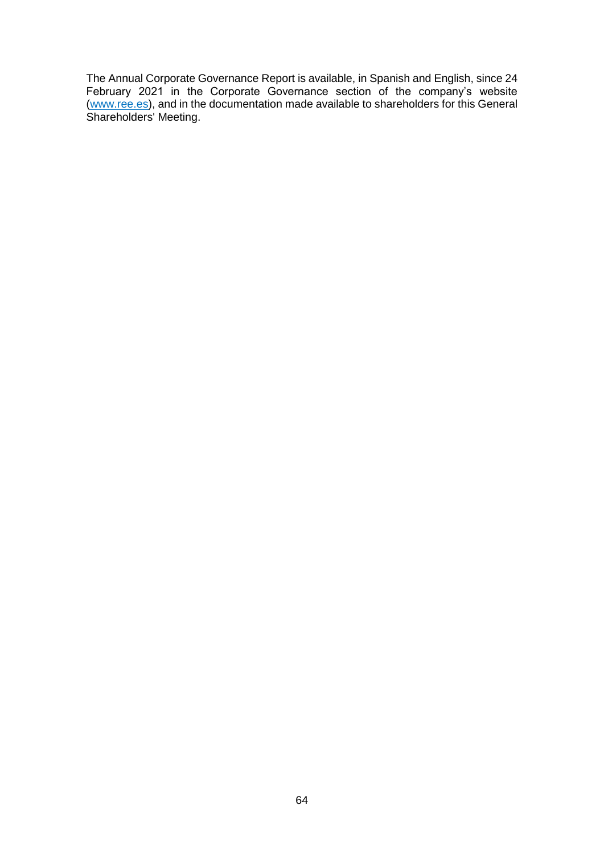The Annual Corporate Governance Report is available, in Spanish and English, since 24 February 2021 in the Corporate Governance section of the company's website [\(www.ree.es\)](http://www.ree.es/), and in the documentation made available to shareholders for this General Shareholders' Meeting.